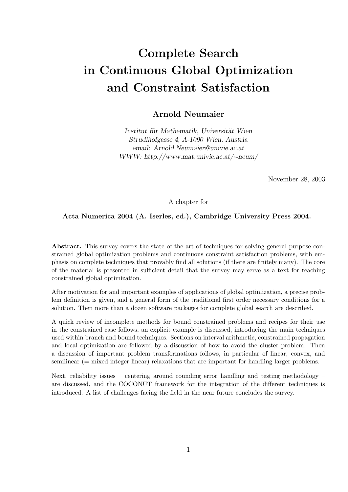# Complete Search in Continuous Global Optimization and Constraint Satisfaction

Arnold Neumaier

Institut für Mathematik, Universität Wien Strudlhofgasse 4, A-1090 Wien, Austria email: Arnold.Neumaier@univie.ac.at WWW: http://www.mat.univie.ac.at/∼neum/

November 28, 2003

A chapter for

#### Acta Numerica 2004 (A. Iserles, ed.), Cambridge University Press 2004.

Abstract. This survey covers the state of the art of techniques for solving general purpose constrained global optimization problems and continuous constraint satisfaction problems, with emphasis on complete techniques that provably find all solutions (if there are finitely many). The core of the material is presented in sufficient detail that the survey may serve as a text for teaching constrained global optimization.

After motivation for and important examples of applications of global optimization, a precise problem definition is given, and a general form of the traditional first order necessary conditions for a solution. Then more than a dozen software packages for complete global search are described.

A quick review of incomplete methods for bound constrained problems and recipes for their use in the constrained case follows, an explicit example is discussed, introducing the main techniques used within branch and bound techniques. Sections on interval arithmetic, constrained propagation and local optimization are followed by a discussion of how to avoid the cluster problem. Then a discussion of important problem transformations follows, in particular of linear, convex, and semilinear (= mixed integer linear) relaxations that are important for handling larger problems.

Next, reliability issues – centering around rounding error handling and testing methodology – are discussed, and the COCONUT framework for the integration of the different techniques is introduced. A list of challenges facing the field in the near future concludes the survey.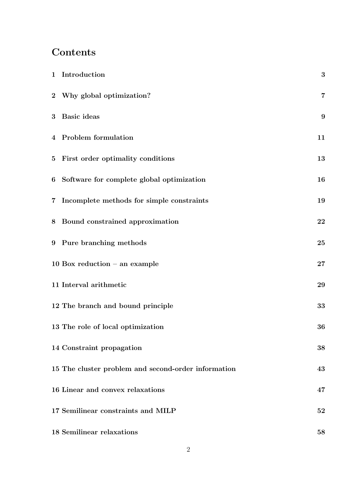# Contents

| 1 Introduction                                      | 3              |
|-----------------------------------------------------|----------------|
| 2 Why global optimization?                          | $\overline{7}$ |
| 3 Basic ideas                                       | 9              |
| 4 Problem formulation                               | 11             |
| 5 First order optimality conditions                 | 13             |
| 6 Software for complete global optimization         | 16             |
| 7 Incomplete methods for simple constraints         | 19             |
| 8 Bound constrained approximation                   | 22             |
| 9 Pure branching methods                            | 25             |
| 10 Box reduction $-$ an example                     | 27             |
| 11 Interval arithmetic                              | 29             |
| 12 The branch and bound principle                   | 33             |
| 13 The role of local optimization                   | 36             |
| 14 Constraint propagation                           | 38             |
| 15 The cluster problem and second-order information | 43             |
| 16 Linear and convex relaxations                    | 47             |
| 17 Semilinear constraints and MILP                  | 52             |
| <b>18 Semilinear relaxations</b>                    | 58             |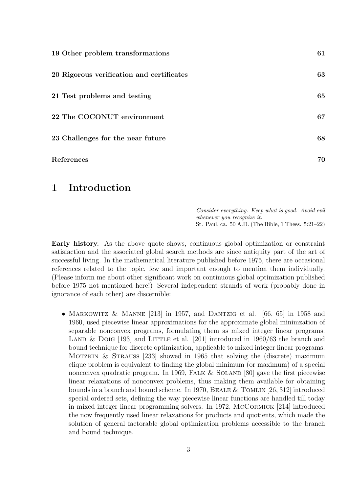| 19 Other problem transformations          | 61 |
|-------------------------------------------|----|
| 20 Rigorous verification and certificates | 63 |
| 21 Test problems and testing              | 65 |
| 22 The COCONUT environment                | 67 |
| 23 Challenges for the near future         | 68 |
| References                                | 70 |

#### 1 Introduction

Consider everything. Keep what is good. Avoid evil whenever you recognize it. St. Paul, ca. 50 A.D. (The Bible, 1 Thess. 5:21–22)

Early history. As the above quote shows, continuous global optimization or constraint satisfaction and the associated global search methods are since antiquity part of the art of successful living. In the mathematical literature published before 1975, there are occasional references related to the topic, few and important enough to mention them individually. (Please inform me about other significant work on continuous global optimization published before 1975 not mentioned here!) Several independent strands of work (probably done in ignorance of each other) are discernible:

• MARKOWITZ & MANNE [213] in 1957, and DANTZIG et al. [66, 65] in 1958 and 1960, used piecewise linear approximations for the approximate global minimzation of separable nonconvex programs, formulating them as mixed integer linear programs. LAND & DOIG [193] and LITTLE et al. [201] introduced in 1960/63 the branch and bound technique for discrete optimization, applicable to mixed integer linear programs. MOTZKIN & STRAUSS [233] showed in 1965 that solving the (discrete) maximum clique problem is equivalent to finding the global minimum (or maximum) of a special nonconvex quadratic program. In 1969, FALK  $&$  SOLAND [80] gave the first piecewise linear relaxations of nonconvex problems, thus making them available for obtaining bounds in a branch and bound scheme. In 1970, BEALE  $&$  TOMLIN [26, 312] introduced special ordered sets, defining the way piecewise linear functions are handled till today in mixed integer linear programming solvers. In 1972, McCORMICK [214] introduced the now frequently used linear relaxations for products and quotients, which made the solution of general factorable global optimization problems accessible to the branch and bound technique.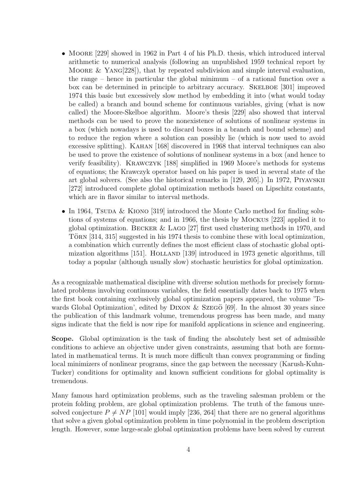- MOORE [229] showed in 1962 in Part 4 of his Ph.D. thesis, which introduced interval arithmetic to numerical analysis (following an unpublished 1959 technical report by MOORE & YANG $[228]$ , that by repeated subdivision and simple interval evaluation, the range – hence in particular the global minimum – of a rational function over a box can be determined in principle to arbitrary accuracy. Skelboe [301] improved 1974 this basic but excessively slow method by embedding it into (what would today be called) a branch and bound scheme for continuous variables, giving (what is now called) the Moore-Skelboe algorithm. Moore's thesis [229] also showed that interval methods can be used to prove the nonexistence of solutions of nonlinear systems in a box (which nowadays is used to discard boxes in a branch and bound scheme) and to reduce the region where a solution can possibly lie (which is now used to avoid excessive splitting). Kahan [168] discovered in 1968 that interval techniques can also be used to prove the existence of solutions of nonlinear systems in a box (and hence to verify feasibility). Krawczyk [188] simplified in 1969 Moore's methods for systems of equations; the Krawczyk operator based on his paper is used in several state of the art global solvers. (See also the historical remarks in [129, 205].) In 1972, Piyavskii [272] introduced complete global optimization methods based on Lipschitz constants, which are in flavor similar to interval methods.
- In 1964, Tsupa & Kiono [319] introduced the Monte Carlo method for finding solutions of systems of equations; and in 1966, the thesis by Mockus [223] applied it to global optimization. Becker & Lago [27] first used clustering methods in 1970, and TÖRN [314, 315] suggested in his 1974 thesis to combine these with local optimization, a combination which currently defines the most efficient class of stochastic global optimization algorithms  $[151]$ . HOLLAND  $[139]$  introduced in 1973 genetic algorithms, till today a popular (although usually slow) stochastic heuristics for global optimization.

As a recognizable mathematical discipline with diverse solution methods for precisely formulated problems involving continuous variables, the field essentially dates back to 1975 when the first book containing exclusively global optimization papers appeared, the volume 'Towards Global Optimization', edited by DIXON & SZEGÖ [69]. In the almost 30 years since the publication of this landmark volume, tremendous progress has been made, and many signs indicate that the field is now ripe for manifold applications in science and engineering.

Scope. Global optimization is the task of finding the absolutely best set of admissible conditions to achieve an objective under given constraints, assuming that both are formulated in mathematical terms. It is much more difficult than convex programming or finding local minimizers of nonlinear programs, since the gap between the necessary (Karush-Kuhn-Tucker) conditions for optimality and known sufficient conditions for global optimality is tremendous.

Many famous hard optimization problems, such as the traveling salesman problem or the protein folding problem, are global optimization problems. The truth of the famous unresolved conjecture  $P \neq NP$  [101] would imply [236, 264] that there are no general algorithms that solve a given global optimization problem in time polynomial in the problem description length. However, some large-scale global optimization problems have been solved by current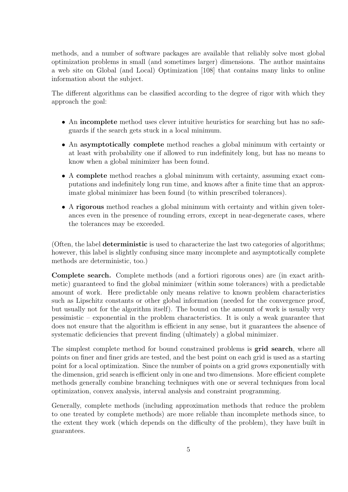methods, and a number of software packages are available that reliably solve most global optimization problems in small (and sometimes larger) dimensions. The author maintains a web site on Global (and Local) Optimization [108] that contains many links to online information about the subject.

The different algorithms can be classified according to the degree of rigor with which they approach the goal:

- An incomplete method uses clever intuitive heuristics for searching but has no safeguards if the search gets stuck in a local minimum.
- An asymptotically complete method reaches a global minimum with certainty or at least with probability one if allowed to run indefinitely long, but has no means to know when a global minimizer has been found.
- A complete method reaches a global minimum with certainty, assuming exact computations and indefinitely long run time, and knows after a finite time that an approximate global minimizer has been found (to within prescribed tolerances).
- A rigorous method reaches a global minimum with certainty and within given tolerances even in the presence of rounding errors, except in near-degenerate cases, where the tolerances may be exceeded.

(Often, the label deterministic is used to characterize the last two categories of algorithms; however, this label is slightly confusing since many incomplete and asymptotically complete methods are deterministic, too.)

Complete search. Complete methods (and a fortiori rigorous ones) are (in exact arithmetic) guaranteed to find the global minimizer (within some tolerances) with a predictable amount of work. Here predictable only means relative to known problem characteristics such as Lipschitz constants or other global information (needed for the convergence proof, but usually not for the algorithm itself). The bound on the amount of work is usually very pessimistic – exponential in the problem characteristics. It is only a weak guarantee that does not ensure that the algorithm is efficient in any sense, but it guarantees the absence of systematic deficiencies that prevent finding (ultimately) a global minimizer.

The simplest complete method for bound constrained problems is grid search, where all points on finer and finer grids are tested, and the best point on each grid is used as a starting point for a local optimization. Since the number of points on a grid grows exponentially with the dimension, grid search is efficient only in one and two dimensions. More efficient complete methods generally combine branching techniques with one or several techniques from local optimization, convex analysis, interval analysis and constraint programming.

Generally, complete methods (including approximation methods that reduce the problem to one treated by complete methods) are more reliable than incomplete methods since, to the extent they work (which depends on the difficulty of the problem), they have built in guarantees.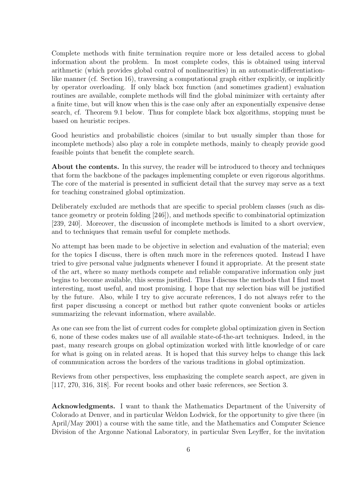Complete methods with finite termination require more or less detailed access to global information about the problem. In most complete codes, this is obtained using interval arithmetic (which provides global control of nonlinearities) in an automatic-differentiationlike manner (cf. Section 16), traversing a computational graph either explicitly, or implicitly by operator overloading. If only black box function (and sometimes gradient) evaluation routines are available, complete methods will find the global minimizer with certainty after a finite time, but will know when this is the case only after an exponentially expensive dense search, cf. Theorem 9.1 below. Thus for complete black box algorithms, stopping must be based on heuristic recipes.

Good heuristics and probabilistic choices (similar to but usually simpler than those for incomplete methods) also play a role in complete methods, mainly to cheaply provide good feasible points that benefit the complete search.

About the contents. In this survey, the reader will be introduced to theory and techniques that form the backbone of the packages implementing complete or even rigorous algorithms. The core of the material is presented in sufficient detail that the survey may serve as a text for teaching constrained global optimization.

Deliberately excluded are methods that are specific to special problem classes (such as distance geometry or protein folding [246]), and methods specific to combinatorial optimization [239, 240]. Moreover, the discussion of incomplete methods is limited to a short overview, and to techniques that remain useful for complete methods.

No attempt has been made to be objective in selection and evaluation of the material; even for the topics I discuss, there is often much more in the references quoted. Instead I have tried to give personal value judgments whenever I found it appropriate. At the present state of the art, where so many methods compete and reliable comparative information only just begins to become available, this seems justified. Thus I discuss the methods that I find most interesting, most useful, and most promising. I hope that my selection bias will be justified by the future. Also, while I try to give accurate references, I do not always refer to the first paper discussing a concept or method but rather quote convenient books or articles summarizing the relevant information, where available.

As one can see from the list of current codes for complete global optimization given in Section 6, none of these codes makes use of all available state-of-the-art techniques. Indeed, in the past, many research groups on global optimization worked with little knowledge of or care for what is going on in related areas. It is hoped that this survey helps to change this lack of communication across the borders of the various traditions in global optimization.

Reviews from other perspectives, less emphasizing the complete search aspect, are given in [117, 270, 316, 318]. For recent books and other basic references, see Section 3.

Acknowledgments. I want to thank the Mathematics Department of the University of Colorado at Denver, and in particular Weldon Lodwick, for the opportunity to give there (in April/May 2001) a course with the same title, and the Mathematics and Computer Science Division of the Argonne National Laboratory, in particular Sven Leyffer, for the invitation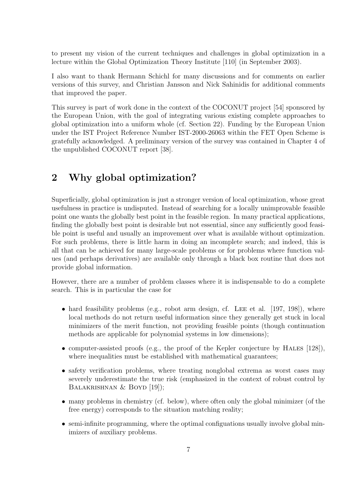to present my vision of the current techniques and challenges in global optimization in a lecture within the Global Optimization Theory Institute [110] (in September 2003).

I also want to thank Hermann Schichl for many discussions and for comments on earlier versions of this survey, and Christian Jansson and Nick Sahinidis for additional comments that improved the paper.

This survey is part of work done in the context of the COCONUT project [54] sponsored by the European Union, with the goal of integrating various existing complete approaches to global optimization into a uniform whole (cf. Section 22). Funding by the European Union under the IST Project Reference Number IST-2000-26063 within the FET Open Scheme is gratefully acknowledged. A preliminary version of the survey was contained in Chapter 4 of the unpublished COCONUT report [38].

# 2 Why global optimization?

Superficially, global optimization is just a stronger version of local optimization, whose great usefulness in practice is undisputed. Instead of searching for a locally unimprovable feasible point one wants the globally best point in the feasible region. In many practical applications, finding the globally best point is desirable but not essential, since any sufficiently good feasible point is useful and usually an improvement over what is available without optimization. For such problems, there is little harm in doing an incomplete search; and indeed, this is all that can be achieved for many large-scale problems or for problems where function values (and perhaps derivatives) are available only through a black box routine that does not provide global information.

However, there are a number of problem classes where it is indispensable to do a complete search. This is in particular the case for

- hard feasibility problems (e.g., robot arm design, cf. LEE et al.  $[197, 198]$ ), where local methods do not return useful information since they generally get stuck in local minimizers of the merit function, not providing feasible points (though continuation methods are applicable for polynomial systems in low dimensions);
- computer-assisted proofs (e.g., the proof of the Kepler conjecture by HALES  $[128]$ ), where inequalities must be established with mathematical guarantees;
- safety verification problems, where treating nonglobal extrema as worst cases may severely underestimate the true risk (emphasized in the context of robust control by BALAKRISHNAN & BOYD [19]);
- many problems in chemistry (cf. below), where often only the global minimizer (of the free energy) corresponds to the situation matching reality;
- semi-infinite programming, where the optimal configuations usually involve global minimizers of auxiliary problems.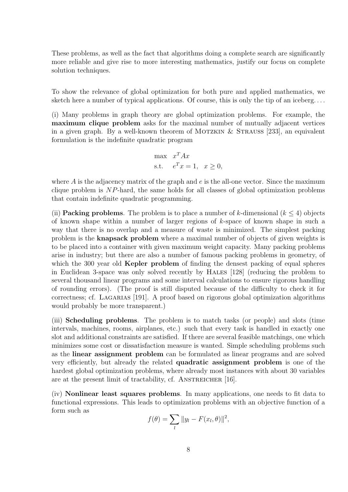These problems, as well as the fact that algorithms doing a complete search are significantly more reliable and give rise to more interesting mathematics, justify our focus on complete solution techniques.

To show the relevance of global optimization for both pure and applied mathematics, we sketch here a number of typical applications. Of course, this is only the tip of an iceberg. . . .

(i) Many problems in graph theory are global optimization problems. For example, the maximum clique problem asks for the maximal number of mutually adjacent vertices in a given graph. By a well-known theorem of MOTZKIN  $&$  STRAUSS [233], an equivalent formulation is the indefinite quadratic program

$$
\begin{aligned}\n\max \quad & x^T A x \\
\text{s.t.} \quad & e^T x = 1, \quad x \ge 0,\n\end{aligned}
$$

where  $\vec{A}$  is the adjacency matrix of the graph and  $e$  is the all-one vector. Since the maximum clique problem is  $NP$ -hard, the same holds for all classes of global optimization problems that contain indefinite quadratic programming.

(ii) **Packing problems**. The problem is to place a number of k-dimensional  $(k \leq 4)$  objects of known shape within a number of larger regions of k-space of known shape in such a way that there is no overlap and a measure of waste is minimized. The simplest packing problem is the knapsack problem where a maximal number of objects of given weights is to be placed into a container with given maximum weight capacity. Many packing problems arise in industry; but there are also a number of famous packing problems in geometry, of which the 300 year old **Kepler problem** of finding the densest packing of equal spheres in Euclidean 3-space was only solved recently by HALES [128] (reducing the problem to several thousand linear programs and some interval calculations to ensure rigorous handling of rounding errors). (The proof is still disputed because of the difficulty to check it for correctness; cf. LAGARIAS [191]. A proof based on rigorous global optimization algorithms would probably be more transparent.)

(iii) Scheduling problems. The problem is to match tasks (or people) and slots (time intervals, machines, rooms, airplanes, etc.) such that every task is handled in exactly one slot and additional constraints are satisfied. If there are several feasible matchings, one which minimizes some cost or dissatisfaction measure is wanted. Simple scheduling problems such as the linear assignment problem can be formulated as linear programs and are solved very efficiently, but already the related quadratic assignment problem is one of the hardest global optimization problems, where already most instances with about 30 variables are at the present limit of tractability, cf. ANSTREICHER [16].

(iv) Nonlinear least squares problems. In many applications, one needs to fit data to functional expressions. This leads to optimization problems with an objective function of a form such as

$$
f(\theta) = \sum_{l} ||y_l - F(x_l, \theta)||^2,
$$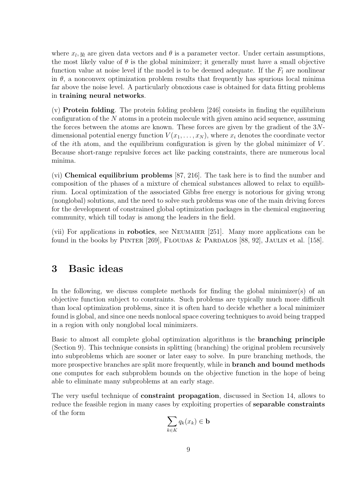where  $x_l, y_l$  are given data vectors and  $\theta$  is a parameter vector. Under certain assumptions, the most likely value of  $\theta$  is the global minimizer; it generally must have a small objective function value at noise level if the model is to be deemed adequate. If the  $F_l$  are nonlinear in  $\theta$ , a nonconvex optimization problem results that frequently has spurious local minima far above the noise level. A particularly obnoxious case is obtained for data fitting problems in training neural networks.

(v) Protein folding. The protein folding problem [246] consists in finding the equilibrium configuration of the  $N$  atoms in a protein molecule with given amino acid sequence, assuming the forces between the atoms are known. These forces are given by the gradient of the  $3N$ dimensional potential energy function  $V(x_1, \ldots, x_N)$ , where  $x_i$  denotes the coordinate vector of the ith atom, and the equilibrium configuration is given by the global minimizer of V . Because short-range repulsive forces act like packing constraints, there are numerous local minima.

(vi) Chemical equilibrium problems [87, 216]. The task here is to find the number and composition of the phases of a mixture of chemical substances allowed to relax to equilibrium. Local optimization of the associated Gibbs free energy is notorious for giving wrong (nonglobal) solutions, and the need to solve such problems was one of the main driving forces for the development of constrained global optimization packages in the chemical engineering community, which till today is among the leaders in the field.

(vii) For applications in **robotics**, see NEUMAIER  $[251]$ . Many more applications can be found in the books by PINTER [269], FLOUDAS & PARDALOS [88, 92], JAULIN et al. [158].

# 3 Basic ideas

In the following, we discuss complete methods for finding the global minimizer(s) of an objective function subject to constraints. Such problems are typically much more difficult than local optimization problems, since it is often hard to decide whether a local minimizer found is global, and since one needs nonlocal space covering techniques to avoid being trapped in a region with only nonglobal local minimizers.

Basic to almost all complete global optimization algorithms is the branching principle (Section 9). This technique consists in splitting (branching) the original problem recursively into subproblems which are sooner or later easy to solve. In pure branching methods, the more prospective branches are split more frequently, while in branch and bound methods one computes for each subproblem bounds on the objective function in the hope of being able to eliminate many subproblems at an early stage.

The very useful technique of constraint propagation, discussed in Section 14, allows to reduce the feasible region in many cases by exploiting properties of separable constraints of the form

$$
\sum_{k\in K}q_k(x_k)\in \mathbf{b}
$$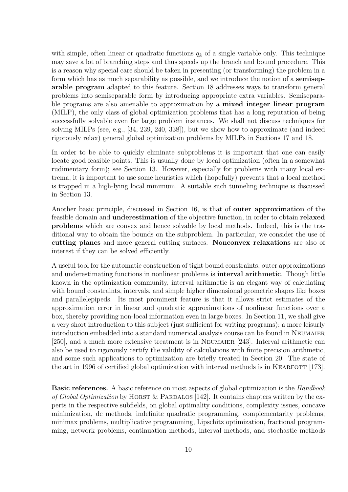with simple, often linear or quadratic functions  $q_k$  of a single variable only. This technique may save a lot of branching steps and thus speeds up the branch and bound procedure. This is a reason why special care should be taken in presenting (or transforming) the problem in a form which has as much separability as possible, and we introduce the notion of a semiseparable program adapted to this feature. Section 18 addresses ways to transform general problems into semiseparable form by introducing appropriate extra variables. Semiseparable programs are also amenable to approximation by a mixed integer linear program (MILP), the only class of global optimization problems that has a long reputation of being successfully solvable even for large problem instances. We shall not discuss techniques for solving MILPs (see, e.g., [34, 239, 240, 338]), but we show how to approximate (and indeed rigorously relax) general global optimization problems by MILPs in Sections 17 and 18.

In order to be able to quickly eliminate subproblems it is important that one can easily locate good feasible points. This is usually done by local optimization (often in a somewhat rudimentary form); see Section 13. However, especially for problems with many local extrema, it is important to use some heuristics which (hopefully) prevents that a local method is trapped in a high-lying local minimum. A suitable such tunneling technique is discussed in Section 13.

Another basic principle, discussed in Section 16, is that of outer approximation of the feasible domain and underestimation of the objective function, in order to obtain relaxed problems which are convex and hence solvable by local methods. Indeed, this is the traditional way to obtain the bounds on the subproblem. In particular, we consider the use of cutting planes and more general cutting surfaces. Nonconvex relaxations are also of interest if they can be solved efficiently.

A useful tool for the automatic construction of tight bound constraints, outer approximations and underestimating functions in nonlinear problems is interval arithmetic. Though little known in the optimization community, interval arithmetic is an elegant way of calculating with bound constraints, intervals, and simple higher dimensional geometric shapes like boxes and parallelepipeds. Its most prominent feature is that it allows strict estimates of the approximation error in linear and quadratic approximations of nonlinear functions over a box, thereby providing non-local information even in large boxes. In Section 11, we shall give a very short introduction to this subject (just sufficient for writing programs); a more leisurly introduction embedded into a standard numerical analysis course can be found in NEUMAIER [250], and a much more extensive treatment is in NEUMAIER [243]. Interval arithmetic can also be used to rigorously certify the validity of calculations with finite precision arithmetic, and some such applications to optimization are briefly treated in Section 20. The state of the art in 1996 of certified global optimization with interval methods is in KEARFOTT  $[173]$ .

**Basic references.** A basic reference on most aspects of global optimization is the *Handbook* of Global Optimization by HORST & PARDALOS [142]. It contains chapters written by the experts in the respective subfields, on global optimality conditions, complexity issues, concave minimization, dc methods, indefinite quadratic programming, complementarity problems, minimax problems, multiplicative programming, Lipschitz optimization, fractional programming, network problems, continuation methods, interval methods, and stochastic methods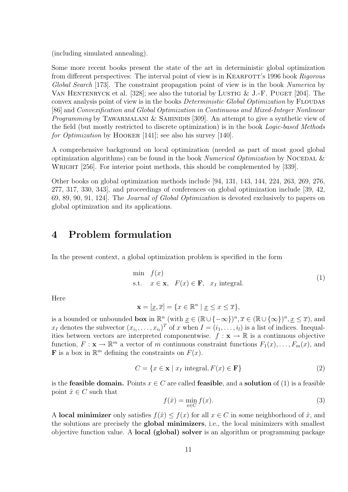(including simulated annealing).

Some more recent books present the state of the art in deterministic global optimization from different perspectives: The interval point of view is in KEARFOTT's 1996 book Rigorous Global Search [173]. The constraint propagation point of view is in the book Numerica by VAN HENTENRYCK et al. [328]; see also the tutorial by LUSTIG & J.-F. PUGET [204]. The convex analysis point of view is in the books *Deterministic Global Optimization* by FLOUDAS [86] and Convexification and Global Optimization in Continuous and Mixed-Integer Nonlinear *Programming* by TAWARMALANI & SAHINIDIS [309]. An attempt to give a synthetic view of the field (but mostly restricted to discrete optimization) is in the book Logic-based Methods for *Optimization* by HOOKER [141]; see also his survey [140].

A comprehensive background on local optimization (needed as part of most good global optimization algorithms) can be found in the book *Numerical Optimization* by NOCEDAL  $\&$ WRIGHT [256]. For interior point methods, this should be complemented by [339].

Other books on global optimization methods include [94, 131, 143, 144, 224, 263, 269, 276, 277, 317, 330, 343], and proceedings of conferences on global optimization include [39, 42, 69, 89, 90, 91, 124]. The Journal of Global Optimization is devoted exclusively to papers on global optimization and its applications.

# 4 Problem formulation

In the present context, a global optimization problem is specified in the form

$$
\min f(x) \n\text{s.t.} \quad x \in \mathbf{x}, \quad F(x) \in \mathbf{F}, \quad x_I \text{ integral.}
$$
\n(1)

Here

$$
\mathbf{x} = [\underline{x}, \overline{x}] = \{ x \in \mathbb{R}^n \mid \underline{x} \le x \le \overline{x} \},
$$

is a bounded or unbounded box in  $\mathbb{R}^n$  (with  $\underline{x} \in (\mathbb{R} \cup \{-\infty\})^n$ ,  $\overline{x} \in (\mathbb{R} \cup \{\infty\})^n$ ,  $\underline{x} \leq \overline{x}$ ), and  $x_I$  denotes the subvector  $(x_{i_1},...,x_{i_l})^T$  of x when  $I=(i_1,...,i_l)$  is a list of indices. Inequalities between vectors are interpreted componentwise.  $f : \mathbf{x} \to \mathbb{R}$  is a continuous objective function,  $F: \mathbf{x} \to \mathbb{R}^m$  a vector of m continuous constraint functions  $F_1(x), \ldots, F_m(x)$ , and **F** is a box in  $\mathbb{R}^m$  defining the constraints on  $F(x)$ .

$$
C = \{x \in \mathbf{x} \mid x_I \text{ integral}, F(x) \in \mathbf{F}\}\
$$
 (2)

is the **feasible domain.** Points  $x \in C$  are called **feasible**, and a **solution** of (1) is a feasible point  $\hat{x} \in C$  such that

$$
f(\hat{x}) = \min_{x \in C} f(x). \tag{3}
$$

A local minimizer only satisfies  $f(\hat{x}) \leq f(x)$  for all  $x \in C$  in some neighborhood of  $\hat{x}$ , and the solutions are precisely the global minimizers, i.e., the local minimizers with smallest objective function value. A local (global) solver is an algorithm or programming package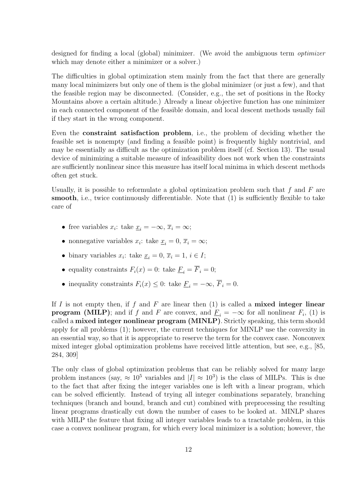designed for finding a local (global) minimizer. (We avoid the ambiguous term optimizer which may denote either a minimizer or a solver.)

The difficulties in global optimization stem mainly from the fact that there are generally many local minimizers but only one of them is the global minimizer (or just a few), and that the feasible region may be disconnected. (Consider, e.g., the set of positions in the Rocky Mountains above a certain altitude.) Already a linear objective function has one minimizer in each connected component of the feasible domain, and local descent methods usually fail if they start in the wrong component.

Even the constraint satisfaction problem, i.e., the problem of deciding whether the feasible set is nonempty (and finding a feasible point) is frequently highly nontrivial, and may be essentially as difficult as the optimization problem itself (cf. Section 13). The usual device of minimizing a suitable measure of infeasibility does not work when the constraints are sufficiently nonlinear since this measure has itself local minima in which descent methods often get stuck.

Usually, it is possible to reformulate a global optimization problem such that f and F are smooth, i.e., twice continuously differentiable. Note that  $(1)$  is sufficiently flexible to take care of

- free variables  $x_i$ : take  $\underline{x}_i = -\infty$ ,  $\overline{x}_i = \infty$ ;
- nonnegative variables  $x_i$ : take  $\underline{x}_i = 0$ ,  $\overline{x}_i = \infty$ ;
- binary variables  $x_i$ : take  $\underline{x}_i = 0$ ,  $\overline{x}_i = 1$ ,  $i \in I$ ;
- equality constraints  $F_i(x) = 0$ : take  $\underline{F}_i = \overline{F}_i = 0$ ;
- inequality constraints  $F_i(x) \leq 0$ : take  $\underline{F}_i = -\infty$ ,  $\overline{F}_i = 0$ .

If I is not empty then, if f and F are linear then  $(1)$  is called a **mixed integer linear program** (MILP); and if f and F are convex, and  $\underline{F}_i = -\infty$  for all nonlinear  $F_i$ , (1) is called a mixed integer nonlinear program (MINLP). Strictly speaking, this term should apply for all problems (1); however, the current techniques for MINLP use the convexity in an essential way, so that it is appropriate to reserve the term for the convex case. Nonconvex mixed integer global optimization problems have received little attention, but see, e.g., [85, 284, 309]

The only class of global optimization problems that can be reliably solved for many large problem instances (say,  $\approx 10^5$  variables and  $|I| \approx 10^3$ ) is the class of MILPs. This is due to the fact that after fixing the integer variables one is left with a linear program, which can be solved efficiently. Instead of trying all integer combinations separately, branching techniques (branch and bound, branch and cut) combined with preprocessing the resulting linear programs drastically cut down the number of cases to be looked at. MINLP shares with MILP the feature that fixing all integer variables leads to a tractable problem, in this case a convex nonlinear program, for which every local minimizer is a solution; however, the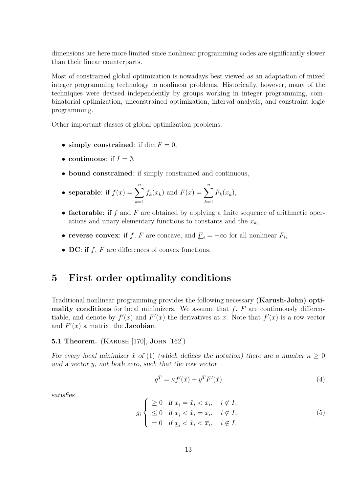dimensions are here more limited since nonlinear programming codes are significantly slower than their linear counterparts.

Most of constrained global optimization is nowadays best viewed as an adaptation of mixed integer programming technology to nonlinear problems. Historically, however, many of the techniques were devised independently by groups working in integer programming, combinatorial optimization, unconstrained optimization, interval analysis, and constraint logic programming.

Other important classes of global optimization problems:

- simply constrained: if dim  $F = 0$ ,
- continuous: if  $I = \emptyset$ ,
- bound constrained: if simply constrained and continuous,

• **separable**: if 
$$
f(x) = \sum_{k=1}^{n} f_k(x_k)
$$
 and  $F(x) = \sum_{k=1}^{n} F_k(x_k)$ ,

- factorable: if f and F are obtained by applying a finite sequence of arithmetic operations and unary elementary functions to constants and the  $x_k$ ,
- reverse convex: if f, F are concave, and  $\underline{F}_i = -\infty$  for all nonlinear  $F_i$ ,
- DC: if  $f$ ,  $F$  are differences of convex functions.

#### 5 First order optimality conditions

Traditional nonlinear programming provides the following necessary (Karush-John) optimality conditions for local minimizers. We assume that  $f$ ,  $F$  are continuously differentiable, and denote by  $f'(x)$  and  $F'(x)$  the derivatives at x. Note that  $f'(x)$  is a row vector and  $F'(x)$  a matrix, the **Jacobian**.

#### 5.1 Theorem. (Karush [170], John [162])

For every local minimizer  $\hat{x}$  of (1) (which defines the notation) there are a number  $\kappa > 0$ and a vector y, not both zero, such that the row vector

$$
g^T = \kappa f'(\hat{x}) + y^T F'(\hat{x}) \tag{4}
$$

satisfies

$$
g_i \begin{cases} \geq 0 & \text{if } \underline{x}_i = \hat{x}_i < \overline{x}_i, \quad i \notin I, \\ \leq 0 & \text{if } \underline{x}_i < \hat{x}_i = \overline{x}_i, \quad i \notin I, \\ = 0 & \text{if } \underline{x}_i < \hat{x}_i < \overline{x}_i, \quad i \notin I, \end{cases} \tag{5}
$$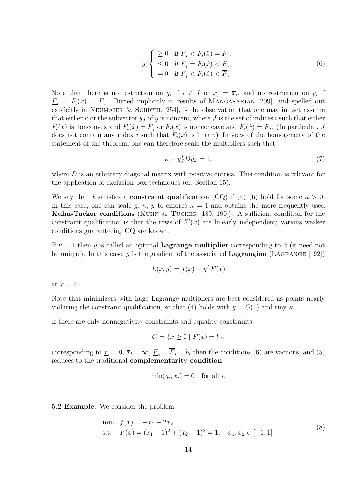$$
y_i \begin{cases} \geq 0 & \text{if } \underline{F}_i < F_i(\hat{x}) = \overline{F}_i, \\ \leq 0 & \text{if } \underline{F}_i = F_i(\hat{x}) < \overline{F}_i, \\ = 0 & \text{if } \underline{F}_i < F_i(\hat{x}) < \overline{F}_i. \end{cases} \tag{6}
$$

Note that there is no restriction on  $g_i$  if  $i \in I$  or  $\underline{x}_i = \overline{x}_i$ , and no restriction on  $y_i$  if  $\underline{F}_i = F_i(\hat{x}) = F_i$ . Buried implicitly in results of MANGASARIAN [209], and spelled out explicitly in NEUMAIER & SCHICHL  $[254]$ , is the observation that one may in fact assume that either  $\kappa$  or the subvector  $y<sub>J</sub>$  of y is nonzero, where J is the set of indices i such that either  $F_i(x)$  is nonconvex and  $F_i(\hat{x}) = \underline{F}_i$  or  $F_i(x)$  is nonconcave and  $F_i(\hat{x}) = F_i$ . (In particular, J does not contain any index i such that  $F_i(x)$  is linear.) In view of the homogeneity of the statement of the theorem, one can therefore scale the multipliers such that

$$
\kappa + y_J^T D y_J = 1,\t\t(7)
$$

where  $D$  is an arbitrary diagonal matrix with positive entries. This condition is relevant for the application of exclusion box techniques (cf. Section 15).

We say that  $\hat{x}$  satisfies a **constraint qualification** (CQ) if (4)–(6) hold for some  $\kappa > 0$ . In this case, one can scale q,  $\kappa$ , y to enforce  $\kappa = 1$  and obtains the more frequently used Kuhn-Tucker conditions (Kuhn & Tucker [189, 190]). A sufficient condition for the constraint qualification is that the rows of  $F'(\hat{x})$  are linearly independent; various weaker conditions guaranteeing CQ are known.

If  $\kappa = 1$  then y is called an optimal **Lagrange multiplier** corresponding to  $\hat{x}$  (it need not be unique). In this case, q is the gradient of the associated **Lagrangian** (LAGRANGE [192])

$$
L(x, y) = f(x) + yT F(x)
$$

at  $x = \hat{x}$ .

Note that minimizers with huge Lagrange multipliers are best considered as points nearly violating the constraint qualification, so that (4) holds with  $y = O(1)$  and tiny  $\kappa$ .

If there are only nonnegativity constraints and equality constraints,

$$
C = \{x \ge 0 \mid F(x) = b\},\
$$

corresponding to  $\underline{x}_i = 0$ ,  $\overline{x}_i = \infty$ ,  $\underline{F}_i = \overline{F}_i = b_i$  then the conditions (6) are vacuous, and (5) reduces to the traditional complementarity condition

$$
\min(g_i, x_i) = 0 \quad \text{for all } i.
$$

5.2 Example. We consider the problem

$$
\begin{aligned}\n\min \quad & f(x) = -x_1 - 2x_2 \\
\text{s.t.} \quad & F(x) = (x_1 - 1)^2 + (x_2 - 1)^2 = 1, \quad x_1, x_2 \in [-1, 1].\n\end{aligned} \tag{8}
$$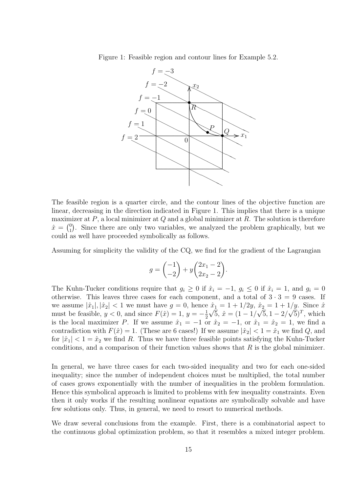Figure 1: Feasible region and contour lines for Example 5.2.



The feasible region is a quarter circle, and the contour lines of the objective function are linear, decreasing in the direction indicated in Figure 1. This implies that there is a unique maximizer at  $P$ , a local minimizer at  $Q$  and a global minimizer at  $R$ . The solution is therefore  $\hat{x} = \begin{pmatrix} 0 \\ 1 \end{pmatrix}$  $_{1}^{0}$ . Since there are only two variables, we analyzed the problem graphically, but we could as well have proceeded symbolically as follows.

Assuming for simplicity the validity of the CQ, we find for the gradient of the Lagrangian

$$
g = \begin{pmatrix} -1 \\ -2 \end{pmatrix} + y \begin{pmatrix} 2x_1 - 2 \\ 2x_2 - 2 \end{pmatrix}.
$$

The Kuhn-Tucker conditions require that  $g_i \geq 0$  if  $\hat{x}_i = -1$ ,  $g_i \leq 0$  if  $\hat{x}_i = 1$ , and  $g_i = 0$ otherwise. This leaves three cases for each component, and a total of  $3 \cdot 3 = 9$  cases. If we assume  $|\hat{x}_1|, |\hat{x}_2| < 1$  we must have  $g = 0$ , hence  $\hat{x}_1 = 1 + 1/2y$ ,  $\hat{x}_2 = 1 + 1/y$ . Since  $\hat{x}$ must be feasible,  $y < 0$ , and since  $F(\hat{x}) = 1$ ,  $y = -\frac{1}{2}$ 2  $\sqrt{5}$ ,  $\hat{x} = (1 - 1/\sqrt{5}, 1 - 2/\sqrt{5})^T$ , which is the local maximizer P. If we assume  $\hat{x}_1 = -1$  or  $\hat{x}_2 = -1$ , or  $\hat{x}_1 = \hat{x}_2 = 1$ , we find a contradiction with  $F(\hat{x}) = 1$ . (These are 6 cases!) If we assume  $|\hat{x}_2| < 1 = \hat{x}_1$  we find Q, and for  $|\hat{x}_1|$  < 1 =  $\hat{x}_2$  we find R. Thus we have three feasible points satisfying the Kuhn-Tucker conditions, and a comparison of their function values shows that  $R$  is the global minimizer.

In general, we have three cases for each two-sided inequality and two for each one-sided inequality; since the number of independent choices must be multiplied, the total number of cases grows exponentially with the number of inequalities in the problem formulation. Hence this symbolical approach is limited to problems with few inequality constraints. Even then it only works if the resulting nonlinear equations are symbolically solvable and have few solutions only. Thus, in general, we need to resort to numerical methods.

We draw several conclusions from the example. First, there is a combinatorial aspect to the continuous global optimization problem, so that it resembles a mixed integer problem.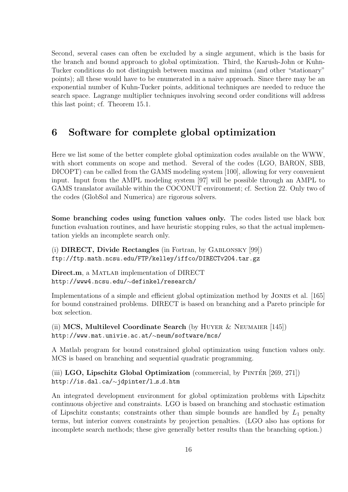Second, several cases can often be excluded by a single argument, which is the basis for the branch and bound approach to global optimization. Third, the Karush-John or Kuhn-Tucker conditions do not distinguish between maxima and minima (and other "stationary" points); all these would have to be enumerated in a naive approach. Since there may be an exponential number of Kuhn-Tucker points, additional techniques are needed to reduce the search space. Lagrange multiplier techniques involving second order conditions will address this last point; cf. Theorem 15.1.

# 6 Software for complete global optimization

Here we list some of the better complete global optimization codes available on the WWW, with short comments on scope and method. Several of the codes (LGO, BARON, SBB, DICOPT) can be called from the GAMS modeling system [100], allowing for very convenient input. Input from the AMPL modeling system [97] will be possible through an AMPL to GAMS translator available within the COCONUT environment; cf. Section 22. Only two of the codes (GlobSol and Numerica) are rigorous solvers.

Some branching codes using function values only. The codes listed use black box function evaluation routines, and have heuristic stopping rules, so that the actual implementation yields an incomplete search only.

(i) DIRECT, Divide Rectangles (in Fortran, by Gablonsky [99]) ftp://ftp.math.ncsu.edu/FTP/kelley/iffco/DIRECTv204.tar.gz

Direct.m, a MATLAB implementation of DIRECT http://www4.ncsu.edu/∼definkel/research/

Implementations of a simple and efficient global optimization method by Jones et al. [165] for bound constrained problems. DIRECT is based on branching and a Pareto principle for box selection.

(ii) MCS, Multilevel Coordinate Search (by HUYER  $\&$  Neumalier [145]) http://www.mat.univie.ac.at/∼neum/software/mcs/

A Matlab program for bound constrained global optimization using function values only. MCS is based on branching and sequential quadratic programming.

(iii)  $LGO$ , Lipschitz Global Optimization (commercial, by PINTER [269, 271]) http://is.dal.ca/∼jdpinter/l s d.htm

An integrated development environment for global optimization problems with Lipschitz continuous objective and constraints. LGO is based on branching and stochastic estimation of Lipschitz constants; constraints other than simple bounds are handled by  $L_1$  penalty terms, but interior convex constraints by projection penalties. (LGO also has options for incomplete search methods; these give generally better results than the branching option.)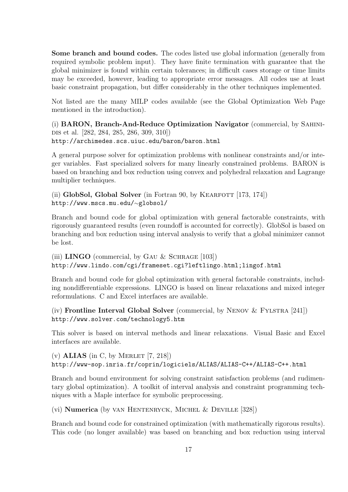Some branch and bound codes. The codes listed use global information (generally from required symbolic problem input). They have finite termination with guarantee that the global minimizer is found within certain tolerances; in difficult cases storage or time limits may be exceeded, however, leading to appropriate error messages. All codes use at least basic constraint propagation, but differ considerably in the other techniques implemented.

Not listed are the many MILP codes available (see the Global Optimization Web Page mentioned in the introduction).

(i) BARON, Branch-And-Reduce Optimization Navigator (commercial, by Sahini-DIS et al. [282, 284, 285, 286, 309, 310]) http://archimedes.scs.uiuc.edu/baron/baron.html

A general purpose solver for optimization problems with nonlinear constraints and/or integer variables. Fast specialized solvers for many linearly constrained problems. BARON is based on branching and box reduction using convex and polyhedral relaxation and Lagrange multiplier techniques.

(ii) GlobSol, Global Solver (in Fortran 90, by KEARFOTT  $[173, 174]$ ) http://www.mscs.mu.edu/∼globsol/

Branch and bound code for global optimization with general factorable constraints, with rigorously guaranteed results (even roundoff is accounted for correctly). GlobSol is based on branching and box reduction using interval analysis to verify that a global minimizer cannot be lost.

(iii) LINGO (commercial, by GAU  $&$  SCHRAGE [103]) http://www.lindo.com/cgi/frameset.cgi?leftlingo.html;lingof.html

Branch and bound code for global optimization with general factorable constraints, including nondifferentiable expressions. LINGO is based on linear relaxations and mixed integer reformulations. C and Excel interfaces are available.

(iv) Frontline Interval Global Solver (commercial, by NENOV  $&$  FYLSTRA [241]) http://www.solver.com/technology5.htm

This solver is based on interval methods and linear relaxations. Visual Basic and Excel interfaces are available.

(v)  $ALIAS$  (in C, by MERLET [7, 218]) http://www-sop.inria.fr/coprin/logiciels/ALIAS/ALIAS-C++/ALIAS-C++.html

Branch and bound environment for solving constraint satisfaction problems (and rudimentary global optimization). A toolkit of interval analysis and constraint programming techniques with a Maple interface for symbolic preprocessing.

(vi) **Numerica** (by van HENTENRYCK, MICHEL  $\&$  DEVILLE [328])

Branch and bound code for constrained optimization (with mathematically rigorous results). This code (no longer available) was based on branching and box reduction using interval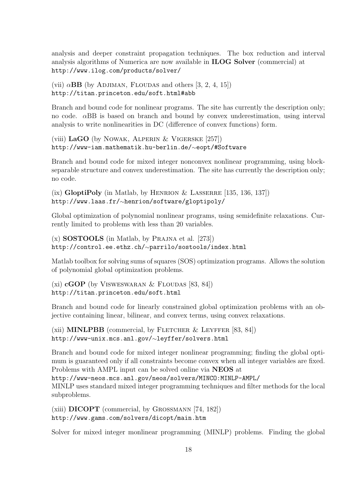analysis and deeper constraint propagation techniques. The box reduction and interval analysis algorithms of Numerica are now available in ILOG Solver (commercial) at http://www.ilog.com/products/solver/

(vii)  $\alpha$ **BB** (by ADJIMAN, FLOUDAS and others [3, 2, 4, 15]) http://titan.princeton.edu/soft.html#abb

Branch and bound code for nonlinear programs. The site has currently the description only; no code.  $\alpha$ BB is based on branch and bound by convex underestimation, using interval analysis to write nonlinearities in DC (difference of convex functions) form.

```
(viii) LaGO (by NOWAK, ALPERIN & VIGERSKE [257])
http://www-iam.mathematik.hu-berlin.de/∼eopt/#Software
```
Branch and bound code for mixed integer nonconvex nonlinear programming, using blockseparable structure and convex underestimation. The site has currently the description only; no code.

(ix) GloptiPoly (in Matlab, by HENRION  $&$  LASSERRE [135, 136, 137]) http://www.laas.fr/∼henrion/software/gloptipoly/

Global optimization of polynomial nonlinear programs, using semidefinite relaxations. Currently limited to problems with less than 20 variables.

 $(x)$  SOSTOOLS (in Matlab, by PRAJNA et al. [273]) http://control.ee.ethz.ch/∼parrilo/sostools/index.html

Matlab toolbox for solving sums of squares (SOS) optimization programs. Allows the solution of polynomial global optimization problems.

(xi)  $cGOP$  (by VISWESWARAN & FLOUDAS [83, 84]) http://titan.princeton.edu/soft.html

Branch and bound code for linearly constrained global optimization problems with an objective containing linear, bilinear, and convex terms, using convex relaxations.

(xii) MINLPBB (commercial, by FLETCHER  $\&$  LEYFFER [83, 84]) http://www-unix.mcs.anl.gov/∼leyffer/solvers.html

Branch and bound code for mixed integer nonlinear programming; finding the global optimum is guaranteed only if all constraints become convex when all integer variables are fixed. Problems with AMPL input can be solved online via NEOS at

http://www-neos.mcs.anl.gov/neos/solvers/MINCO:MINLP-AMPL/

MINLP uses standard mixed integer programming techniques and filter methods for the local subproblems.

(xiii) DICOPT (commercial, by Grossmann [74, 182]) http://www.gams.com/solvers/dicopt/main.htm

Solver for mixed integer monlinear programming (MINLP) problems. Finding the global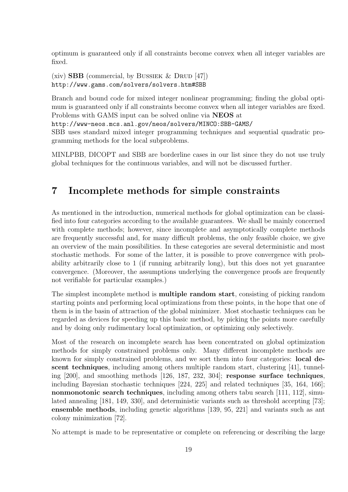optimum is guaranteed only if all constraints become convex when all integer variables are fixed.

(xiv) SBB (commercial, by BUSSIEK  $&$  DRUD [47]) http://www.gams.com/solvers/solvers.htm#SBB

Branch and bound code for mixed integer nonlinear programming; finding the global optimum is guaranteed only if all constraints become convex when all integer variables are fixed. Problems with GAMS input can be solved online via NEOS at

http://www-neos.mcs.anl.gov/neos/solvers/MINCO:SBB-GAMS/

SBB uses standard mixed integer programming techniques and sequential quadratic programming methods for the local subproblems.

MINLPBB, DICOPT and SBB are borderline cases in our list since they do not use truly global techniques for the continuous variables, and will not be discussed further.

# 7 Incomplete methods for simple constraints

As mentioned in the introduction, numerical methods for global optimization can be classified into four categories according to the available guarantees. We shall be mainly concerned with complete methods; however, since incomplete and asymptotically complete methods are frequently successful and, for many difficult problems, the only feasible choice, we give an overview of the main possibilities. In these categories are several deterministic and most stochastic methods. For some of the latter, it is possible to prove convergence with probability arbitrarily close to 1 (if running arbitrarily long), but this does not yet guarantee convergence. (Moreover, the assumptions underlying the convergence proofs are frequently not verifiable for particular examples.)

The simplest incomplete method is multiple random start, consisting of picking random starting points and performing local optimizations from these points, in the hope that one of them is in the basin of attraction of the global minimizer. Most stochastic techniques can be regarded as devices for speeding up this basic method, by picking the points more carefully and by doing only rudimentary local optimization, or optimizing only selectively.

Most of the research on incomplete search has been concentrated on global optimization methods for simply constrained problems only. Many different incomplete methods are known for simply constrained problems, and we sort them into four categories: local descent techniques, including among others multiple random start, clustering [41], tunneling [200], and smoothing methods [126, 187, 232, 304]; response surface techniques, including Bayesian stochastic techniques [224, 225] and related techniques [35, 164, 166]; nonmonotonic search techniques, including among others tabu search [111, 112], simulated annealing [181, 149, 330], and deterministic variants such as threshold accepting [73]; ensemble methods, including genetic algorithms [139, 95, 221] and variants such as ant colony minimization [72].

No attempt is made to be representative or complete on referencing or describing the large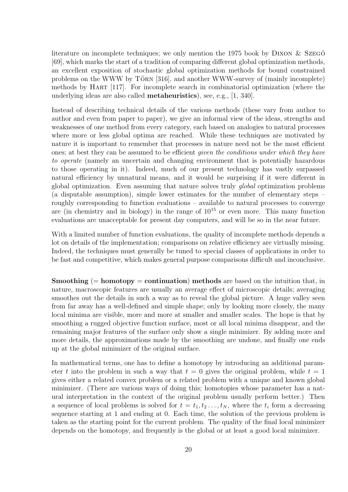literature on incomplete techniques; we only mention the 1975 book by DIXON  $&$  SZEGÖ [69], which marks the start of a tradition of comparing different global optimization methods, an excellent exposition of stochastic global optimization methods for bound constrained problems on the WWW by TÖRN [316], and another WWW-survey of (mainly incomplete) methods by Hart [117]. For incomplete search in combinatorial optimization (where the underlying ideas are also called metaheuristics), see, e.g., [1, 340].

Instead of describing technical details of the various methods (these vary from author to author and even from paper to paper), we give an informal view of the ideas, strengths and weaknesses of one method from every category, each based on analogies to natural processes where more or less global optima are reached. While these techniques are motivated by nature it is important to remember that processes in nature need not be the most efficient ones; at best they can be assumed to be efficient given the conditions under which they have to operate (namely an uncertain and changing environment that is potentially hazardous to those operating in it). Indeed, much of our present technology has vastly surpassed natural efficiency by unnatural means, and it would be surprising if it were different in global optimization. Even assuming that nature solves truly global optimization problems (a disputable assumption), simple lower estimates for the number of elementary steps – roughly corresponding to function evaluations – available to natural processes to converge are (in chemistry and in biology) in the range of  $10^{15}$  or even more. This many function evaluations are unacceptable for present day computers, and will be so in the near future.

With a limited number of function evaluations, the quality of incomplete methods depends a lot on details of the implementation; comparisons on relative efficiency are virtually missing. Indeed, the techniques must generally be tuned to special classes of applications in order to be fast and competitive, which makes general purpose comparisons difficult and inconclusive.

**Smoothing** ( $=$  homotopy  $=$  continuation) methods are based on the intuition that, in nature, macroscopic features are usually an average effect of microscopic details; averaging smoothes out the details in such a way as to reveal the global picture. A huge valley seen from far away has a well-defined and simple shape; only by looking more closely, the many local minima are visible, more and more at smaller and smaller scales. The hope is that by smoothing a rugged objective function surface, most or all local minima disappear, and the remaining major features of the surface only show a single minimizer. By adding more and more details, the approximations made by the smoothing are undone, and finally one ends up at the global minimizer of the original surface.

In mathematical terms, one has to define a homotopy by introducing an additional parameter t into the problem in such a way that  $t = 0$  gives the original problem, while  $t = 1$ gives either a related convex problem or a related problem with a unique and known global minimizer. (There are various ways of doing this; homotopies whose parameter has a natural interpretation in the context of the original problem usually perform better.) Then a sequence of local problems is solved for  $t = t_1, t_2, \ldots, t_N$ , where the  $t_i$  form a decreasing sequence starting at 1 and ending at 0. Each time, the solution of the previous problem is taken as the starting point for the current problem. The quality of the final local minimizer depends on the homotopy, and frequently is the global or at least a good local minimizer.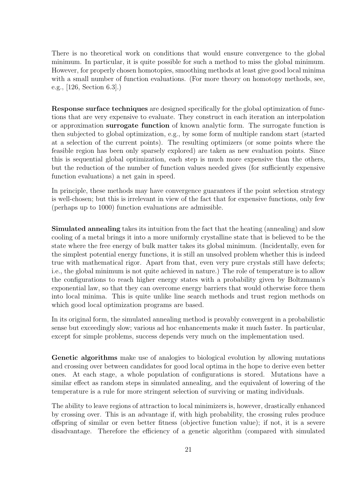There is no theoretical work on conditions that would ensure convergence to the global minimum. In particular, it is quite possible for such a method to miss the global minimum. However, for properly chosen homotopies, smoothing methods at least give good local minima with a small number of function evaluations. (For more theory on homotopy methods, see, e.g., [126, Section 6.3].)

Response surface techniques are designed specifically for the global optimization of functions that are very expensive to evaluate. They construct in each iteration an interpolation or approximation surrogate function of known analytic form. The surrogate function is then subjected to global optimization, e.g., by some form of multiple random start (started at a selection of the current points). The resulting optimizers (or some points where the feasible region has been only sparsely explored) are taken as new evaluation points. Since this is sequential global optimization, each step is much more expensive than the others, but the reduction of the number of function values needed gives (for sufficiently expensive function evaluations) a net gain in speed.

In principle, these methods may have convergence guarantees if the point selection strategy is well-chosen; but this is irrelevant in view of the fact that for expensive functions, only few (perhaps up to 1000) function evaluations are admissible.

Simulated annealing takes its intuition from the fact that the heating (annealing) and slow cooling of a metal brings it into a more uniformly crystalline state that is believed to be the state where the free energy of bulk matter takes its global minimum. (Incidentally, even for the simplest potential energy functions, it is still an unsolved problem whether this is indeed true with mathematical rigor. Apart from that, even very pure crystals still have defects; i.e., the global minimum is not quite achieved in nature.) The role of temperature is to allow the configurations to reach higher energy states with a probability given by Boltzmann's exponential law, so that they can overcome energy barriers that would otherwise force them into local minima. This is quite unlike line search methods and trust region methods on which good local optimization programs are based.

In its original form, the simulated annealing method is provably convergent in a probabilistic sense but exceedingly slow; various ad hoc enhancements make it much faster. In particular, except for simple problems, success depends very much on the implementation used.

Genetic algorithms make use of analogies to biological evolution by allowing mutations and crossing over between candidates for good local optima in the hope to derive even better ones. At each stage, a whole population of configurations is stored. Mutations have a similar effect as random steps in simulated annealing, and the equivalent of lowering of the temperature is a rule for more stringent selection of surviving or mating individuals.

The ability to leave regions of attraction to local minimizers is, however, drastically enhanced by crossing over. This is an advantage if, with high probability, the crossing rules produce offspring of similar or even better fitness (objective function value); if not, it is a severe disadvantage. Therefore the efficiency of a genetic algorithm (compared with simulated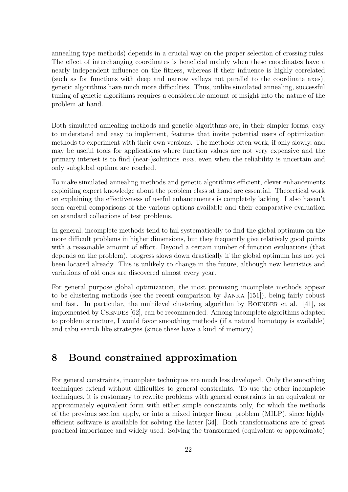annealing type methods) depends in a crucial way on the proper selection of crossing rules. The effect of interchanging coordinates is beneficial mainly when these coordinates have a nearly independent influence on the fitness, whereas if their influence is highly correlated (such as for functions with deep and narrow valleys not parallel to the coordinate axes), genetic algorithms have much more difficulties. Thus, unlike simulated annealing, successful tuning of genetic algorithms requires a considerable amount of insight into the nature of the problem at hand.

Both simulated annealing methods and genetic algorithms are, in their simpler forms, easy to understand and easy to implement, features that invite potential users of optimization methods to experiment with their own versions. The methods often work, if only slowly, and may be useful tools for applications where function values are not very expensive and the primary interest is to find (near-)solutions now, even when the reliability is uncertain and only subglobal optima are reached.

To make simulated annealing methods and genetic algorithms efficient, clever enhancements exploiting expert knowledge about the problem class at hand are essential. Theoretical work on explaining the effectiveness of useful enhancements is completely lacking. I also haven't seen careful comparisons of the various options available and their comparative evaluation on standard collections of test problems.

In general, incomplete methods tend to fail systematically to find the global optimum on the more difficult problems in higher dimensions, but they frequently give relatively good points with a reasonable amount of effort. Beyond a certain number of function evaluations (that depends on the problem), progress slows down drastically if the global optimum has not yet been located already. This is unlikely to change in the future, although new heuristics and variations of old ones are discovered almost every year.

For general purpose global optimization, the most promising incomplete methods appear to be clustering methods (see the recent comparison by Janka [151]), being fairly robust and fast. In particular, the multilevel clustering algorithm by BOENDER et al. [41], as implemented by Csendes [62], can be recommended. Among incomplete algorithms adapted to problem structure, I would favor smoothing methods (if a natural homotopy is available) and tabu search like strategies (since these have a kind of memory).

# 8 Bound constrained approximation

For general constraints, incomplete techniques are much less developed. Only the smoothing techniques extend without difficulties to general constraints. To use the other incomplete techniques, it is customary to rewrite problems with general constraints in an equivalent or approximately equivalent form with either simple constraints only, for which the methods of the previous section apply, or into a mixed integer linear problem (MILP), since highly efficient software is available for solving the latter [34]. Both transformations are of great practical importance and widely used. Solving the transformed (equivalent or approximate)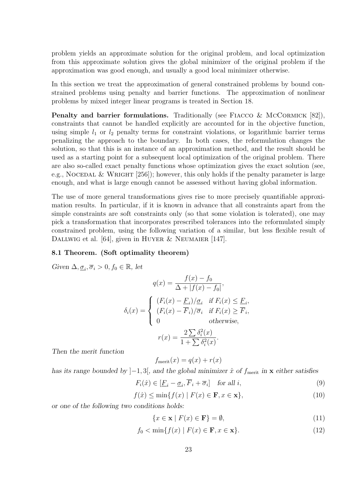problem yields an approximate solution for the original problem, and local optimization from this approximate solution gives the global minimizer of the original problem if the approximation was good enough, and usually a good local minimizer otherwise.

In this section we treat the approximation of general constrained problems by bound constrained problems using penalty and barrier functions. The approximation of nonlinear problems by mixed integer linear programs is treated in Section 18.

**Penalty and barrier formulations.** Traditionally (see FIACCO & MCCORMICK  $[82]$ ), constraints that cannot be handled explicitly are accounted for in the objective function, using simple  $l_1$  or  $l_2$  penalty terms for constraint violations, or logarithmic barrier terms penalizing the approach to the boundary. In both cases, the reformulation changes the solution, so that this is an instance of an approximation method, and the result should be used as a starting point for a subsequent local optimization of the original problem. There are also so-called exact penalty functions whose optimization gives the exact solution (see, e.g., NOCEDAL & WRIGHT  $[256]$ ; however, this only holds if the penalty parameter is large enough, and what is large enough cannot be assessed without having global information.

The use of more general transformations gives rise to more precisely quantifiable approximation results. In particular, if it is known in advance that all constraints apart from the simple constraints are soft constraints only (so that some violation is tolerated), one may pick a transformation that incorporates prescribed tolerances into the reformulated simply constrained problem, using the following variation of a similar, but less flexible result of DALLWIG et al. [64], given in HUYER & NEUMAIER [147].

#### 8.1 Theorem. (Soft optimality theorem)

Given  $\Delta, \underline{\sigma}_i, \overline{\sigma}_i > 0, f_0 \in \mathbb{R}$ , let

$$
q(x) = \frac{f(x) - f_0}{\Delta + |f(x) - f_0|},
$$

$$
\delta_i(x) = \begin{cases} (F_i(x) - \underline{F}_i)/\underline{\sigma}_i & \text{if } F_i(x) \le \underline{F}_i, \\ (F_i(x) - \overline{F}_i)/\overline{\sigma}_i & \text{if } F_i(x) \ge \overline{F}_i, \\ 0 & \text{otherwise,} \end{cases}
$$

$$
r(x) = \frac{2 \sum \delta_i^2(x)}{1 + \sum \delta_i^2(x)}.
$$

Then the merit function

$$
f_{\text{merit}}(x) = q(x) + r(x)
$$

has its range bounded by  $]-1,3[$ , and the global minimizer  $\hat{x}$  of  $f<sub>merit</sub>$  in x either satisfies

$$
F_i(\hat{x}) \in [\underline{F}_i - \underline{\sigma}_i, \overline{F}_i + \overline{\sigma}_i] \quad \text{for all } i,
$$
\n
$$
(9)
$$

$$
f(\hat{x}) \le \min\{f(x) \mid F(x) \in \mathbf{F}, x \in \mathbf{x}\},\tag{10}
$$

or one of the following two conditions holds:

$$
\{x \in \mathbf{x} \mid F(x) \in \mathbf{F}\} = \emptyset,\tag{11}
$$

$$
f_0 < \min\{f(x) \mid F(x) \in \mathbf{F}, x \in \mathbf{x}\}.\tag{12}
$$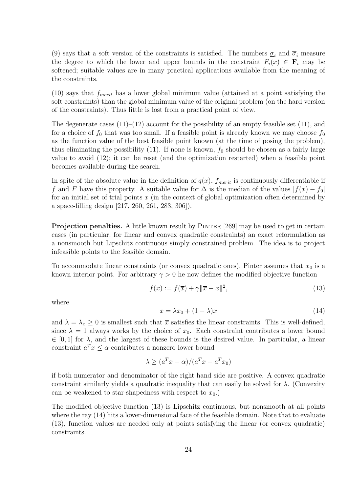(9) says that a soft version of the constraints is satisfied. The numbers  $\sigma_i$  and  $\overline{\sigma}_i$  measure the degree to which the lower and upper bounds in the constraint  $F_i(x) \in \mathbf{F}_i$  may be softened; suitable values are in many practical applications available from the meaning of the constraints.

(10) says that  $f_{merit}$  has a lower global minimum value (attained at a point satisfying the soft constraints) than the global minimum value of the original problem (on the hard version of the constraints). Thus little is lost from a practical point of view.

The degenerate cases  $(11)$ – $(12)$  account for the possibility of an empty feasible set  $(11)$ , and for a choice of  $f_0$  that was too small. If a feasible point is already known we may choose  $f_0$ as the function value of the best feasible point known (at the time of posing the problem), thus eliminating the possibility  $(11)$ . If none is known,  $f_0$  should be chosen as a fairly large value to avoid (12); it can be reset (and the optimization restarted) when a feasible point becomes available during the search.

In spite of the absolute value in the definition of  $q(x)$ ,  $f_{merit}$  is continuously differentiable if f and F have this property. A suitable value for  $\Delta$  is the median of the values  $|f(x) - f_0|$ for an initial set of trial points  $x$  (in the context of global optimization often determined by a space-filling design [217, 260, 261, 283, 306]).

Projection penalties. A little known result by PINTER [269] may be used to get in certain cases (in particular, for linear and convex quadratic constraints) an exact reformulation as a nonsmooth but Lipschitz continuous simply constrained problem. The idea is to project infeasible points to the feasible domain.

To accommodate linear constraints (or convex quadratic ones), Pinter assumes that  $x_0$  is a known interior point. For arbitrary  $\gamma > 0$  he now defines the modified objective function

$$
\overline{f}(x) := f(\overline{x}) + \gamma \|\overline{x} - x\|^2,\tag{13}
$$

where

$$
\overline{x} = \lambda x_0 + (1 - \lambda)x \tag{14}
$$

and  $\lambda = \lambda_x > 0$  is smallest such that  $\bar{x}$  satisfies the linear constraints. This is well-defined, since  $\lambda = 1$  always works by the choice of  $x_0$ . Each constraint contributes a lower bound  $\in$  [0, 1] for  $\lambda$ , and the largest of these bounds is the desired value. In particular, a linear constraint  $a^T x \leq \alpha$  contributes a nonzero lower bound

$$
\lambda \ge (a^T x - \alpha) / (a^T x - a^T x_0)
$$

if both numerator and denominator of the right hand side are positive. A convex quadratic constraint similarly yields a quadratic inequality that can easily be solved for  $\lambda$ . (Convexity can be weakened to star-shapedness with respect to  $x_0$ .)

The modified objective function (13) is Lipschitz continuous, but nonsmooth at all points where the ray  $(14)$  hits a lower-dimensional face of the feasible domain. Note that to evaluate (13), function values are needed only at points satisfying the linear (or convex quadratic) constraints.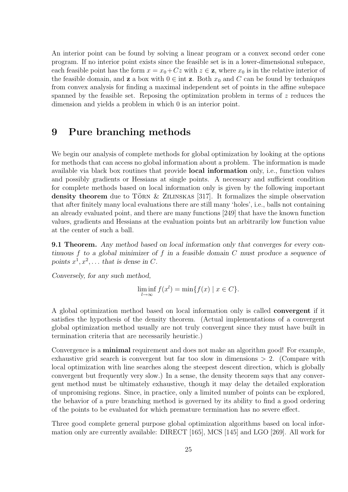An interior point can be found by solving a linear program or a convex second order cone program. If no interior point exists since the feasible set is in a lower-dimensional subspace, each feasible point has the form  $x = x_0 + Cz$  with  $z \in \mathbf{z}$ , where  $x_0$  is in the relative interior of the feasible domain, and **z** a box with  $0 \in \text{int } z$ . Both  $x_0$  and C can be found by techniques from convex analysis for finding a maximal independent set of points in the affine subspace spanned by the feasible set. Reposing the optimization problem in terms of  $z$  reduces the dimension and yields a problem in which 0 is an interior point.

### 9 Pure branching methods

We begin our analysis of complete methods for global optimization by looking at the options for methods that can access no global information about a problem. The information is made available via black box routines that provide local information only, i.e., function values and possibly gradients or Hessians at single points. A necessary and sufficient condition for complete methods based on local information only is given by the following important density theorem due to TÖRN  $&$  ZILINSKAS [317]. It formalizes the simple observation that after finitely many local evaluations there are still many 'holes', i.e., balls not containing an already evaluated point, and there are many functions [249] that have the known function values, gradients and Hessians at the evaluation points but an arbitrarily low function value at the center of such a ball.

**9.1 Theorem.** Any method based on local information only that converges for every continuous  $f$  to a global minimizer of  $f$  in a feasible domain  $C$  must produce a sequence of points  $x^1, x^2, \ldots$  that is dense in C.

Conversely, for any such method,

$$
\liminf_{l \to \infty} f(x^l) = \min\{f(x) \mid x \in C\}.
$$

A global optimization method based on local information only is called convergent if it satisfies the hypothesis of the density theorem. (Actual implementations of a convergent global optimization method usually are not truly convergent since they must have built in termination criteria that are necessarily heuristic.)

Convergence is a **minimal** requirement and does not make an algorithm good! For example, exhaustive grid search is convergent but far too slow in dimensions  $> 2$ . (Compare with local optimization with line searches along the steepest descent direction, which is globally convergent but frequently very slow.) In a sense, the density theorem says that any convergent method must be ultimately exhaustive, though it may delay the detailed exploration of unpromising regions. Since, in practice, only a limited number of points can be explored, the behavior of a pure branching method is governed by its ability to find a good ordering of the points to be evaluated for which premature termination has no severe effect.

Three good complete general purpose global optimization algorithms based on local information only are currently available: DIRECT [165], MCS [145] and LGO [269]. All work for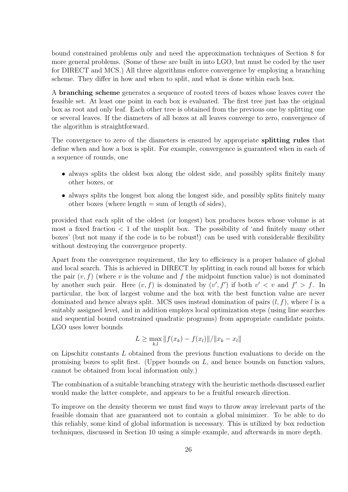bound constrained problems only and need the approximation techniques of Section 8 for more general problems. (Some of these are built in into LGO, but must be coded by the user for DIRECT and MCS.) All three algorithms enforce convergence by employing a branching scheme. They differ in how and when to split, and what is done within each box.

A branching scheme generates a sequence of rooted trees of boxes whose leaves cover the feasible set. At least one point in each box is evaluated. The first tree just has the original box as root and only leaf. Each other tree is obtained from the previous one by splitting one or several leaves. If the diameters of all boxes at all leaves converge to zero, convergence of the algorithm is straightforward.

The convergence to zero of the diameters is ensured by appropriate **splitting rules** that define when and how a box is split. For example, convergence is guaranteed when in each of a sequence of rounds, one

- always splits the oldest box along the oldest side, and possibly splits finitely many other boxes, or
- always splits the longest box along the longest side, and possibly splits finitely many other boxes (where length  $=$  sum of length of sides),

provided that each split of the oldest (or longest) box produces boxes whose volume is at most a fixed fraction  $\langle 1 \rangle$  of the unsplit box. The possibility of 'and finitely many other boxes' (but not many if the code is to be robust!) can be used with considerable flexibility without destroying the convergence property.

Apart from the convergence requirement, the key to efficiency is a proper balance of global and local search. This is achieved in DIRECT by splitting in each round all boxes for which the pair  $(v, f)$  (where v is the volume and f the midpoint function value) is not dominated by another such pair. Here  $(v, f)$  is dominated by  $(v', f')$  if both  $v' < v$  and  $f' > f$ . In particular, the box of largest volume and the box with the best function value are never dominated and hence always split. MCS uses instead domination of pairs  $(l, f)$ , where l is a suitably assigned level, and in addition employs local optimization steps (using line searches and sequential bound constrained quadratic programs) from appropriate candidate points. LGO uses lower bounds

$$
L \ge \max_{k,l} \|f(x_k) - f(x_l)\| / \|x_k - x_l\|
$$

on Lipschitz constants L obtained from the previous function evaluations to decide on the promising boxes to split first. (Upper bounds on  $L$ , and hence bounds on function values, cannot be obtained from local information only.)

The combination of a suitable branching strategy with the heuristic methods discussed earlier would make the latter complete, and appears to be a fruitful research direction.

To improve on the density theorem we must find ways to throw away irrelevant parts of the feasible domain that are guaranteed not to contain a global minimizer. To be able to do this reliably, some kind of global information is necessary. This is utilized by box reduction techniques, discussed in Section 10 using a simple example, and afterwards in more depth.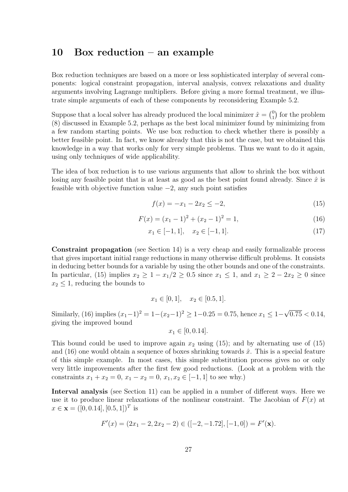#### 10 Box reduction – an example

Box reduction techniques are based on a more or less sophisticated interplay of several components: logical constraint propagation, interval analysis, convex relaxations and duality arguments involving Lagrange multipliers. Before giving a more formal treatment, we illustrate simple arguments of each of these components by reconsidering Example 5.2.

Suppose that a local solver has already produced the local minimizer  $\hat{x} = \begin{pmatrix} 0 \\ 1 \end{pmatrix}$  $_1^0$  for the problem (8) discussed in Example 5.2, perhaps as the best local minimizer found by minimizing from a few random starting points. We use box reduction to check whether there is possibly a better feasible point. In fact, we know already that this is not the case, but we obtained this knowledge in a way that works only for very simple problems. Thus we want to do it again, using only techniques of wide applicability.

The idea of box reduction is to use various arguments that allow to shrink the box without losing any feasible point that is at least as good as the best point found already. Since  $\hat{x}$  is feasible with objective function value  $-2$ , any such point satisfies

$$
f(x) = -x_1 - 2x_2 \le -2,\tag{15}
$$

$$
F(x) = (x_1 - 1)^2 + (x_2 - 1)^2 = 1,
$$
\n(16)

$$
x_1 \in [-1, 1], \quad x_2 \in [-1, 1]. \tag{17}
$$

Constraint propagation (see Section 14) is a very cheap and easily formalizable process that gives important initial range reductions in many otherwise difficult problems. It consists in deducing better bounds for a variable by using the other bounds and one of the constraints. In particular, (15) implies  $x_2 \geq 1 - x_1/2 \geq 0.5$  since  $x_1 \leq 1$ , and  $x_1 \geq 2 - 2x_2 \geq 0$  since  $x_2 \leq 1$ , reducing the bounds to

$$
x_1 \in [0, 1], \quad x_2 \in [0.5, 1].
$$

Similarly, (16) implies  $(x_1-1)^2 = 1-(x_2-1)^2 \ge 1-0.25 = 0.75$ , hence  $x_1 \le 1-\sqrt{0.75} < 0.14$ , giving the improved bound

$$
x_1 \in [0, 0.14].
$$

This bound could be used to improve again  $x_2$  using (15); and by alternating use of (15) and (16) one would obtain a sequence of boxes shrinking towards  $\hat{x}$ . This is a special feature of this simple example. In most cases, this simple substitution process gives no or only very little improvements after the first few good reductions. (Look at a problem with the constraints  $x_1 + x_2 = 0$ ,  $x_1 - x_2 = 0$ ,  $x_1, x_2 \in [-1, 1]$  to see why.)

Interval analysis (see Section 11) can be applied in a number of different ways. Here we use it to produce linear relaxations of the nonlinear constraint. The Jacobian of  $F(x)$  at  $x \in \mathbf{x} = ([0, 0.14], [0.5, 1])^T$  is

$$
F'(x) = (2x_1 - 2, 2x_2 - 2) \in ([-2, -1.72], [-1, 0]) = F'(\mathbf{x}).
$$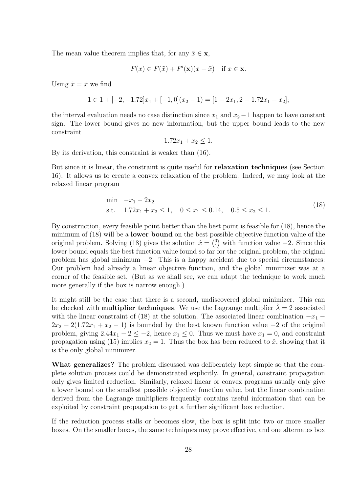The mean value theorem implies that, for any  $\tilde{x} \in \mathbf{x}$ ,

$$
F(x) \in F(\tilde{x}) + F'(\mathbf{x})(x - \tilde{x}) \quad \text{if } x \in \mathbf{x}.
$$

Using  $\tilde{x} = \hat{x}$  we find

$$
1 \in 1 + [-2, -1.72]x_1 + [-1, 0](x_2 - 1) = [1 - 2x_1, 2 - 1.72x_1 - x_2];
$$

the interval evaluation needs no case distinction since  $x_1$  and  $x_2 - 1$  happen to have constant sign. The lower bound gives no new information, but the upper bound leads to the new constraint

$$
1.72x_1 + x_2 \le 1.
$$

By its derivation, this constraint is weaker than (16).

But since it is linear, the constraint is quite useful for relaxation techniques (see Section 16). It allows us to create a convex relaxation of the problem. Indeed, we may look at the relaxed linear program

$$
\begin{aligned}\n\min \quad -x_1 - 2x_2 \\
\text{s.t.} \quad 1.72x_1 + x_2 &\le 1, \quad 0 \le x_1 \le 0.14, \quad 0.5 \le x_2 \le 1.\n\end{aligned} \tag{18}
$$

By construction, every feasible point better than the best point is feasible for (18), hence the minimum of (18) will be a lower bound on the best possible objective function value of the original problem. Solving (18) gives the solution  $\hat{x} = \begin{pmatrix} 0 \\ 1 \end{pmatrix}$  $_{1}^{0}$ ) with function value  $-2$ . Since this lower bound equals the best function value found so far for the original problem, the original problem has global minimum  $-2$ . This is a happy accident due to special circumstances: Our problem had already a linear objective function, and the global minimizer was at a corner of the feasible set. (But as we shall see, we can adapt the technique to work much more generally if the box is narrow enough.)

It might still be the case that there is a second, undiscovered global minimizer. This can be checked with **multiplier techniques**. We use the Lagrange multiplier  $\lambda = 2$  associated with the linear constraint of (18) at the solution. The associated linear combination  $-x_1$  –  $2x_2 + 2(1.72x_1 + x_2 - 1)$  is bounded by the best known function value −2 of the original problem, giving  $2.44x_1 - 2 \leq -2$ , hence  $x_1 \leq 0$ . Thus we must have  $x_1 = 0$ , and constraint propagation using (15) implies  $x_2 = 1$ . Thus the box has been reduced to  $\hat{x}$ , showing that it is the only global minimizer.

What generalizes? The problem discussed was deliberately kept simple so that the complete solution process could be demonstrated explicitly. In general, constraint propagation only gives limited reduction. Similarly, relaxed linear or convex programs usually only give a lower bound on the smallest possible objective function value, but the linear combination derived from the Lagrange multipliers frequently contains useful information that can be exploited by constraint propagation to get a further significant box reduction.

If the reduction process stalls or becomes slow, the box is split into two or more smaller boxes. On the smaller boxes, the same techniques may prove effective, and one alternates box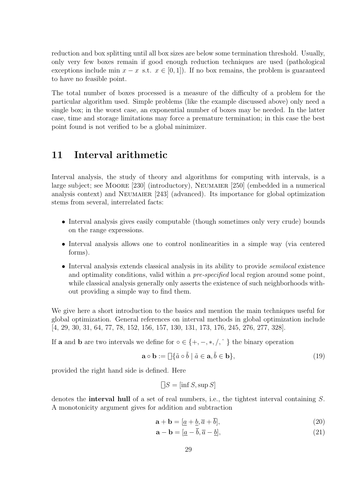reduction and box splitting until all box sizes are below some termination threshold. Usually, only very few boxes remain if good enough reduction techniques are used (pathological exceptions include min  $x - x$  s.t.  $x \in [0, 1]$ . If no box remains, the problem is guaranteed to have no feasible point.

The total number of boxes processed is a measure of the difficulty of a problem for the particular algorithm used. Simple problems (like the example discussed above) only need a single box; in the worst case, an exponential number of boxes may be needed. In the latter case, time and storage limitations may force a premature termination; in this case the best point found is not verified to be a global minimizer.

### 11 Interval arithmetic

Interval analysis, the study of theory and algorithms for computing with intervals, is a large subject; see MOORE [230] (introductory), NEUMAIER [250] (embedded in a numerical analysis context) and NEUMAIER [243] (advanced). Its importance for global optimization stems from several, interrelated facts:

- Interval analysis gives easily computable (though sometimes only very crude) bounds on the range expressions.
- Interval analysis allows one to control nonlinearities in a simple way (via centered forms).
- Interval analysis extends classical analysis in its ability to provide *semilocal* existence and optimality conditions, valid within a *pre-specified* local region around some point, while classical analysis generally only asserts the existence of such neighborhoods without providing a simple way to find them.

We give here a short introduction to the basics and mention the main techniques useful for global optimization. General references on interval methods in global optimization include [4, 29, 30, 31, 64, 77, 78, 152, 156, 157, 130, 131, 173, 176, 245, 276, 277, 328].

If **a** and **b** are two intervals we define for  $\circ \in \{+, -, *, /, \hat{ } \}$  the binary operation

$$
\mathbf{a} \circ \mathbf{b} := \Box \{ \tilde{a} \circ \tilde{b} \mid \tilde{a} \in \mathbf{a}, \tilde{b} \in \mathbf{b} \},\tag{19}
$$

provided the right hand side is defined. Here

$$
\Box S = [\inf S, \sup S]
$$

denotes the interval hull of a set of real numbers, i.e., the tightest interval containing S. A monotonicity argument gives for addition and subtraction

$$
\mathbf{a} + \mathbf{b} = [\underline{a} + \underline{b}, \overline{a} + \overline{b}], \tag{20}
$$

$$
\mathbf{a} - \mathbf{b} = [\underline{a} - \overline{b}, \overline{a} - \underline{b}], \tag{21}
$$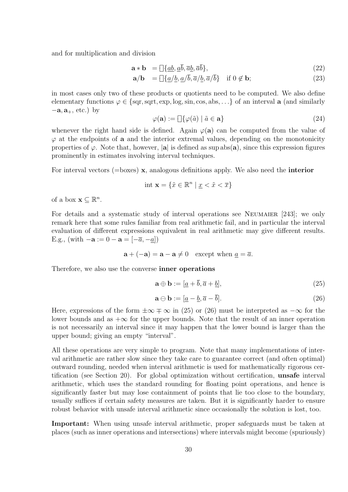and for multiplication and division

$$
\mathbf{a} * \mathbf{b} = \Box \{\underline{ab}, \underline{a}\overline{b}, \overline{a}\underline{b}, \overline{a}\overline{b}\},\tag{22}
$$

$$
\mathbf{a/b} = \Box \{\underline{a/b}, \underline{a/b}, \overline{a/b}, \overline{a/b}\} \quad \text{if } 0 \notin \mathbf{b};
$$
 (23)

in most cases only two of these products or quotients need to be computed. We also define elementary functions  $\varphi \in \{\text{sqr}, \text{sqrt}, \text{exp}, \text{log}, \text{sin}, \text{cos}, \text{abs}, \ldots\}$  of an interval **a** (and similarly  $-\mathbf{a}, \mathbf{a}_+, \text{etc.}$ ) by

$$
\varphi(\mathbf{a}) := \Box \{ \varphi(\tilde{a}) \mid \tilde{a} \in \mathbf{a} \}
$$
\n(24)

whenever the right hand side is defined. Again  $\varphi(\mathbf{a})$  can be computed from the value of  $\varphi$  at the endpoints of **a** and the interior extremal values, depending on the monotonicity properties of  $\varphi$ . Note that, however, |a| is defined as sup abs(a), since this expression figures prominently in estimates involving interval techniques.

For interval vectors  $(=\text{boxes})$  x, analogous definitions apply. We also need the **interior** 

$$
\text{int } \mathbf{x} = \{ \tilde{x} \in \mathbb{R}^n \mid \underline{x} < \tilde{x} < \overline{x} \}
$$

of a box  $\mathbf{x} \subseteq \mathbb{R}^n$ .

For details and a systematic study of interval operations see NEUMAIER [243]; we only remark here that some rules familiar from real arithmetic fail, and in particular the interval evaluation of different expressions equivalent in real arithmetic may give different results. E.g., (with  $-\mathbf{a} := 0 - \mathbf{a} = [-\overline{a}, -\underline{a}])$ 

$$
\mathbf{a} + (-\mathbf{a}) = \mathbf{a} - \mathbf{a} \neq 0 \quad \text{except when } \underline{a} = \overline{a}.
$$

Therefore, we also use the converse inner operations

$$
\mathbf{a} \oplus \mathbf{b} := [\underline{a} + \overline{b}, \overline{a} + \underline{b}], \tag{25}
$$

$$
\mathbf{a} \ominus \mathbf{b} := [\underline{a} - \underline{b}, \overline{a} - \overline{b}]. \tag{26}
$$

Here, expressions of the form  $\pm\infty \mp \infty$  in (25) or (26) must be interpreted as  $-\infty$  for the lower bounds and as  $+\infty$  for the upper bounds. Note that the result of an inner operation is not necessarily an interval since it may happen that the lower bound is larger than the upper bound; giving an empty "interval".

All these operations are very simple to program. Note that many implementations of interval arithmetic are rather slow since they take care to guarantee correct (and often optimal) outward rounding, needed when interval arithmetic is used for mathematically rigorous certification (see Section 20). For global optimization without certification, unsafe interval arithmetic, which uses the standard rounding for floating point operations, and hence is significantly faster but may lose containment of points that lie too close to the boundary, usually suffices if certain safety measures are taken. But it is significantly harder to ensure robust behavior with unsafe interval arithmetic since occasionally the solution is lost, too.

Important: When using unsafe interval arithmetic, proper safeguards must be taken at places (such as inner operations and intersections) where intervals might become (spuriously)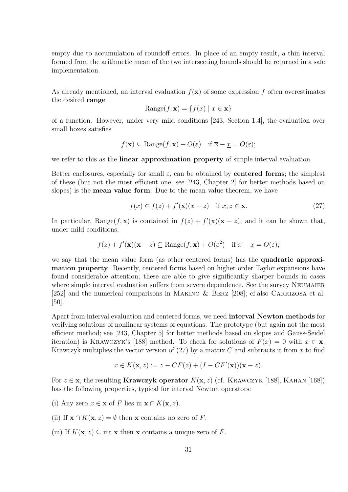empty due to accumulation of roundoff errors. In place of an empty result, a thin interval formed from the arithmetic mean of the two intersecting bounds should be returned in a safe implementation.

As already mentioned, an interval evaluation  $f(\mathbf{x})$  of some expression f often overestimates the desired range

$$
\text{Range}(f, \mathbf{x}) = \{ f(x) \mid x \in \mathbf{x} \}
$$

of a function. However, under very mild conditions [243, Section 1.4], the evaluation over small boxes satisfies

$$
f(\mathbf{x}) \subseteq \text{Range}(f, \mathbf{x}) + O(\varepsilon)
$$
 if  $\overline{x} - \underline{x} = O(\varepsilon)$ ;

we refer to this as the **linear approximation property** of simple interval evaluation.

Better enclosures, especially for small  $\varepsilon$ , can be obtained by **centered forms**; the simplest of these (but not the most efficient one, see [243, Chapter 2] for better methods based on slopes) is the mean value form: Due to the mean value theorem, we have

$$
f(x) \in f(z) + f'(\mathbf{x})(x - z) \quad \text{if } x, z \in \mathbf{x}.\tag{27}
$$

In particular, Range $(f, \mathbf{x})$  is contained in  $f(z) + f'(\mathbf{x})(\mathbf{x} - z)$ , and it can be shown that, under mild conditions,

$$
f(z) + f'(\mathbf{x})(\mathbf{x} - z) \subseteq \text{Range}(f, \mathbf{x}) + O(\varepsilon^2)
$$
 if  $\overline{x} - \underline{x} = O(\varepsilon)$ ;

we say that the mean value form (as other centered forms) has the quadratic approximation property. Recently, centered forms based on higher order Taylor expansions have found considerable attention; these are able to give significantly sharper bounds in cases where simple interval evaluation suffers from severe dependence. See the survey NEUMAIER [252] and the numerical comparisons in MAKINO & BERZ [208]; cf.also CARRIZOSA et al. [50].

Apart from interval evaluation and centered forms, we need interval Newton methods for verifying solutions of nonlinear systems of equations. The prototype (but again not the most efficient method; see [243, Chapter 5] for better methods based on slopes and Gauss-Seidel iteration) is KRAWCZYK's [188] method. To check for solutions of  $F(x) = 0$  with  $x \in \mathbf{x}$ , Krawczyk multiplies the vector version of  $(27)$  by a matrix C and subtracts it from x to find

$$
x \in K(\mathbf{x}, z) := z - CF(z) + (I - CF'(\mathbf{x}))(\mathbf{x} - z).
$$

For  $z \in \mathbf{x}$ , the resulting Krawczyk operator  $K(\mathbf{x}, z)$  (cf. KRAWCZYK [188], KAHAN [168]) has the following properties, typical for interval Newton operators:

- (i) Any zero  $x \in \mathbf{x}$  of F lies in  $\mathbf{x} \cap K(\mathbf{x}, z)$ .
- (ii) If  $\mathbf{x} \cap K(\mathbf{x}, z) = \emptyset$  then  $\mathbf{x}$  contains no zero of F.
- (iii) If  $K(\mathbf{x}, z) \subseteq \text{int } \mathbf{x}$  then x contains a unique zero of F.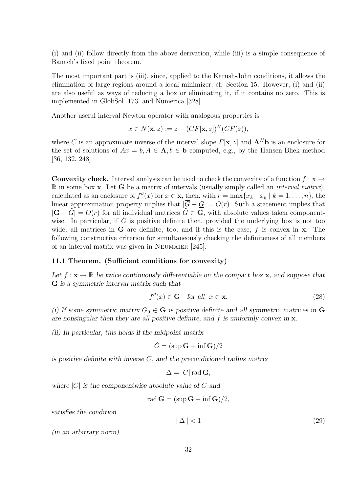(i) and (ii) follow directly from the above derivation, while (iii) is a simple consequence of Banach's fixed point theorem.

The most important part is (iii), since, applied to the Karush-John conditions, it allows the elimination of large regions around a local minimizer; cf. Section 15. However, (i) and (ii) are also useful as ways of reducing a box or eliminating it, if it contains no zero. This is implemented in GlobSol [173] and Numerica [328].

Another useful interval Newton operator with analogous properties is

 $x \in N(\mathbf{x}, z) := z - (CF[\mathbf{x}, z])^H(CF(z)),$ 

where C is an approximate inverse of the interval slope  $F[\mathbf{x}, z]$  and  $\mathbf{A}^H \mathbf{b}$  is an enclosure for the set of solutions of  $Ax = b, A \in \mathbf{A}, b \in \mathbf{b}$  computed, e.g., by the Hansen-Bliek method [36, 132, 248].

**Convexity check.** Interval analysis can be used to check the convexity of a function  $f : \mathbf{x} \rightarrow$  $\mathbb R$  in some box **x**. Let **G** be a matrix of intervals (usually simply called an *interval matrix*), calculated as an enclosure of  $f''(x)$  for  $x \in \mathbf{x}$ , then, with  $r = \max\{\overline{x}_k - \underline{x}_k \mid k = 1, \ldots, n\}$ , the linear approximation property implies that  $|\overline{G} - \underline{G}| = O(r)$ . Such a statement implies that  $|G - \tilde{G}| = O(r)$  for all individual matrices  $\tilde{G} \in \mathbf{G}$ , with absolute values taken componentwise. In particular, if  $\hat{G}$  is positive definite then, provided the underlying box is not too wide, all matrices in  $G$  are definite, too; and if this is the case, f is convex in  $x$ . The following constructive criterion for simultaneously checking the definiteness of all members of an interval matrix was given in NEUMAIER [245].

#### 11.1 Theorem. (Sufficient conditions for convexity)

Let  $f: \mathbf{x} \to \mathbb{R}$  be twice continuously differentiable on the compact box  $\mathbf{x}$ , and suppose that G is a symmetric interval matrix such that

$$
f''(x) \in \mathbf{G} \quad \text{for all} \ \ x \in \mathbf{x}.\tag{28}
$$

(i) If some symmetric matrix  $G_0 \in \mathbf{G}$  is positive definite and all symmetric matrices in  $\mathbf{G}$ are nonsingular then they are all positive definite, and  $f$  is uniformly convex in  $x$ .

(ii) In particular, this holds if the midpoint matrix

$$
\check{G} = (\sup \mathbf{G} + \inf \mathbf{G})/2
$$

is positive definite with inverse  $C$ , and the preconditioned radius matrix

 $\Delta = |C|$  rad **G**.

where  $|C|$  is the componentwise absolute value of C and

$$
\operatorname{rad} \mathbf{G} = (\sup \mathbf{G} - \inf \mathbf{G})/2,
$$

satisfies the condition

 $\|\Delta\| < 1$  (29)

(in an arbitrary norm).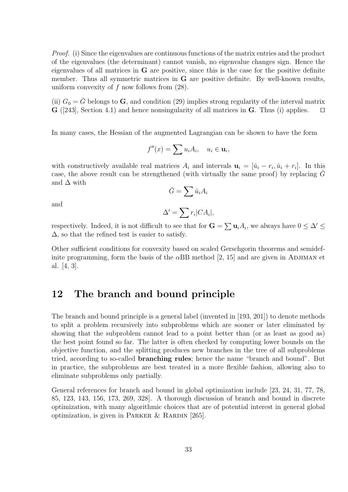Proof. (i) Since the eigenvalues are continuous functions of the matrix entries and the product of the eigenvalues (the determinant) cannot vanish, no eigenvalue changes sign. Hence the eigenvalues of all matrices in G are positive, since this is the case for the positive definite member. Thus all symmetric matrices in G are positive definite. By well-known results, uniform convexity of  $f$  now follows from  $(28)$ .

(ii)  $G_0 = G$  belongs to G, and condition (29) implies strong regularity of the interval matrix  $\bf{G}$  ([243], Section 4.1) and hence nonsingularity of all matrices in  $\bf{G}$ . Thus (i) applies.  $\Box$ 

In many cases, the Hessian of the augmented Lagrangian can be shown to have the form

$$
f''(x) = \sum u_i A_i, \quad u_i \in \mathbf{u}_i,
$$

with constructively available real matrices  $A_i$  and intervals  $\mathbf{u}_i = [\check{u}_i - r_i, \check{u}_i + r_i]$ . In this case, the above result can be strengthened (with virtually the same proof) by replacing  $G$ and  $\Delta$  with

$$
\check{G} = \sum \check{u}_i A_i
$$

and

$$
\Delta' = \sum r_i |CA_i|,
$$

respectively. Indeed, it is not difficult to see that for  $\mathbf{G} = \sum \mathbf{u}_i A_i$ , we always have  $0 \leq \Delta' \leq$  $\Delta$ , so that the refined test is easier to satisfy.

Other sufficient conditions for convexity based on scaled Gerschgorin theorems and semidefinite programming, form the basis of the  $\alpha$ BB method [2, 15] and are given in ADJIMAN et al. [4, 3].

### 12 The branch and bound principle

The branch and bound principle is a general label (invented in [193, 201]) to denote methods to split a problem recursively into subproblems which are sooner or later eliminated by showing that the subproblem cannot lead to a point better than (or as least as good as) the best point found so far. The latter is often checked by computing lower bounds on the objective function, and the splitting produces new branches in the tree of all subproblems tried, according to so-called branching rules; hence the name "branch and bound". But in practice, the subproblems are best treated in a more flexible fashion, allowing also to eliminate subproblems only partially.

General references for branch and bound in global optimization include [23, 24, 31, 77, 78, 85, 123, 143, 156, 173, 269, 328]. A thorough discussion of branch and bound in discrete optimization, with many algorithmic choices that are of potential interest in general global optimization, is given in PARKER  $&$  RARDIN [265].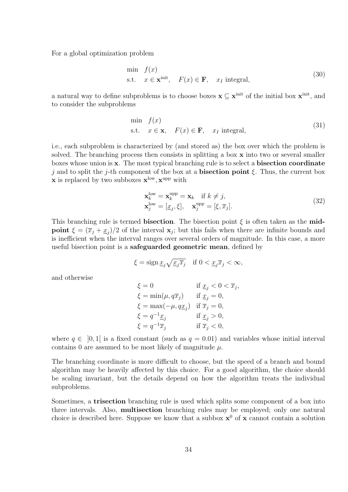For a global optimization problem

$$
\begin{array}{ll}\n\text{min} & f(x) \\
\text{s.t.} & x \in \mathbf{x}^{\text{init}}, \quad F(x) \in \mathbf{F}, \quad x_I \text{ integral},\n\end{array} \tag{30}
$$

a natural way to define subproblems is to choose boxes  $\mathbf{x} \subseteq \mathbf{x}^{\text{init}}$  of the initial box  $\mathbf{x}^{\text{init}}$ , and to consider the subproblems

$$
\min f(x) \n\text{s.t.} \quad x \in \mathbf{x}, \quad F(x) \in \mathbf{F}, \quad x_I \text{ integral},
$$
\n(31)

i.e., each subproblem is characterized by (and stored as) the box over which the problem is solved. The branching process then consists in splitting a box x into two or several smaller boxes whose union is x. The most typical branching rule is to select a bisection coordinate j and to split the j-th component of the box at a **bisection point**  $\xi$ . Thus, the current box **x** is replaced by two subboxes  $\mathbf{x}^{\text{low}}, \mathbf{x}^{\text{upp}}$  with

$$
\mathbf{x}_{k}^{\text{low}} = \mathbf{x}_{k}^{\text{upp}} = \mathbf{x}_{k} \quad \text{if } k \neq j,
$$
  

$$
\mathbf{x}_{j}^{\text{low}} = [\underline{x}_{j}, \xi], \quad \mathbf{x}_{j}^{\text{upp}} = [\xi, \overline{x}_{j}].
$$
 (32)

This branching rule is termed **bisection**. The bisection point  $\xi$  is often taken as the **midpoint**  $\xi = (\overline{x}_j + \underline{x}_j)/2$  of the interval  $\mathbf{x}_j$ ; but this fails when there are infinite bounds and is inefficient when the interval ranges over several orders of magnitude. In this case, a more useful bisection point is a safeguarded geometric mean, defined by

$$
\xi = \text{sign}\,\underline{x}_j \sqrt{\underline{x}_j \overline{x}_j} \quad \text{if } 0 < \underline{x}_j \overline{x}_j < \infty,
$$

and otherwise

$$
\xi = 0 \quad \text{if } \underline{x}_j < 0 < \overline{x}_j, \\
\xi = \min(\mu, q\overline{x}_j) \quad \text{if } \underline{x}_j = 0, \\
\xi = \max(-\mu, q\underline{x}_j) \quad \text{if } \overline{x}_j = 0, \\
\xi = q^{-1}\underline{x}_j \quad \text{if } \underline{x}_j > 0, \\
\xi = q^{-1}\overline{x}_j \quad \text{if } \overline{x}_j < 0,
$$

where  $q \in [0, 1]$  is a fixed constant (such as  $q = 0.01$ ) and variables whose initial interval contains 0 are assumed to be most likely of magnitude  $\mu$ .

The branching coordinate is more difficult to choose, but the speed of a branch and bound algorithm may be heavily affected by this choice. For a good algorithm, the choice should be scaling invariant, but the details depend on how the algorithm treats the individual subproblems.

Sometimes, a trisection branching rule is used which splits some component of a box into three intervals. Also, multisection branching rules may be employed; only one natural choice is described here. Suppose we know that a subbox  $x^0$  of x cannot contain a solution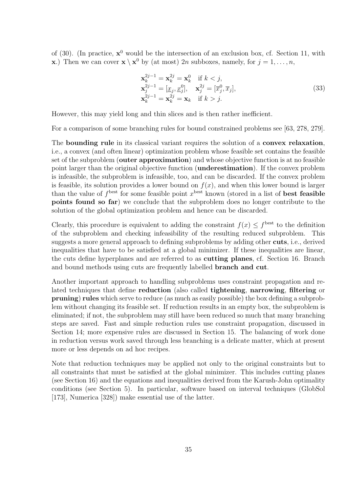of  $(30)$ . (In practice,  $\mathbf{x}^0$  would be the intersection of an exclusion box, cf. Section 11, with **x**.) Then we can cover  $\mathbf{x} \setminus \mathbf{x}^0$  by (at most) 2n subboxes, namely, for  $j = 1, ..., n$ ,

$$
\mathbf{x}_{k}^{2j-1} = \mathbf{x}_{k}^{2j} = \mathbf{x}_{k}^{0} \quad \text{if } k < j, \n\mathbf{x}_{j}^{2j-1} = [\underline{x}_{j}, \underline{x}_{j}^{0}], \quad \mathbf{x}_{j}^{2j} = [\overline{x}_{j}^{0}, \overline{x}_{j}], \n\mathbf{x}_{k}^{2j-1} = \mathbf{x}_{k}^{2j} = \mathbf{x}_{k} \quad \text{if } k > j.
$$
\n(33)

However, this may yield long and thin slices and is then rather inefficient.

For a comparison of some branching rules for bound constrained problems see [63, 278, 279].

The bounding rule in its classical variant requires the solution of a convex relaxation, i.e., a convex (and often linear) optimization problem whose feasible set contains the feasible set of the subproblem (outer approximation) and whose objective function is at no feasible point larger than the original objective function (underestimation). If the convex problem is infeasible, the subproblem is infeasible, too, and can be discarded. If the convex problem is feasible, its solution provides a lower bound on  $f(x)$ , and when this lower bound is larger than the value of  $f<sup>best</sup>$  for some feasible point  $x<sup>best</sup>$  known (stored in a list of **best feasible** points found so far) we conclude that the subproblem does no longer contribute to the solution of the global optimization problem and hence can be discarded.

Clearly, this procedure is equivalent to adding the constraint  $f(x) \leq f^{\text{best}}$  to the definition of the subproblem and checking infeasibility of the resulting reduced subproblem. This suggests a more general approach to defining subproblems by adding other cuts, i.e., derived inequalities that have to be satisfied at a global minimizer. If these inequalities are linear, the cuts define hyperplanes and are referred to as cutting planes, cf. Section 16. Branch and bound methods using cuts are frequently labelled branch and cut.

Another important approach to handling subproblems uses constraint propagation and related techniques that define reduction (also called tightening, narrowing, filtering or pruning) rules which serve to reduce (as much as easily possible) the box defining a subproblem without changing its feasible set. If reduction results in an empty box, the subproblem is eliminated; if not, the subproblem may still have been reduced so much that many branching steps are saved. Fast and simple reduction rules use constraint propagation, discussed in Section 14; more expensive rules are discussed in Section 15. The balancing of work done in reduction versus work saved through less branching is a delicate matter, which at present more or less depends on ad hoc recipes.

Note that reduction techniques may be applied not only to the original constraints but to all constraints that must be satisfied at the global minimizer. This includes cutting planes (see Section 16) and the equations and inequalities derived from the Karush-John optimality conditions (see Section 5). In particular, software based on interval techniques (GlobSol [173], Numerica [328]) make essential use of the latter.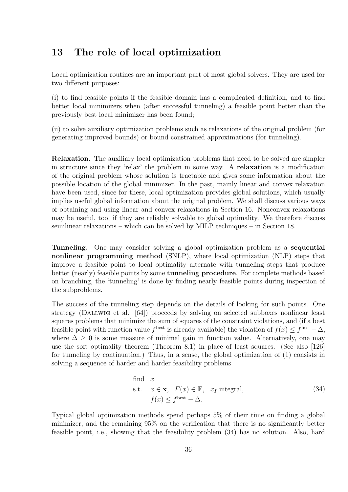### 13 The role of local optimization

Local optimization routines are an important part of most global solvers. They are used for two different purposes:

(i) to find feasible points if the feasible domain has a complicated definition, and to find better local minimizers when (after successful tunneling) a feasible point better than the previously best local minimizer has been found;

(ii) to solve auxiliary optimization problems such as relaxations of the original problem (for generating improved bounds) or bound constrained approximations (for tunneling).

Relaxation. The auxiliary local optimization problems that need to be solved are simpler in structure since they 'relax' the problem in some way. A relaxation is a modification of the original problem whose solution is tractable and gives some information about the possible location of the global minimizer. In the past, mainly linear and convex relaxation have been used, since for these, local optimization provides global solutions, which usually implies useful global information about the original problem. We shall discuss various ways of obtaining and using linear and convex relaxations in Section 16. Nonconvex relaxations may be useful, too, if they are reliably solvable to global optimality. We therefore discuss semilinear relaxations – which can be solved by MILP techniques – in Section 18.

Tunneling. One may consider solving a global optimization problem as a sequential nonlinear programming method (SNLP), where local optimization (NLP) steps that improve a feasible point to local optimality alternate with tunneling steps that produce better (nearly) feasible points by some tunneling procedure. For complete methods based on branching, the 'tunneling' is done by finding nearly feasible points during inspection of the subproblems.

The success of the tunneling step depends on the details of looking for such points. One strategy (Dallwig et al. [64]) proceeds by solving on selected subboxes nonlinear least squares problems that minimize the sum of squares of the constraint violations, and (if a best feasible point with function value  $f<sup>best</sup>$  is already available) the violation of  $f(x) \le f<sup>best</sup> - \Delta$ , where  $\Delta \geq 0$  is some measure of minimal gain in function value. Alternatively, one may use the soft optimality theorem (Theorem 8.1) in place of least squares. (See also [126] for tunneling by continuation.) Thus, in a sense, the global optimization of (1) consists in solving a sequence of harder and harder feasibility problems

find 
$$
x
$$
  
s.t.  $x \in \mathbf{x}$ ,  $F(x) \in \mathbf{F}$ ,  $x_I$  integral,  
 $f(x) \le f^{\text{best}} - \Delta$ . (34)

Typical global optimization methods spend perhaps 5% of their time on finding a global minimizer, and the remaining 95% on the verification that there is no significantly better feasible point, i.e., showing that the feasibility problem (34) has no solution. Also, hard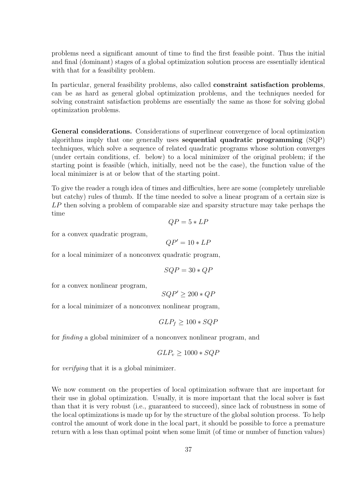problems need a significant amount of time to find the first feasible point. Thus the initial and final (dominant) stages of a global optimization solution process are essentially identical with that for a feasibility problem.

In particular, general feasibility problems, also called constraint satisfaction problems, can be as hard as general global optimization problems, and the techniques needed for solving constraint satisfaction problems are essentially the same as those for solving global optimization problems.

General considerations. Considerations of superlinear convergence of local optimization algorithms imply that one generally uses sequential quadratic programming (SQP) techniques, which solve a sequence of related quadratic programs whose solution converges (under certain conditions, cf. below) to a local minimizer of the original problem; if the starting point is feasible (which, initially, need not be the case), the function value of the local minimizer is at or below that of the starting point.

To give the reader a rough idea of times and difficulties, here are some (completely unreliable but catchy) rules of thumb. If the time needed to solve a linear program of a certain size is LP then solving a problem of comparable size and sparsity structure may take perhaps the time

$$
QP = 5 * LP
$$

for a convex quadratic program,

$$
QP'=10*LP
$$

for a local minimizer of a nonconvex quadratic program,

$$
SQP = 30 \ast QP
$$

for a convex nonlinear program,

$$
SQP' \ge 200 \cdot QP
$$

for a local minimizer of a nonconvex nonlinear program,

$$
GLP_f \geq 100 * SQP
$$

for finding a global minimizer of a nonconvex nonlinear program, and

$$
GLP_v \geq 1000 * SQP
$$

for verifying that it is a global minimizer.

We now comment on the properties of local optimization software that are important for their use in global optimization. Usually, it is more important that the local solver is fast than that it is very robust (i.e., guaranteed to succeed), since lack of robustness in some of the local optimizations is made up for by the structure of the global solution process. To help control the amount of work done in the local part, it should be possible to force a premature return with a less than optimal point when some limit (of time or number of function values)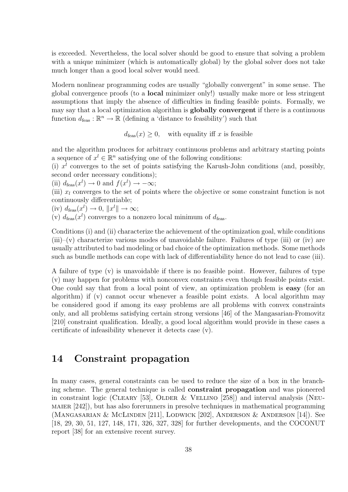is exceeded. Nevertheless, the local solver should be good to ensure that solving a problem with a unique minimizer (which is automatically global) by the global solver does not take much longer than a good local solver would need.

Modern nonlinear programming codes are usually "globally convergent" in some sense. The global convergence proofs (to a local minimizer only!) usually make more or less stringent assumptions that imply the absence of difficulties in finding feasible points. Formally, we may say that a local optimization algorithm is globally convergent if there is a continuous function  $d_{\text{feas}} : \mathbb{R}^n \to \mathbb{R}$  (defining a 'distance to feasibility') such that

 $d_{\text{feas}}(x) \geq 0$ , with equality iff x is feasible

and the algorithm produces for arbitrary continuous problems and arbitrary starting points a sequence of  $x^l \in \mathbb{R}^n$  satisfying one of the following conditions:

(i)  $x<sup>l</sup>$  converges to the set of points satisfying the Karush-John conditions (and, possibly, second order necessary conditions);

(ii)  $d_{\text{feas}}(x^l) \to 0$  and  $f(x^l) \to -\infty$ ;

(iii)  $x_l$  converges to the set of points where the objective or some constraint function is not continuously differentiable;

 $(iv) d_{\text{feas}}(x^l) \to 0, ||x^l|| \to \infty;$ 

(v)  $d_{\text{feas}}(x^l)$  converges to a nonzero local minimum of  $d_{\text{feas}}$ .

Conditions (i) and (ii) characterize the achievement of the optimization goal, while conditions  $(iii)$ –(v) characterize various modes of unavoidable failure. Failures of type (iii) or (iv) are usually attributed to bad modeling or bad choice of the optimization methods. Some methods such as bundle methods can cope with lack of differentiability hence do not lead to case (iii).

A failure of type (v) is unavoidable if there is no feasible point. However, failures of type (v) may happen for problems with nonconvex constraints even though feasible points exist. One could say that from a local point of view, an optimization problem is easy (for an algorithm) if (v) cannot occur whenever a feasible point exists. A local algorithm may be considered good if among its easy problems are all problems with convex constraints only, and all problems satisfying certain strong versions [46] of the Mangasarian-Fromovitz [210] constraint qualification. Ideally, a good local algorithm would provide in these cases a certificate of infeasibility whenever it detects case (v).

## 14 Constraint propagation

In many cases, general constraints can be used to reduce the size of a box in the branching scheme. The general technique is called constraint propagation and was pioneered in constraint logic (CLEARY [53], OLDER & VELLINO [258]) and interval analysis (NEUmaier [242]), but has also forerunners in presolve techniques in mathematical programming (Mangasarian & McLinden [211], Lodwick [202], Anderson & Anderson [14]). See [18, 29, 30, 51, 127, 148, 171, 326, 327, 328] for further developments, and the COCONUT report [38] for an extensive recent survey.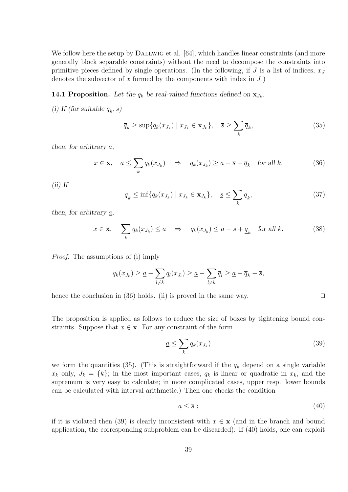We follow here the setup by DALLWIG et al. [64], which handles linear constraints (and more generally block separable constraints) without the need to decompose the constraints into primitive pieces defined by single operations. (In the following, if  $J$  is a list of indices,  $x_J$ denotes the subvector of x formed by the components with index in  $J$ .)

#### **14.1 Proposition.** Let the  $q_k$  be real-valued functions defined on  $\mathbf{x}_{J_k}$ .

(i) If (for suitable  $\overline{q}_k, \overline{s}$ )

$$
\overline{q}_k \ge \sup\{q_k(x_{J_k}) \mid x_{J_k} \in \mathbf{x}_{J_k}\}, \quad \overline{s} \ge \sum_k \overline{q}_k,\tag{35}
$$

then, for arbitrary  $a$ ,

$$
x \in \mathbf{x}, \quad \underline{a} \le \sum_{k} q_k(x_{J_k}) \quad \Rightarrow \quad q_k(x_{J_k}) \ge \underline{a} - \overline{s} + \overline{q}_k \quad \text{for all } k. \tag{36}
$$

(ii) If

$$
\underline{q}_k \le \inf \{ q_k(x_{J_k}) \mid x_{J_k} \in \mathbf{x}_{J_k} \}, \quad \underline{s} \le \sum_k \underline{q}_k,\tag{37}
$$

then, for arbitrary a,

$$
x \in \mathbf{x}, \quad \sum_{k} q_k(x_{J_k}) \le \overline{a} \quad \Rightarrow \quad q_k(x_{J_k}) \le \overline{a} - \underline{s} + \underline{q}_k \quad \text{for all } k. \tag{38}
$$

Proof. The assumptions of (i) imply

$$
q_k(x_{J_k}) \geq \underline{a} - \sum_{l \neq k} q_l(x_{J_l}) \geq \underline{a} - \sum_{l \neq k} \overline{q}_l \geq \underline{a} + \overline{q}_k - \overline{s},
$$

hence the conclusion in (36) holds. (ii) is proved in the same way.  $\square$ 

The proposition is applied as follows to reduce the size of boxes by tightening bound constraints. Suppose that  $x \in \mathbf{x}$ . For any constraint of the form

$$
\underline{a} \le \sum_{k} q_k(x_{J_k}) \tag{39}
$$

we form the quantities (35). (This is straightforward if the  $q_k$  depend on a single variable  $x_k$  only,  $J_k = \{k\}$ ; in the most important cases,  $q_k$  is linear or quadratic in  $x_k$ , and the supremum is very easy to calculate; in more complicated cases, upper resp. lower bounds can be calculated with interval arithmetic.) Then one checks the condition

$$
\underline{a} \le \overline{s} \tag{40}
$$

if it is violated then (39) is clearly inconsistent with  $x \in \mathbf{x}$  (and in the branch and bound application, the corresponding subproblem can be discarded). If (40) holds, one can exploit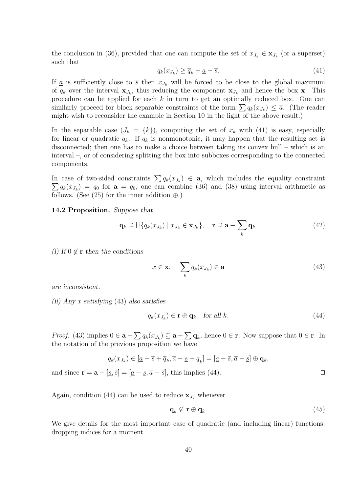the conclusion in (36), provided that one can compute the set of  $x_{J_k} \in \mathbf{x}_{J_k}$  (or a superset) such that

$$
q_k(x_{J_k}) \ge \overline{q}_k + \underline{a} - \overline{s}.\tag{41}
$$

If <u>a</u> is sufficiently close to  $\bar{s}$  then  $x_{J_k}$  will be forced to be close to the global maximum of  $q_k$  over the interval  $\mathbf{x}_{J_k}$ , thus reducing the component  $\mathbf{x}_{J_k}$  and hence the box **x**. This procedure can be applied for each  $k$  in turn to get an optimally reduced box. One can similarly proceed for block separable constraints of the form  $\sum q_k(x_{J_k}) \leq \overline{a}$ . (The reader might wish to reconsider the example in Section 10 in the light of the above result.)

In the separable case  $(J_k = \{k\})$ , computing the set of  $x_k$  with (41) is easy, especially for linear or quadratic  $q_k$ . If  $q_k$  is nonmonotonic, it may happen that the resulting set is disconnected; then one has to make a choice between taking its convex hull – which is an interval –, or of considering splitting the box into subboxes corresponding to the connected components.

In case of two-sided constraints  $\sum q_k(x_{J_k}) \in \mathbf{a}$ , which includes the equality constraint  $\sum q_k(x_{J_k}) = q_0$  for  $\mathbf{a} = q_0$ , one can combine (36) and (38) using interval arithmetic as  $q_k(x_{J_k}) = q_0$  for  $\mathbf{a} = q_0$ , one can combine (36) and (38) using interval arithmetic as follows. (See (25) for the inner addition  $\oplus$ .)

#### 14.2 Proposition. Suppose that

$$
\mathbf{q}_k \supseteq \Box \{ q_k(x_{J_k}) \mid x_{J_k} \in \mathbf{x}_{J_k} \}, \quad \mathbf{r} \supseteq \mathbf{a} - \sum_k \mathbf{q}_k. \tag{42}
$$

(i) If  $0 \notin \mathbf{r}$  then the conditions

$$
x \in \mathbf{x}, \quad \sum_{k} q_k(x_{J_k}) \in \mathbf{a}
$$
 (43)

are inconsistent.

(ii) Any x satisfying (43) also satisfies

$$
q_k(x_{J_k}) \in \mathbf{r} \oplus \mathbf{q}_k \quad \text{for all } k. \tag{44}
$$

*Proof.* (43) implies  $0 \in \mathbf{a} - \sum q_k(x_{J_k}) \subseteq \mathbf{a} - \sum \mathbf{q}_k$ , hence  $0 \in \mathbf{r}$ . Now suppose that  $0 \in \mathbf{r}$ . In the notation of the previous proposition we have

$$
q_k(x_{J_k}) \in [\underline{a} - \overline{s} + \overline{q}_k, \overline{a} - \underline{s} + \underline{q}_k] = [\underline{a} - \overline{s}, \overline{a} - \underline{s}] \oplus \mathbf{q}_k,
$$
  
and since  $\mathbf{r} = \mathbf{a} - [\underline{s}, \overline{s}] = [\underline{a} - \underline{s}, \overline{a} - \overline{s}],$  this implies (44).

Again, condition (44) can be used to reduce  $\mathbf{x}_{J_k}$  whenever

$$
\mathbf{q}_k \not\subseteq \mathbf{r} \oplus \mathbf{q}_k. \tag{45}
$$

We give details for the most important case of quadratic (and including linear) functions, dropping indices for a moment.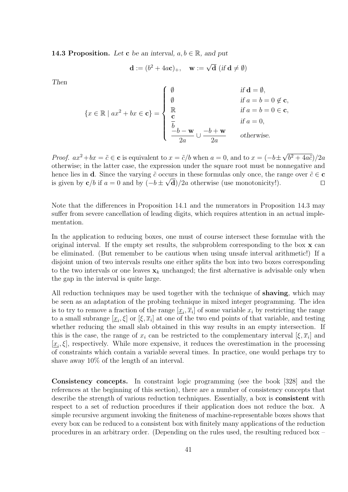**14.3 Proposition.** Let **c** be an interval,  $a, b \in \mathbb{R}$ , and put

$$
\mathbf{d} := (b^2 + 4a\mathbf{c})_+, \quad \mathbf{w} := \sqrt{\mathbf{d}} \, ( \text{if} \, \mathbf{d} \neq \emptyset)
$$

Then

$$
\{x \in \mathbb{R} \mid ax^2 + bx \in \mathbf{c}\} = \begin{cases} \emptyset & \text{if } \mathbf{d} = \emptyset, \\ \emptyset & \text{if } a = b = 0 \notin \mathbf{c}, \\ \mathbb{R} & \text{if } a = b = 0 \in \mathbf{c}, \\ \frac{\mathbf{c}}{b} & \text{if } a = 0, \\ \frac{-b - \mathbf{w}}{2a} \cup \frac{-b + \mathbf{w}}{2a} & \text{otherwise.} \end{cases}
$$

*Proof.*  $ax^2 + bx = \tilde{c} \in \mathbf{c}$  is equivalent to  $x = \tilde{c}/b$  when  $a = 0$ , and to  $x = \frac{-b \pm \sqrt{b^2 + 4a\tilde{c}}}{2a}$ otherwise; in the latter case, the expression under the square root must be nonnegative and hence lies in **d**. Since the varying  $\tilde{c}$  occurs in these formulas only once, the range over  $\tilde{c} \in \mathbf{c}$  is given by  $\mathbf{c}/b$  if  $a = 0$  and by  $(-b + \sqrt{\mathbf{d}})/2a$  otherwise (use monotonicity!). is given by  $\mathbf{c}/b$  if  $a = 0$  and by  $(-b \pm \sqrt{\mathbf{d}})/2a$  otherwise (use monotonicity!).

Note that the differences in Proposition 14.1 and the numerators in Proposition 14.3 may suffer from severe cancellation of leading digits, which requires attention in an actual implementation.

In the application to reducing boxes, one must of course intersect these formulae with the original interval. If the empty set results, the subproblem corresponding to the box  $\bf{x}$  can be eliminated. (But remember to be cautious when using unsafe interval arithmetic!) If a disjoint union of two intervals results one either splits the box into two boxes corresponding to the two intervals or one leaves  $\mathbf{x}_k$  unchanged; the first alternative is advisable only when the gap in the interval is quite large.

All reduction techniques may be used together with the technique of **shaving**, which may be seen as an adaptation of the probing technique in mixed integer programming. The idea is to try to remove a fraction of the range  $[\underline{x}_i, \overline{x}_i]$  of some variable  $x_i$  by restricting the range to a small subrange  $[\underline{x}_i, \xi]$  or  $[\xi, \overline{x}_i]$  at one of the two end points of that variable, and testing whether reducing the small slab obtained in this way results in an empty intersection. If this is the case, the range of  $x_i$  can be restricted to the complementary interval  $[\xi, \overline{x}_i]$  and  $[\underline{x}_i, \xi]$ , respectively. While more expensive, it reduces the overestimation in the processing of constraints which contain a variable several times. In practice, one would perhaps try to shave away 10% of the length of an interval.

Consistency concepts. In constraint logic programming (see the book [328] and the references at the beginning of this section), there are a number of consistency concepts that describe the strength of various reduction techniques. Essentially, a box is consistent with respect to a set of reduction procedures if their application does not reduce the box. A simple recursive argument invoking the finiteness of machine-representable boxes shows that every box can be reduced to a consistent box with finitely many applications of the reduction procedures in an arbitrary order. (Depending on the rules used, the resulting reduced box –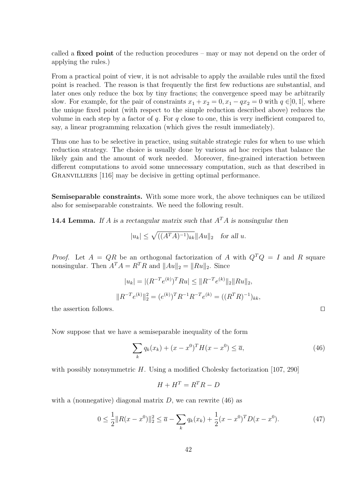called a fixed point of the reduction procedures – may or may not depend on the order of applying the rules.)

From a practical point of view, it is not advisable to apply the available rules until the fixed point is reached. The reason is that frequently the first few reductions are substantial, and later ones only reduce the box by tiny fractions; the convergence speed may be arbitrarily slow. For example, for the pair of constraints  $x_1 + x_2 = 0, x_1 - qx_2 = 0$  with  $q \in ]0,1[$ , where the unique fixed point (with respect to the simple reduction described above) reduces the volume in each step by a factor of q. For q close to one, this is very inefficient compared to, say, a linear programming relaxation (which gives the result immediately).

Thus one has to be selective in practice, using suitable strategic rules for when to use which reduction strategy. The choice is usually done by various ad hoc recipes that balance the likely gain and the amount of work needed. Moreover, fine-grained interaction between different computations to avoid some unnecessary computation, such as that described in Granvilliers [116] may be decisive in getting optimal performance.

Semiseparable constraints. With some more work, the above techniques can be utilized also for semiseparable constraints. We need the following result.

**14.4 Lemma.** If A is a rectangular matrix such that  $A<sup>T</sup>A$  is nonsingular then

$$
|u_k| \le \sqrt{((A^T A)^{-1})_{kk}} ||Au||_2 \quad \text{for all } u.
$$

*Proof.* Let  $A = QR$  be an orthogonal factorization of A with  $Q^TQ = I$  and R square nonsingular. Then  $A^T A = R^T R$  and  $||Au||_2 = ||Ru||_2$ . Since

$$
|u_k| = |(R^{-T}e^{(k)})^T Ru| \le ||R^{-T}e^{(k)}||_2||Ru||_2,
$$
  

$$
||R^{-T}e^{(k)}||_2^2 = (e^{(k)})^T R^{-1}R^{-T}e^{(k)} = ((R^T R)^{-1})_{kk},
$$

the assertion follows.  $\Box$ 

Now suppose that we have a semiseparable inequality of the form

$$
\sum_{k} q_{k}(x_{k}) + (x - x^{0})^{T} H(x - x^{0}) \le \overline{a},
$$
\n(46)

with possibly nonsymmetric H. Using a modified Cholesky factorization [107, 290]

$$
H + H^T = R^T R - D
$$

with a (nonnegative) diagonal matrix  $D$ , we can rewrite (46) as

$$
0 \le \frac{1}{2} \|R(x - x^0)\|_2^2 \le \overline{a} - \sum_k q_k(x_k) + \frac{1}{2} (x - x^0)^T D(x - x^0). \tag{47}
$$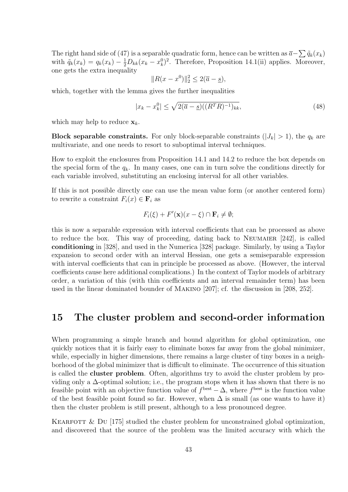The right hand side of (47) is a separable quadratic form, hence can be written as  $\bar{a} - \sum \tilde{q}_k(x_k)$ with  $\tilde{q}_k(x_k) = q_k(x_k) - \frac{1}{2}D_{kk}(x_k - x_k^0)^2$ . Therefore, Proposition 14.1(ii) applies. Moreover, one gets the extra inequality

$$
||R(x - x^0)||_2^2 \le 2(\overline{a} - \underline{s}),
$$

which, together with the lemma gives the further inequalities

$$
|x_k - x_k^0| \le \sqrt{2(\overline{a} - s)((R^T R)^{-1})_{kk}},
$$
\n(48)

which may help to reduce  $\mathbf{x}_k$ .

**Block separable constraints.** For only block-separable constraints  $(|J_k| > 1)$ , the  $q_k$  are multivariate, and one needs to resort to suboptimal interval techniques.

How to exploit the enclosures from Proposition 14.1 and 14.2 to reduce the box depends on the special form of the  $q_k$ . In many cases, one can in turn solve the conditions directly for each variable involved, substituting an enclosing interval for all other variables.

If this is not possible directly one can use the mean value form (or another centered form) to rewrite a constraint  $F_i(x) \in \mathbf{F}_i$  as

$$
F_i(\xi) + F'(\mathbf{x})(x - \xi) \cap \mathbf{F}_i \neq \emptyset;
$$

this is now a separable expression with interval coefficients that can be processed as above to reduce the box. This way of proceeding, dating back to NEUMAIER [242], is called conditioning in [328], and used in the Numerica [328] package. Similarly, by using a Taylor expansion to second order with an interval Hessian, one gets a semiseparable expression with interval coefficients that can in principle be processed as above. (However, the interval coefficients cause here additional complications.) In the context of Taylor models of arbitrary order, a variation of this (with thin coefficients and an interval remainder term) has been used in the linear dominated bounder of Makino [207]; cf. the discussion in [208, 252].

### 15 The cluster problem and second-order information

When programming a simple branch and bound algorithm for global optimization, one quickly notices that it is fairly easy to eliminate boxes far away from the global minimizer, while, especially in higher dimensions, there remains a large cluster of tiny boxes in a neighborhood of the global minimizer that is difficult to eliminate. The occurrence of this situation is called the cluster problem. Often, algorithms try to avoid the cluster problem by providing only a ∆-optimal solution; i.e., the program stops when it has shown that there is no feasible point with an objective function value of  $f<sup>best</sup> - \Delta$ , where  $f<sup>best</sup>$  is the function value of the best feasible point found so far. However, when  $\Delta$  is small (as one wants to have it) then the cluster problem is still present, although to a less pronounced degree.

KEARFOTT & DU  $[175]$  studied the cluster problem for unconstrained global optimization, and discovered that the source of the problem was the limited accuracy with which the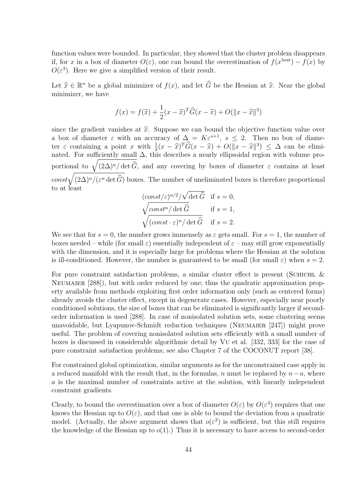function values were bounded. In particular, they showed that the cluster problem disappears if, for x in a box of diameter  $O(\varepsilon)$ , one can bound the overestimation of  $f(x^{\text{best}}) - f(x)$  by  $O(\varepsilon^3)$ . Here we give a simplified version of their result.

Let  $\hat{x} \in \mathbb{R}^n$  be a global minimizer of  $f(x)$ , and let  $\hat{G}$  be the Hessian at  $\hat{x}$ . Near the global minimizer, we have

$$
f(x) = f(\widehat{x}) + \frac{1}{2}(x - \widehat{x})^T \widehat{G}(x - \widehat{x}) + O(||x - \widehat{x}||^3)
$$

since the gradient vanishes at  $\hat{x}$ . Suppose we can bound the objective function value over a box of diameter  $\varepsilon$  with an accuracy of  $\Delta = K \varepsilon^{s+1}$ ,  $s \leq 2$ . Then no box of diameter  $\varepsilon$  containing a point x with  $\frac{1}{2}(x - \hat{x})^T \hat{G}(x - \hat{x}) + O(||x - \hat{x}||^3) \leq \Delta$  can be eliminated. For sufficiently small  $\Delta$ , this describes a nearly ellipsoidal region with volume proportional to  $\sqrt{(2\Delta)^n/\det\widehat{G}}$ , and any covering by boxes of diameter  $\varepsilon$  contains at least  $const\sqrt{(2\Delta)^n/(\varepsilon^n\det\widehat{G})}$  boxes. The number of uneliminated boxes is therefore proportional to at least  $\sqrt{ }$ 

$$
\langle \frac{\text{const}}{\varepsilon} \rangle^{n/2} / \sqrt{\det \widehat{G}} \quad \text{if } s = 0,
$$
  

$$
\sqrt{\frac{\text{const}^n/\det \widehat{G}}{\text{const} \cdot \varepsilon}} \quad \text{if } s = 1,
$$
  

$$
\sqrt{(\text{const} \cdot \varepsilon)^n/\det \widehat{G}} \quad \text{if } s = 2.
$$

We see that for  $s = 0$ , the number grows immensely as  $\varepsilon$  gets small. For  $s = 1$ , the number of boxes needed – while (for small  $\varepsilon$ ) essentially independent of  $\varepsilon$  – may still grow exponentially with the dimension, and it is especially large for problems where the Hessian at the solution is ill-conditioned. However, the number is guaranteed to be small (for small  $\varepsilon$ ) when  $s = 2$ .

For pure constraint satisfaction problems, a similar cluster effect is present (SCHICHL  $\&$ Neumaier [288]), but with order reduced by one; thus the quadratic approximation property available from methods exploiting first order information only (such as centered forms) already avoids the cluster effect, except in degenerate cases. However, especially near poorly conditioned solutions, the size of boxes that can be eliminated is significantly larger if secondorder information is used [288]. In case of nonisolated solution sets, some clustering seems unavoidable, but Lyapunov-Schmidt reduction techniques (Neumaier [247]) might prove useful. The problem of covering nonisolated solution sets efficiently with a small number of boxes is discussed in considerable algorithmic detail by Vu et al. [332, 333] for the case of pure constraint satisfaction problems; see also Chapter 7 of the COCONUT report [38].

For constrained global optimization, similar arguments as for the unconstrained case apply in a reduced manifold with the result that, in the formulas, n must be replaced by  $n-a$ , where a is the maximal number of constraints active at the solution, with linearly independent constraint gradients.

Clearly, to bound the overestimation over a box of diameter  $O(\varepsilon)$  by  $O(\varepsilon^3)$  requires that one knows the Hessian up to  $O(\varepsilon)$ , and that one is able to bound the deviation from a quadratic model. (Actually, the above argument shows that  $o(\varepsilon^2)$  is sufficient, but this still requires the knowledge of the Hessian up to  $o(1)$ .) Thus it is necessary to have access to second-order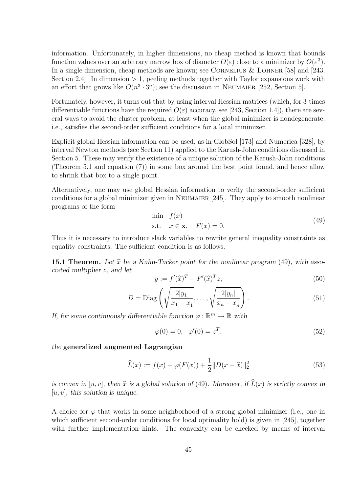information. Unfortunately, in higher dimensions, no cheap method is known that bounds function values over an arbitrary narrow box of diameter  $O(\varepsilon)$  close to a minimizer by  $O(\varepsilon^3)$ . In a single dimension, cheap methods are known; see CORNELIUS & LOHNER [58] and [243, Section 2.4. In dimension  $> 1$ , peeling methods together with Taylor expansions work with an effort that grows like  $O(n^3 \cdot 3^n)$ ; see the discussion in NEUMAIER [252, Section 5].

Fortunately, however, it turns out that by using interval Hessian matrices (which, for 3-times differentiable functions have the required  $O(\varepsilon)$  accuracy, see [243, Section 1.4]), there are several ways to avoid the cluster problem, at least when the global minimizer is nondegenerate, i.e., satisfies the second-order sufficient conditions for a local minimizer.

Explicit global Hessian information can be used, as in GlobSol [173] and Numerica [328], by interval Newton methods (see Section 11) applied to the Karush-John conditions discussed in Section 5. These may verify the existence of a unique solution of the Karush-John conditions (Theorem 5.1 and equation (7)) in some box around the best point found, and hence allow to shrink that box to a single point.

Alternatively, one may use global Hessian information to verify the second-order sufficient conditions for a global minimizer given in NEUMAIER [245]. They apply to smooth nonlinear programs of the form

$$
\min f(x)
$$
  
s.t.  $x \in \mathbf{x}, \quad F(x) = 0.$  (49)

Thus it is necessary to introduce slack variables to rewrite general inequality constraints as equality constraints. The sufficient condition is as follows.

**15.1 Theorem.** Let  $\hat{x}$  be a Kuhn-Tucker point for the nonlinear program (49), with associated multiplier z, and let

$$
y := f'(\widehat{x})^T - F'(\widehat{x})^T z,\tag{50}
$$

$$
D = \text{Diag}\left(\sqrt{\frac{2|y_1|}{\overline{x}_1 - \underline{x}_1}}, \dots, \sqrt{\frac{2|y_n|}{\overline{x}_n - \underline{x}_n}}\right).
$$
\n(51)

If, for some continuously differentiable function  $\varphi : \mathbb{R}^m \to \mathbb{R}$  with

$$
\varphi(0) = 0, \quad \varphi'(0) = z^T,\tag{52}
$$

the generalized augmented Lagrangian

$$
\widehat{L}(x) := f(x) - \varphi(F(x)) + \frac{1}{2} \|D(x - \widehat{x})\|_2^2
$$
\n(53)

is convex in  $[u, v]$ , then  $\hat{x}$  is a global solution of (49). Moreover, if  $\hat{L}(x)$  is strictly convex in  $[u, v]$ , this solution is unique.

A choice for  $\varphi$  that works in some neighborhood of a strong global minimizer (i.e., one in which sufficient second-order conditions for local optimality hold) is given in [245], together with further implementation hints. The convexity can be checked by means of interval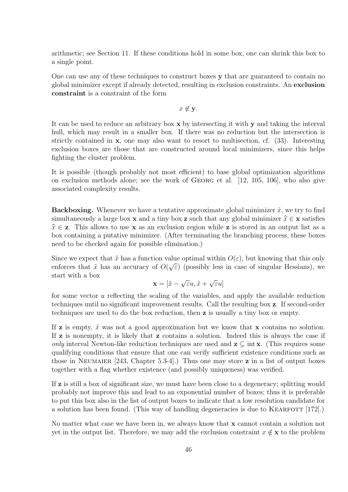arithmetic; see Section 11. If these conditions hold in some box, one can shrink this box to a single point.

One can use any of these techniques to construct boxes y that are guaranteed to contain no global minimizer except if already detected, resulting in exclusion constraints. An exclusion constraint is a constraint of the form

$$
x \notin \mathbf{y}.
$$

It can be used to reduce an arbitrary box x by intersecting it with y and taking the interval hull, which may result in a smaller box. If there was no reduction but the intersection is strictly contained in x, one may also want to resort to multisection, cf. (33). Interesting exclusion boxes are those that are constructed around local minimizers, since this helps fighting the cluster problem.

It is possible (though probably not most efficient) to base global optimization algorithms on exclusion methods alone; see the work of Georg et al. [12, 105, 106], who also give associated complexity results.

**Backboxing.** Whenever we have a tentative approximate global minimizer  $\tilde{x}$ , we try to find simultaneously a large box x and a tiny box z such that any global minimizer  $\hat{x} \in \mathbf{x}$  satisfies  $\hat{x} \in \mathbf{z}$ . This allows to use **x** as an exclusion region while **z** is stored in an output list as a box containing a putative minimizer. (After terminating the branching process, these boxes need to be checked again for possible elimination.)

Since we expect that  $\tilde{x}$  has a function value optimal within  $O(\varepsilon)$ , but knowing that this only enforces that  $\tilde{x}$  has an accuracy of  $O(\sqrt{\varepsilon})$  (possibly less in case of singular Hessians), we start with a box

$$
\mathbf{x} = [\tilde{x} - \sqrt{\varepsilon}u, \tilde{x} + \sqrt{\varepsilon}u]
$$

for some vector  $u$  reflecting the scaling of the variables, and apply the available reduction techniques until no significant improvement results. Call the resulting box z. If second-order techniques are used to do the box reduction, then z is usually a tiny box or empty.

If **z** is empty,  $\tilde{x}$  was not a good approximation but we know that **x** contains no solution. If z is nonempty, it is likely that z contains a solution. Indeed this is always the case if only interval Newton-like reduction techniques are used and  $z \subseteq \text{int } x$ . (This requires some qualifying conditions that ensure that one can verify sufficient existence conditions such as those in NEUMAIER [243, Chapter 5.3-4].) Thus one may store z in a list of output boxes together with a flag whether existence (and possibly uniqueness) was verified.

If z is still a box of significant size, we must have been close to a degeneracy; splitting would probably not improve this and lead to an exponential number of boxes; thus it is preferable to put this box also in the list of output boxes to indicate that a low resolution candidate for a solution has been found. (This way of handling degeneracies is due to KEARFOTT  $[172]$ .)

No matter what case we have been in, we always know that x cannot contain a solution not yet in the output list. Therefore, we may add the exclusion constraint  $x \notin \mathbf{x}$  to the problem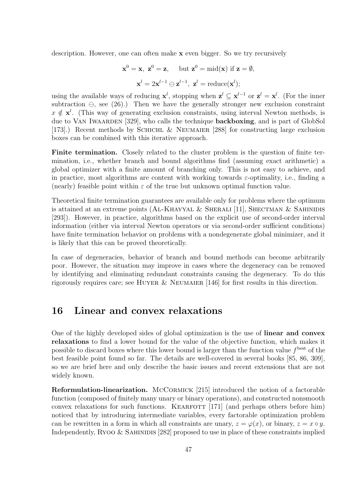description. However, one can often make x even bigger. So we try recursively

$$
\mathbf{x}^0 = \mathbf{x}, \ \mathbf{z}^0 = \mathbf{z}, \quad \text{but } \mathbf{z}^0 = \text{mid}(\mathbf{x}) \text{ if } \mathbf{z} = \emptyset,
$$

$$
\mathbf{x}^l = 2\mathbf{x}^{l-1} \ominus \mathbf{z}^{l-1}, \ \mathbf{z}^l = \text{reduce}(\mathbf{x}^l);
$$

using the available ways of reducing  $\mathbf{x}^l$ , stopping when  $\mathbf{z}^l \subseteq \mathbf{x}^{l-1}$  or  $\mathbf{z}^l = \mathbf{x}^l$ . (For the inner subtraction  $\ominus$ , see (26).) Then we have the generally stronger new exclusion constraint  $x \notin \mathbf{x}^l$ . (This way of generating exclusion constraints, using interval Newton methods, is due to VAN IWAARDEN [329], who calls the technique **backboxing**, and is part of GlobSol [173].) Recent methods by Schichl & Neumaier [288] for constructing large exclusion boxes can be combined with this iterative approach.

Finite termination. Closely related to the cluster problem is the question of finite termination, i.e., whether branch and bound algorithms find (assuming exact arithmetic) a global optimizer with a finite amount of branching only. This is not easy to achieve, and in practice, most algorithms are content with working towards  $\varepsilon$ -optimality, i.e., finding a (nearly) feasible point within  $\varepsilon$  of the true but unknown optimal function value.

Theoretical finite termination guarantees are available only for problems where the optimum is attained at an extreme points (AL-KHAYYAL & SHERALI [11], SHECTMAN & SAHINIDIS [293]). However, in practice, algorithms based on the explicit use of second-order interval information (either via interval Newton operators or via second-order sufficient conditions) have finite termination behavior on problems with a nondegenerate global minimizer, and it is likely that this can be proved theoretically.

In case of degeneracies, behavior of branch and bound methods can become arbitrarily poor. However, the situation may improve in cases where the degeneracy can be removed by identifying and eliminating redundant constraints causing the degeneracy. To do this rigorously requires care; see HUYER  $&$  NEUMAIER [146] for first results in this direction.

## 16 Linear and convex relaxations

One of the highly developed sides of global optimization is the use of linear and convex relaxations to find a lower bound for the value of the objective function, which makes it possible to discard boxes where this lower bound is larger than the function value  $f<sup>best</sup>$  of the best feasible point found so far. The details are well-covered in several books [85, 86, 309], so we are brief here and only describe the basic issues and recent extensions that are not widely known.

Reformulation-linearization. McCORMICK [215] introduced the notion of a factorable function (composed of finitely many unary or binary operations), and constructed nonsmooth convex relaxations for such functions. KEARFOTT  $[171]$  (and perhaps others before him) noticed that by introducing intermediate variables, every factorable optimization problem can be rewritten in a form in which all constraints are unary,  $z = \varphi(x)$ , or binary,  $z = x \circ y$ . Independently, Ryoo  $&$  SAHINIDIS [282] proposed to use in place of these constraints implied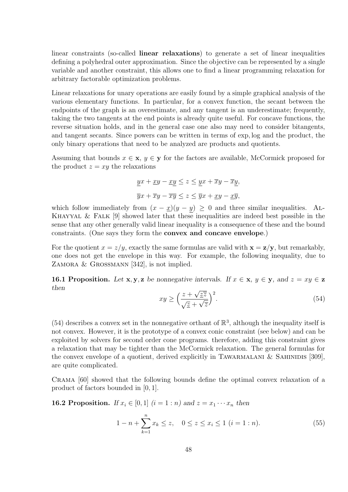linear constraints (so-called linear relaxations) to generate a set of linear inequalities defining a polyhedral outer approximation. Since the objective can be represented by a single variable and another constraint, this allows one to find a linear programming relaxation for arbitrary factorable optimization problems.

Linear relaxations for unary operations are easily found by a simple graphical analysis of the various elementary functions. In particular, for a convex function, the secant between the endpoints of the graph is an overestimate, and any tangent is an underestimate; frequently, taking the two tangents at the end points is already quite useful. For concave functions, the reverse situation holds, and in the general case one also may need to consider bitangents, and tangent secants. Since powers can be written in terms of exp, log and the product, the only binary operations that need to be analyzed are products and quotients.

Assuming that bounds  $x \in \mathbf{x}, y \in \mathbf{y}$  for the factors are available, McCormick proposed for the product  $z = xy$  the relaxations

$$
\underline{y}x + \underline{xy} - \underline{xy} \le z \le \underline{y}x + \overline{x}y - \overline{x}\underline{y},
$$
  

$$
\overline{y}x + \overline{x}y - \overline{x}\overline{y} \le z \le \overline{y}x + \underline{xy} - \underline{x}\overline{y},
$$

which follow immediately from  $(x - \underline{x})(y - y) \geq 0$  and three similar inequalities. AL-KHAYYAL & FALK  $[9]$  showed later that these inequalities are indeed best possible in the sense that any other generally valid linear inequality is a consequence of these and the bound constraints. (One says they form the convex and concave envelope.)

For the quotient  $x = z/y$ , exactly the same formulas are valid with  $\mathbf{x} = \mathbf{z}/\mathbf{y}$ , but remarkably, one does not get the envelope in this way. For example, the following inequality, due to ZAMORA  $&$  GROSSMANN [342], is not implied.

**16.1 Proposition.** Let **x**, **y**, **z** be nonnegative intervals. If  $x \in \mathbf{x}$ ,  $y \in \mathbf{y}$ , and  $z = xy \in \mathbf{z}$ then  $\cdot$  /

$$
xy \ge \left(\frac{z + \sqrt{z\overline{z}}}{\sqrt{z} + \sqrt{z}}\right)^2. \tag{54}
$$

(54) describes a convex set in the nonnegative orthant of  $\mathbb{R}^3$ , although the inequality itself is not convex. However, it is the prototype of a convex conic constraint (see below) and can be exploited by solvers for second order cone programs. therefore, adding this constraint gives a relaxation that may be tighter than the McCormick relaxation. The general formulas for the convex envelope of a quotient, derived explicitly in TAWARMALANI & SAHINIDIS  $[309]$ , are quite complicated.

Crama [60] showed that the following bounds define the optimal convex relaxation of a product of factors bounded in [0, 1].

**16.2 Proposition.** If  $x_i \in [0, 1]$   $(i = 1 : n)$  and  $z = x_1 \cdots x_n$  then

$$
1 - n + \sum_{k=1}^{n} x_k \le z, \quad 0 \le z \le x_i \le 1 \ (i = 1 : n). \tag{55}
$$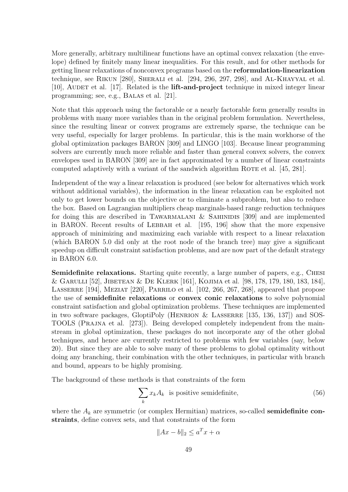More generally, arbitrary multilinear functions have an optimal convex relaxation (the envelope) defined by finitely many linear inequalities. For this result, and for other methods for getting linear relaxations of nonconvex programs based on the reformulation-linearization technique, see RIKUN [280], SHERALI et al. [294, 296, 297, 298], and AL-KHAYYAL et al.  $[10]$ , AUDET et al.  $[17]$ . Related is the **lift-and-project** technique in mixed integer linear programming; see, e.g., Balas et al. [21].

Note that this approach using the factorable or a nearly factorable form generally results in problems with many more variables than in the original problem formulation. Nevertheless, since the resulting linear or convex programs are extremely sparse, the technique can be very useful, especially for larger problems. In particular, this is the main workhorse of the global optimization packages BARON [309] and LINGO [103]. Because linear programming solvers are currently much more reliable and faster than general convex solvers, the convex envelopes used in BARON [309] are in fact approximated by a number of linear constraints computed adaptively with a variant of the sandwich algorithm ROTE et al. [45, 281].

Independent of the way a linear relaxation is produced (see below for alternatives which work without additional variables), the information in the linear relaxation can be exploited not only to get lower bounds on the objective or to eliminate a subproblem, but also to reduce the box. Based on Lagrangian multipliers cheap marginals-based range reduction techniques for doing this are described in TAWARMALANI & SAHINIDIS [309] and are implemented in BARON. Recent results of LEBBAH et al.  $[195, 196]$  show that the more expensive approach of minimizing and maximizing each variable with respect to a linear relaxation (which BARON 5.0 did only at the root node of the branch tree) may give a significant speedup on difficult constraint satisfaction problems, and are now part of the default strategy in BARON 6.0.

Semidefinite relaxations. Starting quite recently, a large number of papers, e.g., CHESI & Garulli [52], Jibetean & De Klerk [161], Kojima et al. [98, 178, 179, 180, 183, 184], Lasserre [194], Meziat [220], Parrilo et al. [102, 266, 267, 268], appeared that propose the use of semidefinite relaxations or convex conic relaxations to solve polynomial constraint satisfaction and global optimization problems. These techniques are implemented in two software packages, GloptiPoly (HENRION & LASSERRE [135, 136, 137]) and SOS-TOOLS (Prajna et al. [273]). Being developed completely independent from the mainstream in global optimization, these packages do not incorporate any of the other global techniques, and hence are currently restricted to problems with few variables (say, below 20). But since they are able to solve many of these problems to global optimality without doing any branching, their combination with the other techniques, in particular with branch and bound, appears to be highly promising.

The background of these methods is that constraints of the form

$$
\sum_{k} x_{k} A_{k}
$$
 is positive semidefinite, (56)

where the  $A_k$  are symmetric (or complex Hermitian) matrices, so-called **semidefinite con**straints, define convex sets, and that constraints of the form

$$
||Ax - b||_2 \le a^T x + \alpha
$$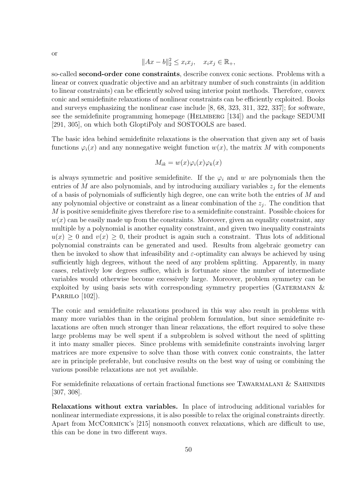$$
\quad \text{or} \quad
$$

$$
||Ax - b||_2^2 \le x_i x_j, \quad x_i x_j \in \mathbb{R}_+,
$$

so-called second-order cone constraints, describe convex conic sections. Problems with a linear or convex quadratic objective and an arbitrary number of such constraints (in addition to linear constraints) can be efficiently solved using interior point methods. Therefore, convex conic and semidefinite relaxations of nonlinear constraints can be efficiently exploited. Books and surveys emphasizing the nonlinear case include [8, 68, 323, 311, 322, 337]; for software, see the semidefinite programming homepage (Helmberg [134]) and the package SEDUMI [291, 305], on which both GloptiPoly and SOSTOOLS are based.

The basic idea behind semidefinite relaxations is the observation that given any set of basis functions  $\varphi_i(x)$  and any nonnegative weight function  $w(x)$ , the matrix M with components

$$
M_{ik} = w(x)\varphi_i(x)\varphi_k(x)
$$

is always symmetric and positive semidefinite. If the  $\varphi_i$  and w are polynomials then the entries of M are also polynomials, and by introducing auxiliary variables  $z_j$  for the elements of a basis of polynomials of sufficiently high degree, one can write both the entries of M and any polynomial objective or constraint as a linear combination of the  $z_j$ . The condition that M is positive semidefinite gives therefore rise to a semidefinite constraint. Possible choices for  $w(x)$  can be easily made up from the constraints. Moreover, given an equality constraint, any multiple by a polynomial is another equality constraint, and given two inequality constraints  $u(x) \geq 0$  and  $v(x) \geq 0$ , their product is again such a constraint. Thus lots of additional polynomial constraints can be generated and used. Results from algebraic geometry can then be invoked to show that infeasibility and  $\varepsilon$ -optimality can always be achieved by using sufficiently high degrees, without the need of any problem splitting. Apparently, in many cases, relatively low degrees suffice, which is fortunate since the number of intermediate variables would otherwise become excessively large. Moreover, problem symmetry can be exploited by using basis sets with corresponding symmetry properties (GATERMANN & PARRILO [102]).

The conic and semidefinite relaxations produced in this way also result in problems with many more variables than in the original problem formulation, but since semidefinite relaxations are often much stronger than linear relaxations, the effort required to solve these large problems may be well spent if a subproblem is solved without the need of splitting it into many smaller pieces. Since problems with semidefinite constraints involving larger matrices are more expensive to solve than those with convex conic constraints, the latter are in principle preferable, but conclusive results on the best way of using or combining the various possible relaxations are not yet available.

For semidefinite relaxations of certain fractional functions see TAWARMALANI  $&$  SAHINIDIS [307, 308].

Relaxations without extra variables. In place of introducing additional variables for nonlinear intermediate expressions, it is also possible to relax the original constraints directly. Apart from McCORMICK's [215] nonsmooth convex relaxations, which are difficult to use, this can be done in two different ways.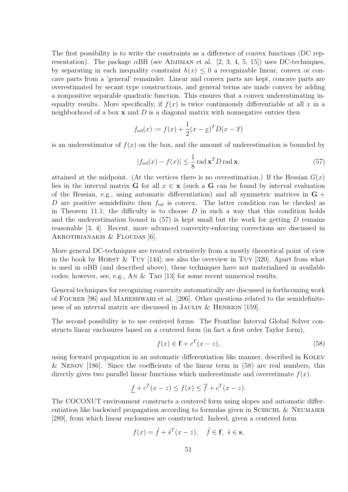The first possibility is to write the constraints as a difference of convex functions (DC representation). The package  $\alpha$ BB (see ADJIMAN et al. [2, 3, 4, 5, 15]) uses DC-techniques, by separating in each inequality constraint  $h(x) \leq 0$  a recognizable linear, convex or concave parts from a 'general' remainder. Linear and convex parts are kept, concave parts are overestimated by secant type constructions, and general terms are made convex by adding a nonpositive separable quadratic function. This ensures that a convex underestimating inequality results. More specifically, if  $f(x)$  is twice continuously differentiable at all x in a neighborhood of a box  $x$  and  $D$  is a diagonal matrix with nonnegative entries then

$$
f_{\text{rel}}(x) := f(x) + \frac{1}{2}(x - \underline{x})^T D(x - \overline{x})
$$

is an underestimator of  $f(x)$  on the box, and the amount of underestimation is bounded by

$$
|f_{\text{rel}}(x) - f(x)| \le \frac{1}{8} \operatorname{rad} \mathbf{x}^T D \operatorname{rad} \mathbf{x},\tag{57}
$$

attained at the midpoint. (At the vertices there is no overestimation.) If the Hessian  $G(x)$ lies in the interval matrix G for all  $x \in \mathbf{x}$  (such a G can be found by interval evaluation of the Hessian, e.g., using automatic differentiation) and all symmetric matrices in  $G +$ D are positive semidefinite then  $f_{rel}$  is convex. The latter condition can be checked as in Theorem 11.1; the difficulty is to choose  $D$  in such a way that this condition holds and the underestimation bound in  $(57)$  is kept small but the work for getting  $D$  remains reasonable [3, 4]. Recent, more advanced convexity-enforcing corrections are discussed in AKROTIRIANAKIS & FLOUDAS [6].

More general DC-techniques are treated extensively from a mostly theoretical point of view in the book by HORST  $& TUV$  [144]; see also the overview in TUY [320]. Apart from what is used in  $\alpha$ BB (and described above), these techniques have not materialized in available codes; however, see, e.g., An & Tao [13] for some recent numerical results.

General techniques for recognizing convexity automatically are discussed in forthcoming work of Fourer [96] and Maheshwari et al. [206]. Other questions related to the semidefiniteness of an interval matrix are discussed in JAULIN & HENRION [159].

The second possibility is to use centered forms. The Frontline Interval Global Solver constructs linear enclosures based on a centered form (in fact a first order Taylor form),

$$
f(x) \in \mathbf{f} + c^T(x - z),\tag{58}
$$

using forward propagation in an automatic differentiation like manner, described in Kolev & Nenov [186]. Since the coefficients of the linear term in (58) are real numbers, this directly gives two parallel linear functions which underestimate and overestimate  $f(x)$ .

$$
\underline{f} + c^T(x - z) \le f(x) \le \overline{f} + c^T(x - z).
$$

The COCONUT environment constructs a centered form using slopes and automatic differentiation like backward propagation according to formulas given in SCHICHL  $\&$  NEUMAIER [289], from which linear enclosures are constructed. Indeed, given a centered form

$$
f(x) = \tilde{f} + \tilde{s}^T(x - z), \quad \tilde{f} \in \mathbf{f}, \ \tilde{s} \in \mathbf{s},
$$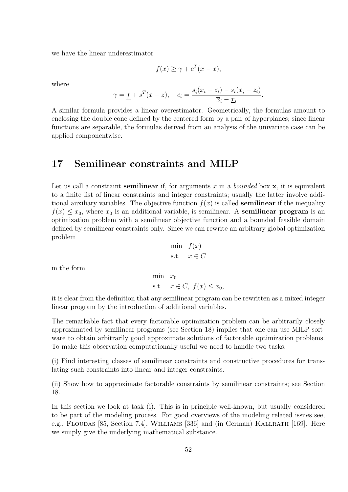we have the linear underestimator

$$
f(x) \ge \gamma + c^T (x - \underline{x}),
$$

where

$$
\gamma = \underline{f} + \overline{s}^T(\underline{x} - z), \quad c_i = \frac{\underline{s}_i(\overline{x}_i - z_i) - \overline{s}_i(\underline{x}_i - z_i)}{\overline{x}_i - \underline{x}_i}.
$$

A similar formula provides a linear overestimator. Geometrically, the formulas amount to enclosing the double cone defined by the centered form by a pair of hyperplanes; since linear functions are separable, the formulas derived from an analysis of the univariate case can be applied componentwise.

### 17 Semilinear constraints and MILP

Let us call a constraint semilinear if, for arguments x in a *bounded* box  $x$ , it is equivalent to a finite list of linear constraints and integer constraints; usually the latter involve additional auxiliary variables. The objective function  $f(x)$  is called **semilinear** if the inequality  $f(x) \leq x_0$ , where  $x_0$  is an additional variable, is semilinear. A semilinear program is an optimization problem with a semilinear objective function and a bounded feasible domain defined by semilinear constraints only. Since we can rewrite an arbitrary global optimization problem

$$
\min f(x)
$$
  
s.t.  $x \in C$ 

in the form

$$
\begin{aligned}\n\min \quad & x_0 \\
\text{s.t.} \quad & x \in C, \ f(x) \le x_0,\n\end{aligned}
$$

it is clear from the definition that any semilinear program can be rewritten as a mixed integer linear program by the introduction of additional variables.

The remarkable fact that every factorable optimization problem can be arbitrarily closely approximated by semilinear programs (see Section 18) implies that one can use MILP software to obtain arbitrarily good approximate solutions of factorable optimization problems. To make this observation computationally useful we need to handle two tasks:

(i) Find interesting classes of semilinear constraints and constructive procedures for translating such constraints into linear and integer constraints.

(ii) Show how to approximate factorable constraints by semilinear constraints; see Section 18.

In this section we look at task (i). This is in principle well-known, but usually considered to be part of the modeling process. For good overviews of the modeling related issues see, e.g., FLOUDAS [85, Section 7.4], WILLIAMS [336] and (in German) KALLRATH [169]. Here we simply give the underlying mathematical substance.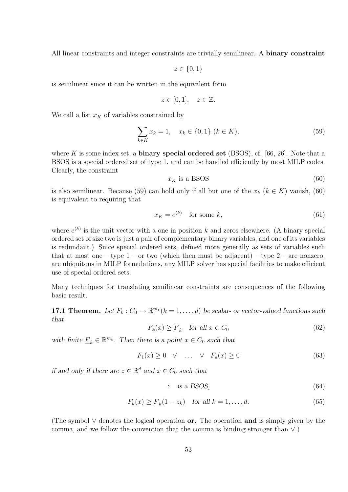All linear constraints and integer constraints are trivially semilinear. A binary constraint

$$
z \in \{0, 1\}
$$

is semilinear since it can be written in the equivalent form

$$
z \in [0,1], \quad z \in \mathbb{Z}.
$$

We call a list  $x_K$  of variables constrained by

$$
\sum_{k \in K} x_k = 1, \quad x_k \in \{0, 1\} \ (k \in K), \tag{59}
$$

where K is some index set, a **binary special ordered set** (BSOS), cf. [66, 26]. Note that a BSOS is a special ordered set of type 1, and can be handled efficiently by most MILP codes. Clearly, the constraint

$$
x_K \text{ is a BSOS} \tag{60}
$$

is also semilinear. Because (59) can hold only if all but one of the  $x_k$  ( $k \in K$ ) vanish, (60) is equivalent to requiring that

$$
x_K = e^{(k)} \quad \text{for some } k,\tag{61}
$$

where  $e^{(k)}$  is the unit vector with a one in position k and zeros elsewhere. (A binary special ordered set of size two is just a pair of complementary binary variables, and one of its variables is redundant.) Since special ordered sets, defined more generally as sets of variables such that at most one – type  $1$  – or two (which then must be adjacent) – type  $2$  – are nonzero, are ubiquitous in MILP formulations, any MILP solver has special facilities to make efficient use of special ordered sets.

Many techniques for translating semilinear constraints are consequences of the following basic result.

**17.1 Theorem.** Let  $F_k: C_0 \to \mathbb{R}^{m_k} (k = 1, \ldots, d)$  be scalar- or vector-valued functions such that

$$
F_k(x) \ge \underline{F}_k \quad \text{for all } x \in C_0 \tag{62}
$$

with finite  $\underline{F}_k \in \mathbb{R}^{m_k}$ . Then there is a point  $x \in C_0$  such that

$$
F_1(x) \ge 0 \quad \vee \quad \dots \quad \vee \quad F_d(x) \ge 0 \tag{63}
$$

if and only if there are  $z \in \mathbb{R}^d$  and  $x \in C_0$  such that

$$
z \quad \text{is a BSOS},\tag{64}
$$

$$
F_k(x) \ge \underline{F}_k(1 - z_k) \quad \text{for all } k = 1, \dots, d. \tag{65}
$$

(The symbol  $\vee$  denotes the logical operation **or**. The operation **and** is simply given by the comma, and we follow the convention that the comma is binding stronger than ∨.)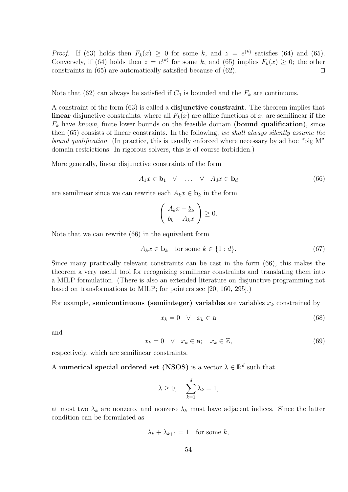*Proof.* If (63) holds then  $F_k(x) \geq 0$  for some k, and  $z = e^{(k)}$  satisfies (64) and (65). Conversely, if (64) holds then  $z = e^{(k)}$  for some k, and (65) implies  $F_k(x) \geq 0$ ; the other constraints in (65) are automatically satisfied because of (62).  $\Box$ 

Note that (62) can always be satisfied if  $C_0$  is bounded and the  $F_k$  are continuous.

A constraint of the form (63) is called a disjunctive constraint. The theorem implies that **linear** disjunctive constraints, where all  $F_k(x)$  are affine functions of x, are semilinear if the  $F_k$  have known, finite lower bounds on the feasible domain (bound qualification), since then (65) consists of linear constraints. In the following, we shall always silently assume the bound qualification. (In practice, this is usually enforced where necessary by ad hoc "big M" domain restrictions. In rigorous solvers, this is of course forbidden.)

More generally, linear disjunctive constraints of the form

$$
A_1 x \in \mathbf{b}_1 \quad \vee \quad \dots \quad \vee \quad A_d x \in \mathbf{b}_d \tag{66}
$$

are semilinear since we can rewrite each  $A_k x \in \mathbf{b}_k$  in the form

$$
\left(\begin{array}{c}A_kx - \underline{b}_k \\ \overline{b}_k - A_kx\end{array}\right) \ge 0.
$$

Note that we can rewrite (66) in the equivalent form

$$
A_k x \in \mathbf{b}_k \quad \text{for some } k \in \{1 : d\}. \tag{67}
$$

Since many practically relevant constraints can be cast in the form (66), this makes the theorem a very useful tool for recognizing semilinear constraints and translating them into a MILP formulation. (There is also an extended literature on disjunctive programming not based on transformations to MILP; for pointers see [20, 160, 295].)

For example, semicontinuous (semiinteger) variables are variables  $x_k$  constrained by

$$
x_k = 0 \quad \vee \quad x_k \in \mathbf{a} \tag{68}
$$

and

$$
x_k = 0 \quad \vee \quad x_k \in \mathbf{a}; \quad x_k \in \mathbb{Z}, \tag{69}
$$

respectively, which are semilinear constraints.

A numerical special ordered set (NSOS) is a vector  $\lambda \in \mathbb{R}^d$  such that

$$
\lambda \ge 0, \quad \sum_{k=1}^d \lambda_k = 1,
$$

at most two  $\lambda_k$  are nonzero, and nonzero  $\lambda_k$  must have adjacent indices. Since the latter condition can be formulated as

$$
\lambda_k + \lambda_{k+1} = 1 \quad \text{for some } k,
$$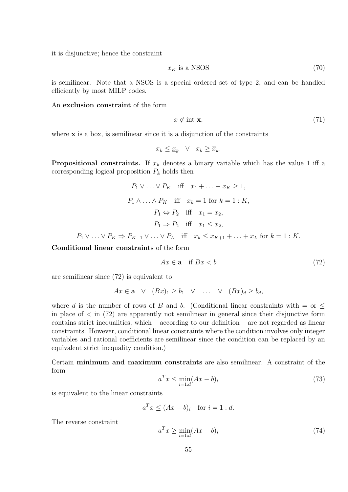it is disjunctive; hence the constraint

$$
x_K \text{ is a NSOS} \tag{70}
$$

is semilinear. Note that a NSOS is a special ordered set of type 2, and can be handled efficiently by most MILP codes.

#### An exclusion constraint of the form

$$
x \notin \text{int } \mathbf{x},\tag{71}
$$

where  $x$  is a box, is semilinear since it is a disjunction of the constraints

$$
x_k \le \underline{x}_k \quad \vee \quad x_k \ge \overline{x}_k.
$$

**Propositional constraints.** If  $x_k$  denotes a binary variable which has the value 1 iff a corresponding logical proposition  $P_k$  holds then

$$
P_1 \vee \ldots \vee P_K \quad \text{iff} \quad x_1 + \ldots + x_K \ge 1,
$$
\n
$$
P_1 \wedge \ldots \wedge P_K \quad \text{iff} \quad x_k = 1 \text{ for } k = 1 : K,
$$
\n
$$
P_1 \Leftrightarrow P_2 \quad \text{iff} \quad x_1 = x_2,
$$
\n
$$
P_1 \Rightarrow P_2 \quad \text{iff} \quad x_1 \le x_2,
$$
\n
$$
\vee P_K \Rightarrow P_{K, \ell} \vee \ldots \vee P_{K, \ell} \quad \text{iff} \quad x_K \le x_{K, \ell} + \ldots + x_K \text{ for } k = 1 : K.
$$

 $P_1 \vee \ldots \vee P_K \Rightarrow P_{K+1} \vee \ldots \vee P_L$  iff  $x_k \leq x_{K+1} + \ldots + x_L$  for  $k = 1 : K$ .

Conditional linear constraints of the form

$$
Ax \in \mathbf{a} \quad \text{if } Bx < b \tag{72}
$$

are semilinear since (72) is equivalent to

$$
Ax \in \mathbf{a} \quad \vee \quad (Bx)_1 \ge b_1 \quad \vee \quad \dots \quad \vee \quad (Bx)_d \ge b_d,
$$

where d is the number of rows of B and b. (Conditional linear constraints with  $=$  or  $\leq$ in place of  $\lt$  in (72) are apparently not semilinear in general since their disjunctive form contains strict inequalities, which – according to our definition – are not regarded as linear constraints. However, conditional linear constraints where the condition involves only integer variables and rational coefficients are semilinear since the condition can be replaced by an equivalent strict inequality condition.)

Certain minimum and maximum constraints are also semilinear. A constraint of the form

$$
a^T x \le \min_{i=1:d} (Ax - b)_i \tag{73}
$$

is equivalent to the linear constraints

$$
a^T x \le (Ax - b)_i \quad \text{for } i = 1 : d.
$$

The reverse constraint

$$
a^T x \ge \min_{i=1:d} (Ax - b)_i \tag{74}
$$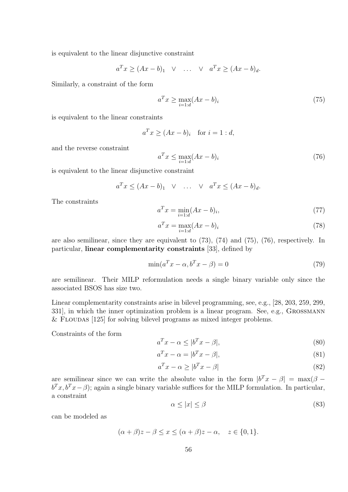is equivalent to the linear disjunctive constraint

$$
a^T x \ge (Ax - b)_1 \quad \vee \quad \dots \quad \vee \quad a^T x \ge (Ax - b)_d.
$$

Similarly, a constraint of the form

$$
a^T x \ge \max_{i=1:d} (Ax - b)_i \tag{75}
$$

is equivalent to the linear constraints

$$
a^T x \ge (Ax - b)_i \quad \text{for } i = 1 : d,
$$

and the reverse constraint

$$
a^T x \le \max_{i=1:d} (Ax - b)_i \tag{76}
$$

is equivalent to the linear disjunctive constraint

$$
a^T x \le (Ax - b)_1 \quad \vee \quad \dots \quad \vee \quad a^T x \le (Ax - b)_d.
$$

The constraints

$$
a^T x = \min_{i=1:d} (Ax - b)_i,
$$
\n(77)

$$
a^T x = \max_{i=1:d} (Ax - b)_i \tag{78}
$$

are also semilinear, since they are equivalent to (73), (74) and (75), (76), respectively. In particular, linear complementarity constraints [33], defined by

$$
\min(a^T x - \alpha, b^T x - \beta) = 0 \tag{79}
$$

are semilinear. Their MILP reformulation needs a single binary variable only since the associated BSOS has size two.

Linear complementarity constraints arise in bilevel programming, see, e.g., [28, 203, 259, 299, 331], in which the inner optimization problem is a linear program. See, e.g., Grossmann & Floudas [125] for solving bilevel programs as mixed integer problems.

Constraints of the form

$$
a^T x - \alpha \le |b^T x - \beta|,\tag{80}
$$

$$
a^T x - \alpha = |b^T x - \beta|,\tag{81}
$$

$$
a^T x - \alpha \ge |b^T x - \beta| \tag{82}
$$

are semilinear since we can write the absolute value in the form  $|b^T x - \beta| = \max(\beta - \beta)$  $b^T x$ ,  $b^T x - \beta$ ); again a single binary variable suffices for the MILP formulation. In particular, a constraint

$$
\alpha \le |x| \le \beta \tag{83}
$$

can be modeled as

$$
(\alpha + \beta)z - \beta \le x \le (\alpha + \beta)z - \alpha, \quad z \in \{0, 1\}.
$$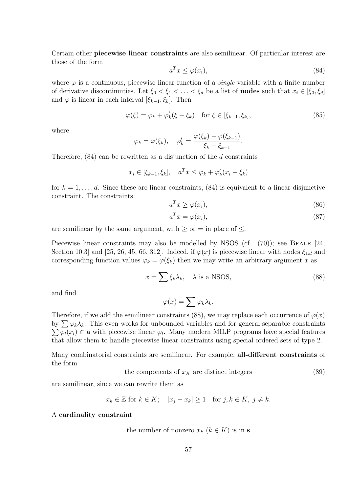Certain other piecewise linear constraints are also semilinear. Of particular interest are those of the form

$$
a^T x \le \varphi(x_i),\tag{84}
$$

where  $\varphi$  is a continuous, piecewise linear function of a *single* variable with a finite number of derivative discontinuities. Let  $\xi_0 < \xi_1 < \ldots < \xi_d$  be a list of **nodes** such that  $x_i \in [\xi_0, \xi_d]$ and  $\varphi$  is linear in each interval  $[\xi_{k-1}, \xi_k]$ . Then

$$
\varphi(\xi) = \varphi_k + \varphi'_k(\xi - \xi_k) \quad \text{for } \xi \in [\xi_{k-1}, \xi_k],
$$
\n(85)

where

$$
\varphi_k = \varphi(\xi_k), \quad \varphi'_k = \frac{\varphi(\xi_k) - \varphi(\xi_{k-1})}{\xi_k - \xi_{k-1}}
$$

Therefore,  $(84)$  can be rewritten as a disjunction of the d constraints

$$
x_i \in [\xi_{k-1}, \xi_k], \quad a^T x \le \varphi_k + \varphi'_k (x_i - \xi_k)
$$

for  $k = 1, \ldots, d$ . Since these are linear constraints, (84) is equivalent to a linear disjunctive constraint. The constraints

$$
a^T x \ge \varphi(x_i),\tag{86}
$$

.

$$
a^T x = \varphi(x_i),\tag{87}
$$

are semilinear by the same argument, with  $\geq$  or  $=$  in place of  $\leq$ .

Piecewise linear constraints may also be modelled by NSOS (cf.  $(70)$ ); see BEALE [24, Section 10.3] and [25, 26, 45, 66, 312]. Indeed, if  $\varphi(x)$  is piecewise linear with nodes  $\xi_{1:d}$  and corresponding function values  $\varphi_k = \varphi(\xi_k)$  then we may write an arbitrary argument x as

$$
x = \sum \xi_k \lambda_k, \quad \lambda \text{ is a NSOS}, \tag{88}
$$

and find

$$
\varphi(x) = \sum \varphi_k \lambda_k.
$$

Therefore, if we add the semilinear constraints (88), we may replace each occurrence of  $\varphi(x)$ by  $\sum \varphi_k \lambda_k$ . This even works for unbounded variables and for general separable constraints  $\sum \varphi_l(x_l) \in \mathbf{a}$  with piecewise linear  $\varphi_l$ . Many modern MILP programs have special features that allow them to handle piecewise linear constraints using special ordered sets of type 2.

Many combinatorial constraints are semilinear. For example, all-different constraints of the form

the components of  $x_K$  are distinct integers (89)

are semilinear, since we can rewrite them as

$$
x_k \in \mathbb{Z} \text{ for } k \in K; \quad |x_j - x_k| \ge 1 \quad \text{for } j, k \in K, \ j \ne k.
$$

#### A cardinality constraint

the number of nonzero  $x_k$   $(k \in K)$  is in s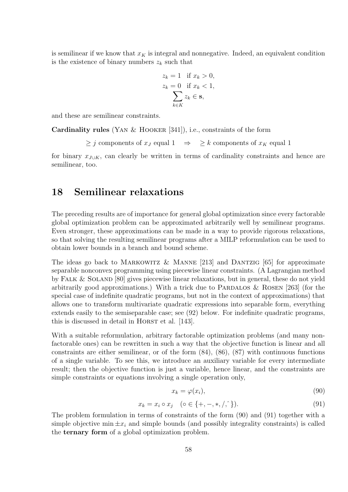is semilinear if we know that  $x_K$  is integral and nonnegative. Indeed, an equivalent condition is the existence of binary numbers  $z_k$  such that

$$
z_k = 1 \quad \text{if } x_k > 0,
$$
  
\n
$$
z_k = 0 \quad \text{if } x_k < 1,
$$
  
\n
$$
\sum_{k \in K} z_k \in \mathbf{s},
$$

and these are semilinear constraints.

Cardinality rules (YAN & HOOKER [341]), i.e., constraints of the form

 $\geq j$  components of  $x_j$  equal  $1 \Rightarrow \geq k$  components of  $x_k$  equal 1

for binary  $x_{J\cup K}$ , can clearly be written in terms of cardinality constraints and hence are semilinear, too.

## 18 Semilinear relaxations

The preceding results are of importance for general global optimization since every factorable global optimization problem can be approximated arbitrarily well by semilinear programs. Even stronger, these approximations can be made in a way to provide rigorous relaxations, so that solving the resulting semilinear programs after a MILP reformulation can be used to obtain lower bounds in a branch and bound scheme.

The ideas go back to MARKOWITZ & MANNE [213] and DANTZIG [65] for approximate separable nonconvex programming using piecewise linear constraints. (A Lagrangian method by Falk & Soland [80] gives piecewise linear relaxations, but in general, these do not yield arbitrarily good approximations.) With a trick due to PARDALOS & ROSEN [263] (for the special case of indefinite quadratic programs, but not in the context of approximations) that allows one to transform multivariate quadratic expressions into separable form, everything extends easily to the semiseparable case; see (92) below. For indefinite quadratic programs, this is discussed in detail in HORST et al. [143].

With a suitable reformulation, arbitrary factorable optimization problems (and many nonfactorable ones) can be rewritten in such a way that the objective function is linear and all constraints are either semilinear, or of the form (84), (86), (87) with continuous functions of a single variable. To see this, we introduce an auxiliary variable for every intermediate result; then the objective function is just a variable, hence linear, and the constraints are simple constraints or equations involving a single operation only,

$$
x_k = \varphi(x_i),\tag{90}
$$

$$
x_k = x_i \circ x_j \quad ( \circ \in \{ +, -, *, /, ^\wedge \} ). \tag{91}
$$

The problem formulation in terms of constraints of the form (90) and (91) together with a simple objective min  $\pm x_i$  and simple bounds (and possibly integrality constraints) is called the ternary form of a global optimization problem.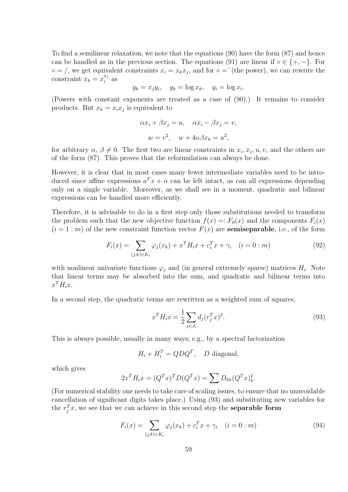To find a semilinear relaxation, we note that the equations (90) have the form (87) and hence can be handled as in the previous section. The equations (91) are linear if  $\circ \in \{+, -\}.$  For  $\circ$  = /, we get equivalent constraints  $x_i = x_k x_j$ , and for  $\circ$  =  $\hat{}$  (the power), we can rewrite the constraint  $x_k = x_i^{x_j}$  $_i^{x_j}$  as

$$
y_k = x_j y_i, \quad y_k = \log x_k, \quad y_i = \log x_i.
$$

(Powers with constant exponents are treated as a case of (90).) It remains to consider products. But  $x_k = x_i x_j$  is equivalent to

$$
\alpha x_i + \beta x_j = u, \quad \alpha x_i - \beta x_j = v,
$$
  

$$
w = v^2, \quad w + 4\alpha\beta x_k = u^2,
$$

for arbitrary  $\alpha$ ,  $\beta \neq 0$ . The first two are linear constraints in  $x_i, x_j, u, v$ , and the others are of the form (87). This proves that the reformulation can always be done.

However, it is clear that in most cases many fewer intermediate variables need to be introduced since affine expressions  $a^T x + a$  can be left intact, as can all expressions depending only on a single variable. Moreover, as we shall see in a moment, quadratic and bilinear expressions can be handled more efficiently.

Therefore, it is advisable to do in a first step only those substitutions needed to transform the problem such that the new objective function  $f(x) =: F_0(x)$  and the components  $F_i(x)$  $(i = 1 : m)$  of the new constraint function vector  $F(x)$  are **semiseparable**, i.e., of the form

$$
F_i(x) = \sum_{(j,k)\in K_i} \varphi_j(x_k) + x^T H_i x + c_i^T x + \gamma_i \quad (i = 0 : m)
$$
\n(92)

with nonlinear univariate functions  $\varphi_j$  and (in general extremely sparse) matrices  $H_i$ . Note that linear terms may be absorbed into the sum, and quadratic and bilinear terms into  $x^T H_i x$ .

In a second step, the quadratic terms are rewritten as a weighted sum of squares,

$$
x^T H_i x = \frac{1}{2} \sum_{j \in J_i} d_j (r_j^T x)^2.
$$
\n(93)

This is always possible, usually in many ways; e.g., by a spectral factorization

$$
H_i + H_i^T = QDQ^T, \quad D \text{ diagonal},
$$

which gives

$$
2x^{T}H_{i}x = (Q^{T}x)^{T}D(Q^{T}x) = \sum D_{kk}(Q^{T}x)_{k}^{2}.
$$

(For numerical stability one needs to take care of scaling issues, to ensure that no unavoidable cancellation of significant digits takes place.) Using (93) and substituting new variables for the  $r_j^T x$ , we see that we can achieve in this second step the **separable form** 

$$
F_i(x) = \sum_{(j,k)\in K_i} \varphi_j(x_k) + c_i^T x + \gamma_i \quad (i = 0 : m)
$$
\n(94)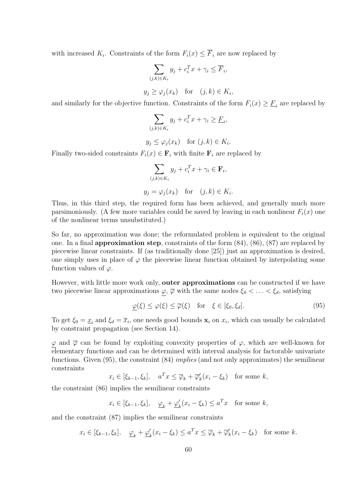with increased  $K_i$ . Constraints of the form  $F_i(x) \leq F_i$  are now replaced by

$$
\sum_{(j,k)\in K_i} y_j + c_i^T x + \gamma_i \le \overline{F}_i,
$$
  

$$
y_j \ge \varphi_j(x_k) \quad \text{for} \quad (j,k) \in K_i,
$$

and similarly for the objective function. Constraints of the form  $F_i(x) \geq \underline{F}_i$  are replaced by

$$
\sum_{(j,k)\in K_i} y_j + c_i^T x + \gamma_i \ge \underline{F}_i,
$$
  

$$
y_j \le \varphi_j(x_k) \quad \text{for } (j,k) \in K_i.
$$

Finally two-sided constraints  $F_i(x) \in \mathbf{F}_i$  with finite  $\mathbf{F}_i$  are replaced by

$$
\sum_{(j,k)\in K_i} y_j + c_i^T x + \gamma_i \in \mathbf{F}_i,
$$
  

$$
y_j = \varphi_j(x_k) \quad \text{for} \quad (j,k) \in K_i.
$$

Thus, in this third step, the required form has been achieved, and generally much more parsimoniously. (A few more variables could be saved by leaving in each nonlinear  $F_i(x)$  one of the nonlinear terms unsubstituted.)

So far, no approximation was done; the reformulated problem is equivalent to the original one. In a final **approximation step**, constraints of the form  $(84)$ ,  $(86)$ ,  $(87)$  are replaced by piecewise linear constraints. If (as traditionally done [25]) just an approximation is desired, one simply uses in place of  $\varphi$  the piecewise linear function obtained by interpolating some function values of  $\varphi$ .

However, with little more work only, outer approximations can be constructed if we have two piecewise linear approximations  $\varphi$ ,  $\overline{\varphi}$  with the same nodes  $\xi_0 < \ldots < \xi_d$ , satisfying

$$
\underline{\varphi}(\xi) \le \varphi(\xi) \le \overline{\varphi}(\xi) \quad \text{for} \quad \xi \in [\xi_0, \xi_d]. \tag{95}
$$

To get  $\xi_0 = \underline{x}_i$  and  $\xi_d = \overline{x}_i$ , one needs good bounds  $\mathbf{x}_i$  on  $x_i$ , which can usually be calculated by constraint propagation (see Section 14).

 $\varphi$  and  $\overline{\varphi}$  can be found by exploiting convexity properties of  $\varphi$ , which are well-known for elementary functions and can be determined with interval analysis for factorable univariate functions. Given (95), the constraint (84) implies (and not only approximates) the semilinear constraints

 $x_i \in [\xi_{k-1}, \xi_k], \quad a^T x \leq \overline{\varphi}_k + \overline{\varphi}'_k (x_i - \xi_k) \quad \text{for some } k,$ 

the constraint (86) implies the semilinear constraints

$$
x_i \in [\xi_{k-1}, \xi_k], \quad \underline{\varphi}_k + \underline{\varphi}'_k(x_i - \xi_k) \le a^T x \quad \text{for some } k,
$$

and the constraint (87) implies the semilinear constraints

$$
x_i \in [\xi_{k-1}, \xi_k], \quad \underline{\varphi}_k + \underline{\varphi}'_k(x_i - \xi_k) \leq a^T x \leq \overline{\varphi}_k + \overline{\varphi}'_k(x_i - \xi_k)
$$
 for some  $k$ .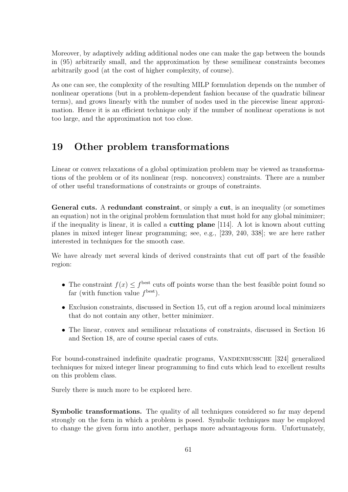Moreover, by adaptively adding additional nodes one can make the gap between the bounds in (95) arbitrarily small, and the approximation by these semilinear constraints becomes arbitrarily good (at the cost of higher complexity, of course).

As one can see, the complexity of the resulting MILP formulation depends on the number of nonlinear operations (but in a problem-dependent fashion because of the quadratic bilinear terms), and grows linearly with the number of nodes used in the piecewise linear approximation. Hence it is an efficient technique only if the number of nonlinear operations is not too large, and the approximation not too close.

## 19 Other problem transformations

Linear or convex relaxations of a global optimization problem may be viewed as transformations of the problem or of its nonlinear (resp. nonconvex) constraints. There are a number of other useful transformations of constraints or groups of constraints.

General cuts. A redundant constraint, or simply a cut, is an inequality (or sometimes an equation) not in the original problem formulation that must hold for any global minimizer; if the inequality is linear, it is called a cutting plane [114]. A lot is known about cutting planes in mixed integer linear programming; see, e.g., [239, 240, 338]; we are here rather interested in techniques for the smooth case.

We have already met several kinds of derived constraints that cut off part of the feasible region:

- The constraint  $f(x) \leq f^{\text{best}}$  cuts off points worse than the best feasible point found so far (with function value  $f<sup>best</sup>$ ).
- Exclusion constraints, discussed in Section 15, cut off a region around local minimizers that do not contain any other, better minimizer.
- The linear, convex and semilinear relaxations of constraints, discussed in Section 16 and Section 18, are of course special cases of cuts.

For bound-constrained indefinite quadratic programs, VANDENBUSSCHE [324] generalized techniques for mixed integer linear programming to find cuts which lead to excellent results on this problem class.

Surely there is much more to be explored here.

Symbolic transformations. The quality of all techniques considered so far may depend strongly on the form in which a problem is posed. Symbolic techniques may be employed to change the given form into another, perhaps more advantageous form. Unfortunately,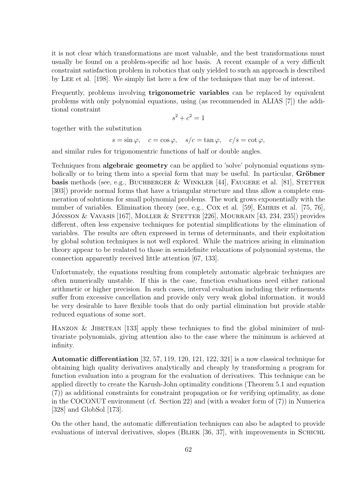it is not clear which transformations are most valuable, and the best transformations must usually be found on a problem-specific ad hoc basis. A recent example of a very difficult constraint satisfaction problem in robotics that only yielded to such an approach is described by Lee et al. [198]. We simply list here a few of the techniques that may be of interest.

Frequently, problems involving trigonometric variables can be replaced by equivalent problems with only polynomial equations, using (as recommended in ALIAS [7]) the additional constraint

$$
s^2 + c^2 = 1
$$

together with the substitution

$$
s = \sin \varphi, \quad c = \cos \varphi, \quad s/c = \tan \varphi, \quad c/s = \cot \varphi,
$$

and similar rules for trigonomentric functions of half or double angles.

Techniques from algebraic geometry can be applied to 'solve' polynomial equations symbolically or to bring them into a special form that may be useful. In particular, Gröbner basis methods (see, e.g., BUCHBERGER & WINKLER [44], FAUGERE et al. [81], STETTER [303]) provide normal forms that have a triangular structure and thus allow a complete enumeration of solutions for small polynomial problems. The work grows exponentially with the number of variables. Elimination theory (see, e.g., COX et al. [59], EMIRIS et al. [75, 76], JÓNSSON & VAVASIS [167], MOLLER & STETTER [226], MOURRAIN [43, 234, 235]) provides different, often less expensive techniques for potential simplifications by the elimination of variables. The results are often expressed in terms of determinants, and their exploitation by global solution techniques is not well explored. While the matrices arising in elimination theory appear to be realated to those in semidefinite relaxations of polynomial systems, the connection apparently received little attention [67, 133].

Unfortunately, the equations resulting from completely automatic algebraic techniques are often numerically unstable. If this is the case, function evaluations need either rational arithmetic or higher precision. In such cases, interval evaluation including their refinements suffer from excessive cancellation and provide only very weak global information. it would be very desirable to have flexible tools that do only partial elimination but provide stable reduced equations of some sort.

HANZON & JIBETEAN [133] apply these techniques to find the global minimizer of multivariate polynomials, giving attention also to the case where the minimum is achieved at infinity.

Automatic differentiation [32, 57, 119, 120, 121, 122, 321] is a now classical technique for obtaining high quality derivatives analytically and cheaply by transforming a program for function evaluation into a program for the evaluation of derivatives. This technique can be applied directly to create the Karush-John optimality conditions (Theorem 5.1 and equation (7)) as additional constraints for constraint propagation or for verifying optimality, as done in the COCONUT environment (cf. Section 22) and (with a weaker form of (7)) in Numerica [328] and GlobSol [173].

On the other hand, the automatic differentiation techniques can also be adapted to provide evaluations of interval derivatives, slopes (BLIEK [36, 37], with improvements in SCHICHL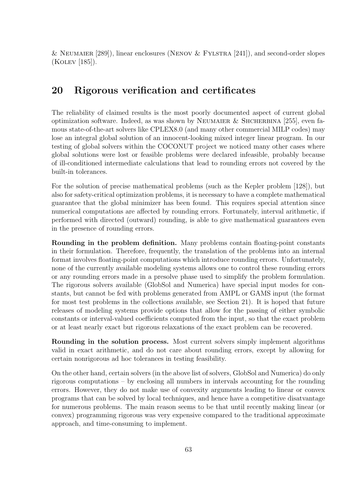& NEUMAIER [289]), linear enclosures (NENOV & FYLSTRA [241]), and second-order slopes (Kolev [185]).

# 20 Rigorous verification and certificates

The reliability of claimed results is the most poorly documented aspect of current global optimization software. Indeed, as was shown by NEUMAIER  $&$  SHCHERBINA [255], even famous state-of-the-art solvers like CPLEX8.0 (and many other commercial MILP codes) may lose an integral global solution of an innocent-looking mixed integer linear program. In our testing of global solvers within the COCONUT project we noticed many other cases where global solutions were lost or feasible problems were declared infeasible, probably because of ill-conditioned intermediate calculations that lead to rounding errors not covered by the built-in tolerances.

For the solution of precise mathematical problems (such as the Kepler problem [128]), but also for safety-critical optimization problems, it is necessary to have a complete mathematical guarantee that the global minimizer has been found. This requires special attention since numerical computations are affected by rounding errors. Fortunately, interval arithmetic, if performed with directed (outward) rounding, is able to give mathematical guarantees even in the presence of rounding errors.

Rounding in the problem definition. Many problems contain floating-point constants in their formulation. Therefore, frequently, the translation of the problems into an internal format involves floating-point computations which introduce rounding errors. Unfortunately, none of the currently available modeling systems allows one to control these rounding errors or any rounding errors made in a presolve phase used to simplify the problem formulation. The rigorous solvers available (GlobSol and Numerica) have special input modes for constants, but cannot be fed with problems generated from AMPL or GAMS input (the format for most test problems in the collections available, see Section 21). It is hoped that future releases of modeling systems provide options that allow for the passing of either symbolic constants or interval-valued coefficients computed from the input, so that the exact problem or at least nearly exact but rigorous relaxations of the exact problem can be recovered.

Rounding in the solution process. Most current solvers simply implement algorithms valid in exact arithmetic, and do not care about rounding errors, except by allowing for certain nonrigorous ad hoc tolerances in testing feasibility.

On the other hand, certain solvers (in the above list of solvers, GlobSol and Numerica) do only rigorous computations – by enclosing all numbers in intervals accounting for the rounding errors. However, they do not make use of convexity arguments leading to linear or convex programs that can be solved by local techniques, and hence have a competitive disatvantage for numerous problems. The main reason seems to be that until recently making linear (or convex) programming rigorous was very expensive compared to the traditional approximate approach, and time-consuming to implement.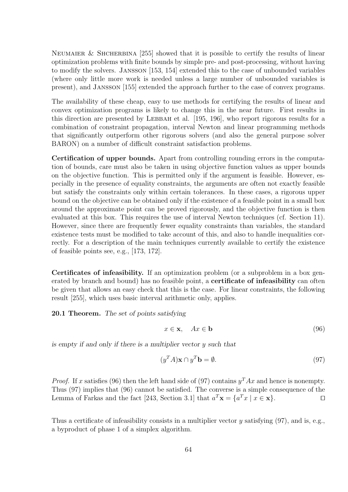NEUMAIER & SHCHERBINA  $[255]$  showed that it is possible to certify the results of linear optimization problems with finite bounds by simple pre- and post-processing, without having to modify the solvers. Jansson [153, 154] extended this to the case of unbounded variables (where only little more work is needed unless a large number of unbounded variables is present), and Jansson [155] extended the approach further to the case of convex programs.

The availability of these cheap, easy to use methods for certifying the results of linear and convex optimization programs is likely to change this in the near future. First results in this direction are presented by LEBBAH et al.  $[195, 196]$ , who report rigorous results for a combination of constraint propagation, interval Newton and linear programming methods that significantly outperform other rigorous solvers (and also the general purpose solver BARON) on a number of difficult constraint satisfaction problems.

Certification of upper bounds. Apart from controlling rounding errors in the computation of bounds, care must also be taken in using objective function values as upper bounds on the objective function. This is permitted only if the argument is feasible. However, especially in the presence of equality constraints, the arguments are often not exactly feasible but satisfy the constraints only within certain tolerances. In these cases, a rigorous upper bound on the objective can be obtained only if the existence of a feasible point in a small box around the approximate point can be proved rigorously, and the objective function is then evaluated at this box. This requires the use of interval Newton techniques (cf. Section 11). However, since there are frequently fewer equality constraints than variables, the standard existence tests must be modified to take account of this, and also to handle inequalities correctly. For a description of the main techniques currently available to certify the existence of feasible points see, e.g., [173, 172].

Certificates of infeasibility. If an optimization problem (or a subproblem in a box generated by branch and bound) has no feasible point, a **certificate of infeasibility** can often be given that allows an easy check that this is the case. For linear constraints, the following result [255], which uses basic interval arithmetic only, applies.

20.1 Theorem. The set of points satisfying

$$
x \in \mathbf{x}, \quad Ax \in \mathbf{b} \tag{96}
$$

is empty if and only if there is a multiplier vector y such that

$$
(y^T A)\mathbf{x} \cap y^T \mathbf{b} = \emptyset. \tag{97}
$$

*Proof.* If x satisfies (96) then the left hand side of (97) contains  $y^T A x$  and hence is nonempty. Thus (97) implies that (96) cannot be satisfied. The converse is a simple consequence of the Lemma of Farkas and the fact [243, Section 3.1] that  $a^T \mathbf{x} = \{a^T x \mid x \in \mathbf{x}\}\.$ 

Thus a certificate of infeasibility consists in a multiplier vector  $\gamma$  satisfying (97), and is, e.g., a byproduct of phase 1 of a simplex algorithm.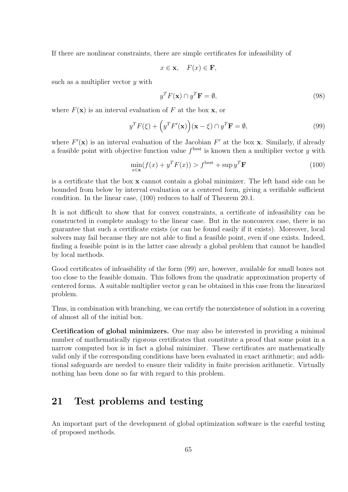If there are nonlinear constraints, there are simple certificates for infeasibility of

$$
x \in \mathbf{x}, \quad F(x) \in \mathbf{F},
$$

such as a multiplier vector  $y$  with

$$
y^T F(\mathbf{x}) \cap y^T \mathbf{F} = \emptyset,
$$
\n(98)

where  $F(\mathbf{x})$  is an interval evaluation of F at the box **x**, or

$$
y^T F(\xi) + \left( y^T F'(\mathbf{x}) \right) (\mathbf{x} - \xi) \cap y^T \mathbf{F} = \emptyset,
$$
\n(99)

where  $F'(\mathbf{x})$  is an interval evaluation of the Jacobian  $F'$  at the box **x**. Similarly, if already a feasible point with objective function value  $f<sup>best</sup>$  is known then a multiplier vector y with

$$
\min_{x \in \mathbf{x}} (f(x) + y^T F(x)) > f^{\text{best}} + \sup y^T \mathbf{F}
$$
\n(100)

is a certificate that the box x cannot contain a global minimizer. The left hand side can be bounded from below by interval evaluation or a centered form, giving a verifiable sufficient condition. In the linear case, (100) reduces to half of Theorem 20.1.

It is not difficult to show that for convex constraints, a certificate of infeasibility can be constructed in complete analogy to the linear case. But in the nonconvex case, there is no guarantee that such a certificate exists (or can be found easily if it exists). Moreover, local solvers may fail because they are not able to find a feasible point, even if one exists. Indeed, finding a feasible point is in the latter case already a global problem that cannot be handled by local methods.

Good certificates of infeasibility of the form (99) are, however, available for small boxes not too close to the feasible domain. This follows from the quadratic approximation property of centered forms. A suitable multiplier vector  $y$  can be obtained in this case from the linearized problem.

Thus, in combination with branching, we can certify the nonexistence of solution in a covering of almost all of the initial box.

Certification of global minimizers. One may also be interested in providing a minimal number of mathematically rigorous certificates that constitute a proof that some point in a narrow computed box is in fact a global minimizer. These certificates are mathematically valid only if the corresponding conditions have been evaluated in exact arithmetic; and additional safeguards are needed to ensure their validity in finite precision arithmetic. Virtually nothing has been done so far with regard to this problem.

### 21 Test problems and testing

An important part of the development of global optimization software is the careful testing of proposed methods.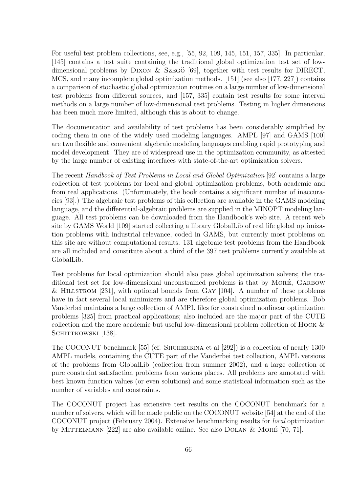For useful test problem collections, see, e.g., [55, 92, 109, 145, 151, 157, 335]. In particular, [145] contains a test suite containing the traditional global optimization test set of lowdimensional problems by DIXON & SZEGÖ [69], together with test results for DIRECT, MCS, and many incomplete global optimization methods. [151] (see also [177, 227]) contains a comparison of stochastic global optimization routines on a large number of low-dimensional test problems from different sources, and [157, 335] contain test results for some interval methods on a large number of low-dimensional test problems. Testing in higher dimensions has been much more limited, although this is about to change.

The documentation and availability of test problems has been considerably simplified by coding them in one of the widely used modeling languages. AMPL [97] and GAMS [100] are two flexible and convenient algebraic modeling languages enabling rapid prototyping and model development. They are of widespread use in the optimization community, as attested by the large number of existing interfaces with state-of-the-art optimization solvers.

The recent Handbook of Test Problems in Local and Global Optimization [92] contains a large collection of test problems for local and global optimization problems, both academic and from real applications. (Unfortunately, the book contains a significant number of inaccuracies [93].) The algebraic test problems of this collection are available in the GAMS modeling language, and the differential-algebraic problems are supplied in the MINOPT modeling language. All test problems can be downloaded from the Handbook's web site. A recent web site by GAMS World [109] started collecting a library GlobalLib of real life global optimization problems with industrial relevance, coded in GAMS, but currently most problems on this site are without computational results. 131 algebraic test problems from the Handbook are all included and constitute about a third of the 397 test problems currently available at GlobalLib.

Test problems for local optimization should also pass global optimization solvers; the traditional test set for low-dimensional unconstrained problems is that by MORÉ, GARBOW  $&$  HILLSTROM [231], with optional bounds from GAY [104]. A number of these problems have in fact several local minimizers and are therefore global optimization problems. Bob Vanderbei maintains a large collection of AMPL files for constrained nonlinear optimization problems [325] from practical applications; also included are the major part of the CUTE collection and the more academic but useful low-dimensional problem collection of Hock & SCHITTKOWSKI [138].

The COCONUT benchmark [55] (cf. SHCHERBINA et al [292]) is a collection of nearly 1300 AMPL models, containing the CUTE part of the Vanderbei test collection, AMPL versions of the problems from GlobalLib (collection from summer 2002), and a large collection of pure constraint satisfaction problems from various places. All problems are annotated with best known function values (or even solutions) and some statistical information such as the number of variables and constraints.

The COCONUT project has extensive test results on the COCONUT benchmark for a number of solvers, which will be made public on the COCONUT website [54] at the end of the COCONUT project (February 2004). Extensive benchmarking results for local optimization by MITTELMANN [222] are also available online. See also DOLAN & MORÉ [70, 71].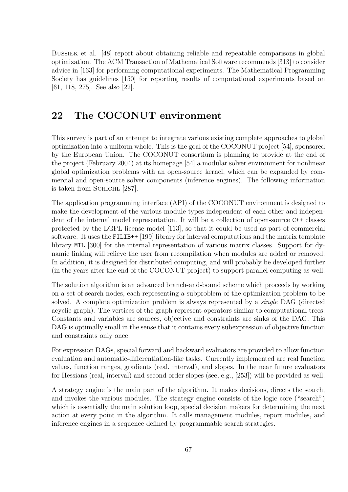Bussiek et al. [48] report about obtaining reliable and repeatable comparisons in global optimization. The ACM Transaction of Mathematical Software recommends [313] to consider advice in [163] for performing computational experiments. The Mathematical Programming Society has guidelines [150] for reporting results of computational experiments based on [61, 118, 275]. See also [22].

# 22 The COCONUT environment

This survey is part of an attempt to integrate various existing complete approaches to global optimization into a uniform whole. This is the goal of the COCONUT project [54], sponsored by the European Union. The COCONUT consortium is planning to provide at the end of the project (February 2004) at its homepage [54] a modular solver environment for nonlinear global optimization problems with an open-source kernel, which can be expanded by commercial and open-source solver components (inference engines). The following information is taken from SCHICHL [287].

The application programming interface (API) of the COCONUT environment is designed to make the development of the various module types independent of each other and independent of the internal model representation. It will be a collection of open-source C++ classes protected by the LGPL license model [113], so that it could be used as part of commercial software. It uses the FILIB++ [199] library for interval computations and the matrix template library MTL [300] for the internal representation of various matrix classes. Support for dynamic linking will relieve the user from recompilation when modules are added or removed. In addition, it is designed for distributed computing, and will probably be developed further (in the years after the end of the COCONUT project) to support parallel computing as well.

The solution algorithm is an advanced branch-and-bound scheme which proceeds by working on a set of search nodes, each representing a subproblem of the optimization problem to be solved. A complete optimization problem is always represented by a single DAG (directed acyclic graph). The vertices of the graph represent operators similar to computational trees. Constants and variables are sources, objective and constraints are sinks of the DAG. This DAG is optimally small in the sense that it contains every subexpression of objective function and constraints only once.

For expression DAGs, special forward and backward evaluators are provided to allow function evaluation and automatic-differentiation-like tasks. Currently implemented are real function values, function ranges, gradients (real, interval), and slopes. In the near future evaluators for Hessians (real, interval) and second order slopes (see, e.g., [253]) will be provided as well.

A strategy engine is the main part of the algorithm. It makes decisions, directs the search, and invokes the various modules. The strategy engine consists of the logic core ("search") which is essentially the main solution loop, special decision makers for determining the next action at every point in the algorithm. It calls management modules, report modules, and inference engines in a sequence defined by programmable search strategies.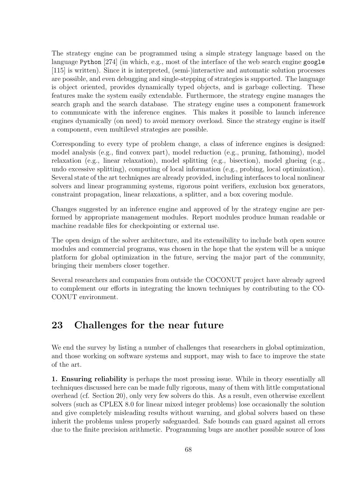The strategy engine can be programmed using a simple strategy language based on the language Python [274] (in which, e.g., most of the interface of the web search engine google [115] is written). Since it is interpreted, (semi-)interactive and automatic solution processes are possible, and even debugging and single-stepping of strategies is supported. The language is object oriented, provides dynamically typed objects, and is garbage collecting. These features make the system easily extendable. Furthermore, the strategy engine manages the search graph and the search database. The strategy engine uses a component framework to communicate with the inference engines. This makes it possible to launch inference engines dynamically (on need) to avoid memory overload. Since the strategy engine is itself a component, even multilevel strategies are possible.

Corresponding to every type of problem change, a class of inference engines is designed: model analysis (e.g., find convex part), model reduction (e.g., pruning, fathoming), model relaxation (e.g., linear relaxation), model splitting (e.g., bisection), model glueing (e.g., undo excessive splitting), computing of local information (e.g., probing, local optimization). Several state of the art techniqnes are already provided, including interfaces to local nonlinear solvers and linear programming systems, rigorous point verifiers, exclusion box generators, constraint propagation, linear relaxations, a splitter, and a box covering module.

Changes suggested by an inference engine and approved of by the strategy engine are performed by appropriate management modules. Report modules produce human readable or machine readable files for checkpointing or external use.

The open design of the solver architecture, and its extensibility to include both open source modules and commercial programs, was chosen in the hope that the system will be a unique platform for global optimization in the future, serving the major part of the community, bringing their members closer together.

Several researchers and companies from outside the COCONUT project have already agreed to complement our efforts in integrating the known techniques by contributing to the CO-CONUT environment.

## 23 Challenges for the near future

We end the survey by listing a number of challenges that researchers in global optimization, and those working on software systems and support, may wish to face to improve the state of the art.

1. Ensuring reliability is perhaps the most pressing issue. While in theory essentially all techniques discussed here can be made fully rigorous, many of them with little computational overhead (cf. Section 20), only very few solvers do this. As a result, even otherwise excellent solvers (such as CPLEX 8.0 for linear mixed integer problems) lose occasionally the solution and give completely misleading results without warning, and global solvers based on these inherit the problems unless properly safeguarded. Safe bounds can guard against all errors due to the finite precision arithmetic. Programming bugs are another possible source of loss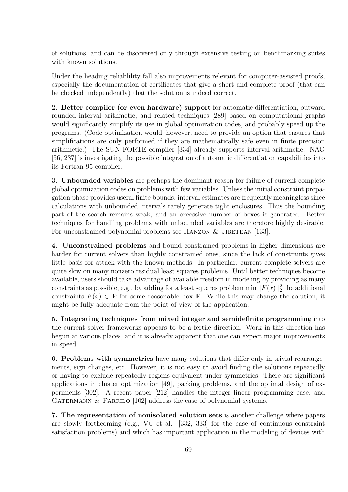of solutions, and can be discovered only through extensive testing on benchmarking suites with known solutions.

Under the heading reliablility fall also improvements relevant for computer-assisted proofs, especially the documentation of certificates that give a short and complete proof (that can be checked independently) that the solution is indeed correct.

2. Better compiler (or even hardware) support for automatic differentiation, outward rounded interval arithmetic, and related techniques [289] based on computational graphs would significantly simplify its use in global optimization codes, and probably speed up the programs. (Code optimization would, however, need to provide an option that ensures that simplifications are only performed if they are mathematically safe even in finite precision arithmetic.) The SUN FORTE compiler [334] already supports interval arithmetic. NAG [56, 237] is investigating the possible integration of automatic differentiation capabilities into its Fortran 95 compiler.

3. Unbounded variables are perhaps the dominant reason for failure of current complete global optimization codes on problems with few variables. Unless the initial constraint propagation phase provides useful finite bounds, interval estimates are frequently meaningless since calculations with unbounded intervals rarely generate tight enclosures. Thus the bounding part of the search remains weak, and an excessive number of boxes is generated. Better techniques for handling problems with unbounded variables are therefore highly desirable. For unconstrained polynomial problems see HANZON  $&$  JIBETEAN [133].

4. Unconstrained problems and bound constrained problems in higher dimensions are harder for current solvers than highly constrained ones, since the lack of constraints gives little basis for attack with the known methods. In particular, current complete solvers are quite slow on many nonzero residual least squares problems. Until better techniques become available, users should take advantage of available freedom in modeling by providing as many constraints as possible, e.g., by adding for a least squares problem min  $||F(x)||_2^2$  the additional constraints  $F(x) \in \mathbf{F}$  for some reasonable box **F**. While this may change the solution, it might be fully adequate from the point of view of the application.

5. Integrating techniques from mixed integer and semidefinite programming into the current solver frameworks appears to be a fertile direction. Work in this direction has begun at various places, and it is already apparent that one can expect major improvements in speed.

6. Problems with symmetries have many solutions that differ only in trivial rearrangements, sign changes, etc. However, it is not easy to avoid finding the solutions repeatedly or having to exclude repeatedly regions equivalent under symmetries. There are significant applications in cluster optimization [49], packing problems, and the optimal design of experiments [302]. A recent paper [212] handles the integer linear programming case, and GATERMANN & PARRILO  $[102]$  address the case of polynomial systems.

7. The representation of nonisolated solution sets is another challenge where papers are slowly forthcoming (e.g., Vu et al. [332, 333] for the case of continuous constraint satisfaction problems) and which has important application in the modeling of devices with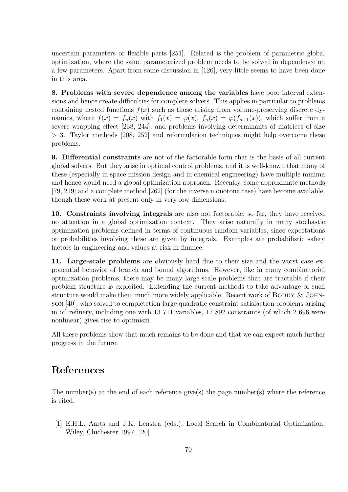uncertain parameters or flexible parts [251]. Related is the problem of parametric global optimization, where the same parameterized problem needs to be solved in dependence on a few parameters. Apart from some discussion in [126], very little seems to have been done in this area.

8. Problems with severe dependence among the variables have poor interval extensions and hence create difficulties for complete solvers. This applies in particular to problems containing nested functions  $f(x)$  such as those arising from volume-preserving discrete dynamics, where  $f(x) = f_n(x)$  with  $f_1(x) = \varphi(x)$ ,  $f_n(x) = \varphi(f_{n-1}(x))$ , which suffer from a severe wrapping effect [238, 244], and problems involving determinants of matrices of size  $> 3$ . Taylor methods [208, 252] and reformulation techniques might help overcome these problems.

9. Differential constraints are not of the factorable form that is the basis of all current global solvers. But they arise in optimal control problems, and it is well-known that many of these (especially in space mission design and in chemical engineering) have multiple minima and hence would need a global optimization approach. Recently, some approximate methods [79, 219] and a complete method [262] (for the inverse monotone case) have become available, though these work at present only in very low dimensions.

10. Constraints involving integrals are also not factorable; so far, they have received no attention in a global optimization context. They arise naturally in many stochastic optimization problems defined in terms of continuous random variables, since expectations or probabilities involving these are given by integrals. Examples are probabilistic safety factors in engineering and values at risk in finance.

11. Large-scale problems are obviously hard due to their size and the worst case exponential behavior of branch and bound algorithms. However, like in many combinatorial optimization problems, there may be many large-scale problems that are tractable if their problem structure is exploited. Extending the current methods to take advantage of such structure would make them much more widely applicable. Recent work of BODDY  $&$  JOHNson [40], who solved to completetion large quadratic constraint satisfaction problems arising in oil refinery, including one with 13 711 variables, 17 892 constraints (of which 2 696 were nonlinear) gives rise to optimism.

All these problems show that much remains to be done and that we can expect much further progress in the future.

## References

The number(s) at the end of each reference give(s) the page number(s) where the reference is cited.

[1] E.H.L. Aarts and J.K. Lenstra (eds.), Local Search in Combinatorial Optimization, Wiley, Chichester 1997. [20]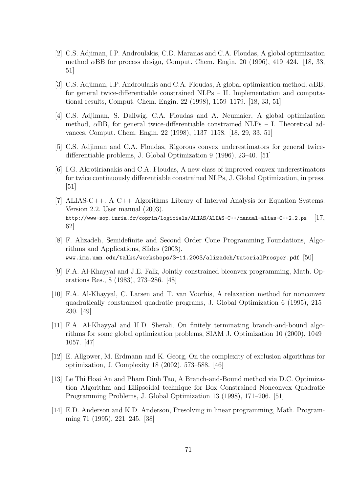- [2] C.S. Adjiman, I.P. Androulakis, C.D. Maranas and C.A. Floudas, A global optimization method  $\alpha$ BB for process design, Comput. Chem. Engin. 20 (1996), 419–424. [18, 33, 51]
- [3] C.S. Adjiman, I.P. Androulakis and C.A. Floudas, A global optimization method,  $\alpha$ BB, for general twice-differentiable constrained NLPs – II. Implementation and computational results, Comput. Chem. Engin. 22 (1998), 1159–1179. [18, 33, 51]
- [4] C.S. Adjiman, S. Dallwig, C.A. Floudas and A. Neumaier, A global optimization method,  $\alpha$ BB, for general twice-differentiable constrained NLPs – I. Theoretical advances, Comput. Chem. Engin. 22 (1998), 1137–1158. [18, 29, 33, 51]
- [5] C.S. Adjiman and C.A. Floudas, Rigorous convex underestimators for general twicedifferentiable problems, J. Global Optimization 9 (1996), 23–40. [51]
- [6] I.G. Akrotirianakis and C.A. Floudas, A new class of improved convex underestimators for twice continuously differentiable constrained NLPs, J. Global Optimization, in press. [51]
- [7] ALIAS-C++. A C++ Algorithms Library of Interval Analysis for Equation Systems. Version 2.2. User manual (2003). http://www-sop.inria.fr/coprin/logiciels/ALIAS/ALIAS-C++/manual-alias-C++2.2.ps [17, 62]
- [8] F. Alizadeh, Semidefinite and Second Order Cone Programming Foundations, Algorithms and Applications, Slides (2003). www.ima.umn.edu/talks/workshops/3-11.2003/alizadeh/tutorialProsper.pdf  $[50]$
- [9] F.A. Al-Khayyal and J.E. Falk, Jointly constrained biconvex programming, Math. Operations Res., 8 (1983), 273–286. [48]
- [10] F.A. Al-Khayyal, C. Larsen and T. van Voorhis, A relaxation method for nonconvex quadratically constrained quadratic programs, J. Global Optimization 6 (1995), 215– 230. [49]
- [11] F.A. Al-Khayyal and H.D. Sherali, On finitely terminating branch-and-bound algorithms for some global optimization problems, SIAM J. Optimization 10 (2000), 1049– 1057. [47]
- [12] E. Allgower, M. Erdmann and K. Georg, On the complexity of exclusion algorithms for optimization, J. Complexity 18 (2002), 573–588. [46]
- [13] Le Thi Hoai An and Pham Dinh Tao, A Branch-and-Bound method via D.C. Optimization Algorithm and Ellipsoidal technique for Box Constrained Nonconvex Quadratic Programming Problems, J. Global Optimization 13 (1998), 171–206. [51]
- [14] E.D. Anderson and K.D. Anderson, Presolving in linear programming, Math. Programming 71 (1995), 221–245. [38]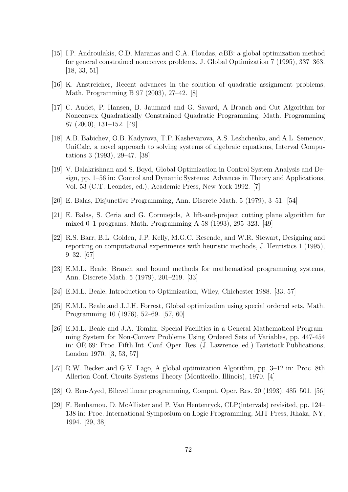- [15] I.P. Androulakis, C.D. Maranas and C.A. Floudas, αBB: a global optimization method for general constrained nonconvex problems, J. Global Optimization 7 (1995), 337–363. [18, 33, 51]
- [16] K. Anstreicher, Recent advances in the solution of quadratic assignment problems, Math. Programming B 97 (2003), 27–42. [8]
- [17] C. Audet, P. Hansen, B. Jaumard and G. Savard, A Branch and Cut Algorithm for Nonconvex Quadratically Constrained Quadratic Programming, Math. Programming 87 (2000), 131–152. [49]
- [18] A.B. Babichev, O.B. Kadyrova, T.P. Kashevarova, A.S. Leshchenko, and A.L. Semenov, UniCalc, a novel approach to solving systems of algebraic equations, Interval Computations 3 (1993), 29–47. [38]
- [19] V. Balakrishnan and S. Boyd, Global Optimization in Control System Analysis and Design, pp. 1–56 in: Control and Dynamic Systems: Advances in Theory and Applications, Vol. 53 (C.T. Leondes, ed.), Academic Press, New York 1992. [7]
- [20] E. Balas, Disjunctive Programming, Ann. Discrete Math. 5 (1979), 3–51. [54]
- [21] E. Balas, S. Ceria and G. Cornuejols, A lift-and-project cutting plane algorithm for mixed 0–1 programs. Math. Programming A 58 (1993), 295–323. [49]
- [22] R.S. Barr, B.L. Golden, J.P. Kelly, M.G.C. Resende, and W.R. Stewart, Designing and reporting on computational experiments with heuristic methods, J. Heuristics 1 (1995), 9–32. [67]
- [23] E.M.L. Beale, Branch and bound methods for mathematical programming systems, Ann. Discrete Math. 5 (1979), 201–219. [33]
- [24] E.M.L. Beale, Introduction to Optimization, Wiley, Chichester 1988. [33, 57]
- [25] E.M.L. Beale and J.J.H. Forrest, Global optimization using special ordered sets, Math. Programming 10 (1976), 52–69. [57, 60]
- [26] E.M.L. Beale and J.A. Tomlin, Special Facilities in a General Mathematical Programming System for Non-Convex Problems Using Ordered Sets of Variables, pp. 447-454 in: OR 69: Proc. Fifth Int. Conf. Oper. Res. (J. Lawrence, ed.) Tavistock Publications, London 1970. [3, 53, 57]
- [27] R.W. Becker and G.V. Lago, A global optimization Algorithm, pp. 3–12 in: Proc. 8th Allerton Conf. Cicuits Systems Theory (Monticello, Illinois), 1970. [4]
- [28] O. Ben-Ayed, Bilevel linear programming, Comput. Oper. Res. 20 (1993), 485–501. [56]
- [29] F. Benhamou, D. McAllister and P. Van Hentenryck, CLP(intervals) revisited, pp. 124– 138 in: Proc. International Symposium on Logic Programming, MIT Press, Ithaka, NY, 1994. [29, 38]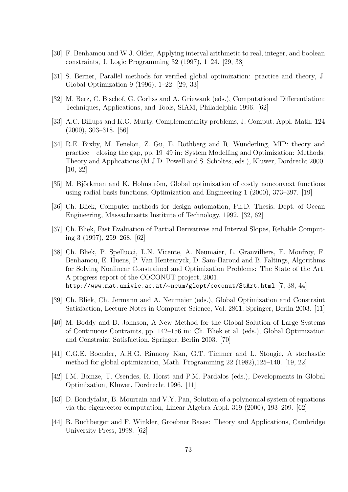- [30] F. Benhamou and W.J. Older, Applying interval arithmetic to real, integer, and boolean constraints, J. Logic Programming 32 (1997), 1–24. [29, 38]
- [31] S. Berner, Parallel methods for verified global optimization: practice and theory, J. Global Optimization 9 (1996), 1–22. [29, 33]
- [32] M. Berz, C. Bischof, G. Corliss and A. Griewank (eds.), Computational Differentiation: Techniques, Applications, and Tools, SIAM, Philadelphia 1996. [62]
- [33] A.C. Billups and K.G. Murty, Complementarity problems, J. Comput. Appl. Math. 124 (2000), 303–318. [56]
- [34] R.E. Bixby, M. Fenelon, Z. Gu, E. Rothberg and R. Wunderling, MIP: theory and practice – closing the gap, pp. 19–49 in: System Modelling and Optimization: Methods, Theory and Applications (M.J.D. Powell and S. Scholtes, eds.), Kluwer, Dordrecht 2000. [10, 22]
- [35] M. Björkman and K. Holmström, Global optimization of costly nonconvext functions using radial basis functions, Optimization and Engineering 1 (2000), 373–397. [19]
- [36] Ch. Bliek, Computer methods for design automation, Ph.D. Thesis, Dept. of Ocean Engineering, Massachusetts Institute of Technology, 1992. [32, 62]
- [37] Ch. Bliek, Fast Evaluation of Partial Derivatives and Interval Slopes, Reliable Computing 3 (1997), 259–268. [62]
- [38] Ch. Bliek, P. Spellucci, L.N. Vicente, A. Neumaier, L. Granvilliers, E. Monfroy, F. Benhamou, E. Huens, P. Van Hentenryck, D. Sam-Haroud and B. Faltings, Algorithms for Solving Nonlinear Constrained and Optimization Problems: The State of the Art. A progress report of the COCONUT project, 2001. http://www.mat.univie.ac.at/∼neum/glopt/coconut/StArt.html [7, 38, 44]
- [39] Ch. Bliek, Ch. Jermann and A. Neumaier (eds.), Global Optimization and Constraint Satisfaction, Lecture Notes in Computer Science, Vol. 2861, Springer, Berlin 2003. [11]
- [40] M. Boddy and D. Johnson, A New Method for the Global Solution of Large Systems of Continuous Contraints, pp. 142–156 in: Ch. Bliek et al. (eds.), Global Optimization and Constraint Satisfaction, Springer, Berlin 2003. [70]
- [41] C.G.E. Boender, A.H.G. Rinnooy Kan, G.T. Timmer and L. Stougie, A stochastic method for global optimization, Math. Programming 22 (1982),125–140. [19, 22]
- [42] I.M. Bomze, T. Csendes, R. Horst and P.M. Pardalos (eds.), Developments in Global Optimization, Kluwer, Dordrecht 1996. [11]
- [43] D. Bondyfalat, B. Mourrain and V.Y. Pan, Solution of a polynomial system of equations via the eigenvector computation, Linear Algebra Appl. 319 (2000), 193–209. [62]
- [44] B. Buchberger and F. Winkler, Groebner Bases: Theory and Applications, Cambridge University Press, 1998. [62]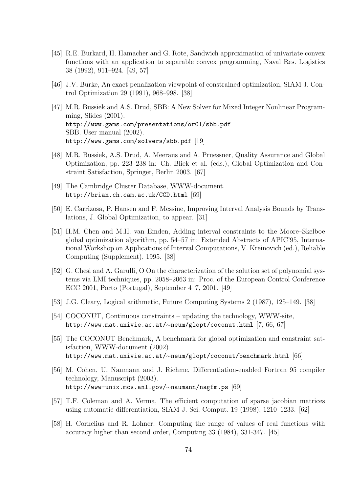- [45] R.E. Burkard, H. Hamacher and G. Rote, Sandwich approximation of univariate convex functions with an application to separable convex programming, Naval Res. Logistics 38 (1992), 911–924. [49, 57]
- [46] J.V. Burke, An exact penalization viewpoint of constrained optimization, SIAM J. Control Optimization 29 (1991), 968–998. [38]
- [47] M.R. Bussiek and A.S. Drud, SBB: A New Solver for Mixed Integer Nonlinear Programming, Slides (2001). http://www.gams.com/presentations/or01/sbb.pdf SBB. User manual (2002). http://www.gams.com/solvers/sbb.pdf [19]
- [48] M.R. Bussiek, A.S. Drud, A. Meeraus and A. Pruessner, Quality Assurance and Global Optimization, pp. 223–238 in: Ch. Bliek et al. (eds.), Global Optimization and Constraint Satisfaction, Springer, Berlin 2003. [67]
- [49] The Cambridge Cluster Database, WWW-document. http://brian.ch.cam.ac.uk/CCD.html [69]
- [50] E. Carrizosa, P. Hansen and F. Messine, Improving Interval Analysis Bounds by Translations, J. Global Optimization, to appear. [31]
- [51] H.M. Chen and M.H. van Emden, Adding interval constraints to the Moore–Skelboe global optimization algorithm, pp. 54–57 in: Extended Abstracts of APIC'95, International Workshop on Applications of Interval Computations, V. Kreinovich (ed.), Reliable Computing (Supplement), 1995. [38]
- [52] G. Chesi and A. Garulli, O On the characterization of the solution set of polynomial systems via LMI techniques, pp. 2058–2063 in: Proc. of the European Control Conference ECC 2001, Porto (Portugal), September 4–7, 2001. [49]
- [53] J.G. Cleary, Logical arithmetic, Future Computing Systems 2 (1987), 125–149. [38]
- [54] COCONUT, Continuous constraints updating the technology, WWW-site, http://www.mat.univie.ac.at/∼neum/glopt/coconut.html [7, 66, 67]
- [55] The COCONUT Benchmark, A benchmark for global optimization and constraint satisfaction, WWW-document (2002). http://www.mat.univie.ac.at/∼neum/glopt/coconut/benchmark.html [66]
- [56] M. Cohen, U. Naumann and J. Riehme, Differentiation-enabled Fortran 95 compiler technology, Manuscript (2003). http://www-unix.mcs.anl.gov/∼naumann/nagfm.ps [69]
- [57] T.F. Coleman and A. Verma, The efficient computation of sparse jacobian matrices using automatic differentiation, SIAM J. Sci. Comput. 19 (1998), 1210–1233. [62]
- [58] H. Cornelius and R. Lohner, Computing the range of values of real functions with accuracy higher than second order, Computing 33 (1984), 331-347. [45]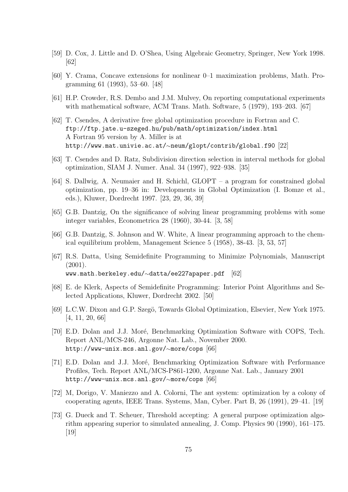- [59] D. Cox, J. Little and D. O'Shea, Using Algebraic Geometry, Springer, New York 1998. [62]
- [60] Y. Crama, Concave extensions for nonlinear 0–1 maximization problems, Math. Programming 61 (1993), 53–60. [48]
- [61] H.P. Crowder, R.S. Dembo and J.M. Mulvey, On reporting computational experiments with mathematical software, ACM Trans. Math. Software, 5 (1979), 193–203. [67]
- [62] T. Csendes, A derivative free global optimization procedure in Fortran and C. ftp://ftp.jate.u-szeged.hu/pub/math/optimization/index.html A Fortran 95 version by A. Miller is at http://www.mat.univie.ac.at/∼neum/glopt/contrib/global.f90 [22]
- [63] T. Csendes and D. Ratz, Subdivision direction selection in interval methods for global optimization, SIAM J. Numer. Anal. 34 (1997), 922–938. [35]
- [64] S. Dallwig, A. Neumaier and H. Schichl, GLOPT a program for constrained global optimization, pp. 19–36 in: Developments in Global Optimization (I. Bomze et al., eds.), Kluwer, Dordrecht 1997. [23, 29, 36, 39]
- [65] G.B. Dantzig, On the significance of solving linear programming problems with some integer variables, Econometrica 28 (1960), 30-44. [3, 58]
- [66] G.B. Dantzig, S. Johnson and W. White, A linear programming approach to the chemical equilibrium problem, Management Science 5 (1958), 38-43. [3, 53, 57]
- [67] R.S. Datta, Using Semidefinite Programming to Minimize Polynomials, Manuscript (2001). www.math.berkeley.edu/∼datta/ee227apaper.pdf [62]
- [68] E. de Klerk, Aspects of Semidefinite Programming: Interior Point Algorithms and Selected Applications, Kluwer, Dordrecht 2002. [50]
- [69] L.C.W. Dixon and G.P. Szegö, Towards Global Optimization, Elsevier, New York 1975. [4, 11, 20, 66]
- [70] E.D. Dolan and J.J. Moré, Benchmarking Optimization Software with COPS, Tech. Report ANL/MCS-246, Argonne Nat. Lab., November 2000. http://www-unix.mcs.anl.gov/∼more/cops [66]
- [71] E.D. Dolan and J.J. Moré, Benchmarking Optimization Software with Performance Profiles, Tech. Report ANL/MCS-P861-1200, Argonne Nat. Lab., January 2001 http://www-unix.mcs.anl.gov/∼more/cops [66]
- [72] M, Dorigo, V. Maniezzo and A. Colorni, The ant system: optimization by a colony of cooperating agents, IEEE Trans. Systems, Man, Cyber. Part B, 26 (1991), 29–41. [19]
- [73] G. Dueck and T. Scheuer, Threshold accepting: A general purpose optimization algorithm appearing superior to simulated annealing, J. Comp. Physics 90 (1990), 161–175. [19]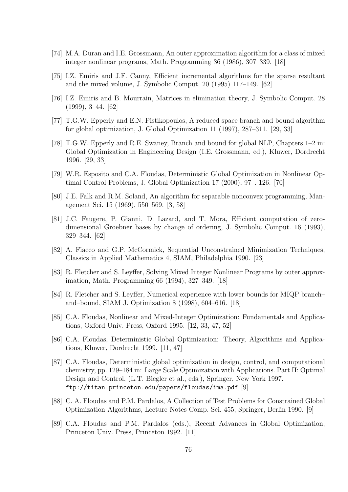- [74] M.A. Duran and I.E. Grossmann, An outer approximation algorithm for a class of mixed integer nonlinear programs, Math. Programming 36 (1986), 307–339. [18]
- [75] I.Z. Emiris and J.F. Canny, Efficient incremental algorithms for the sparse resultant and the mixed volume, J. Symbolic Comput. 20 (1995) 117–149. [62]
- [76] I.Z. Emiris and B. Mourrain, Matrices in elimination theory, J. Symbolic Comput. 28 (1999), 3–44. [62]
- [77] T.G.W. Epperly and E.N. Pistikopoulos, A reduced space branch and bound algorithm for global optimization, J. Global Optimization 11 (1997), 287–311. [29, 33]
- [78] T.G.W. Epperly and R.E. Swaney, Branch and bound for global NLP, Chapters 1–2 in: Global Optimization in Engineering Design (I.E. Grossmann, ed.), Kluwer, Dordrecht 1996. [29, 33]
- [79] W.R. Esposito and C.A. Floudas, Deterministic Global Optimization in Nonlinear Optimal Control Problems, J. Global Optimization 17 (2000), 97–. 126. [70]
- [80] J.E. Falk and R.M. Soland, An algorithm for separable nonconvex programming, Management Sci. 15 (1969), 550–569. [3, 58]
- [81] J.C. Faugere, P. Gianni, D. Lazard, and T. Mora, Efficient computation of zerodimensional Groebner bases by change of ordering, J. Symbolic Comput. 16 (1993), 329–344. [62]
- [82] A. Fiacco and G.P. McCormick, Sequential Unconstrained Minimization Techniques, Classics in Applied Mathematics 4, SIAM, Philadelphia 1990. [23]
- [83] R. Fletcher and S. Leyffer, Solving Mixed Integer Nonlinear Programs by outer approximation, Math. Programming 66 (1994), 327–349. [18]
- [84] R. Fletcher and S. Leyffer, Numerical experience with lower bounds for MIQP branch– and–bound, SIAM J. Optimization 8 (1998), 604–616. [18]
- [85] C.A. Floudas, Nonlinear and Mixed-Integer Optimization: Fundamentals and Applications, Oxford Univ. Press, Oxford 1995. [12, 33, 47, 52]
- [86] C.A. Floudas, Deterministic Global Optimization: Theory, Algorithms and Applications, Kluwer, Dordrecht 1999. [11, 47]
- [87] C.A. Floudas, Deterministic global optimization in design, control, and computational chemistry, pp. 129–184 in: Large Scale Optimization with Applications. Part II: Optimal Design and Control, (L.T. Biegler et al., eds.), Springer, New York 1997. ftp://titan.princeton.edu/papers/floudas/ima.pdf [9]
- [88] C. A. Floudas and P.M. Pardalos, A Collection of Test Problems for Constrained Global Optimization Algorithms, Lecture Notes Comp. Sci. 455, Springer, Berlin 1990. [9]
- [89] C.A. Floudas and P.M. Pardalos (eds.), Recent Advances in Global Optimization, Princeton Univ. Press, Princeton 1992. [11]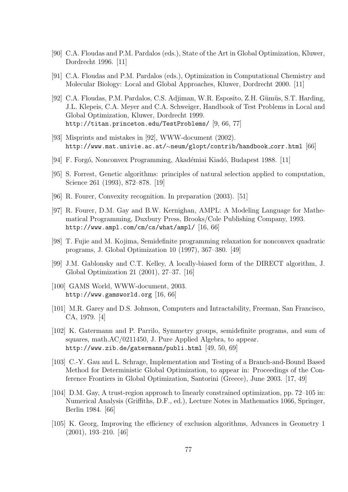- [90] C.A. Floudas and P.M. Pardalos (eds.), State of the Art in Global Optimization, Kluwer, Dordrecht 1996. [11]
- [91] C.A. Floudas and P.M. Pardalos (eds.), Optimization in Computational Chemistry and Molecular Biology: Local and Global Approaches, Kluwer, Dordrecht 2000. [11]
- [92] C.A. Floudas, P.M. Pardalos, C.S. Adjiman, W.R. Esposito, Z.H. Gümüs, S.T. Harding, J.L. Klepeis, C.A. Meyer and C.A. Schweiger, Handbook of Test Problems in Local and Global Optimization, Kluwer, Dordrecht 1999. http://titan.princeton.edu/TestProblems/ [9, 66, 77]
- [93] Misprints and mistakes in [92], WWW-document (2002). http://www.mat.univie.ac.at/∼neum/glopt/contrib/handbook corr.html [66]
- [94] F. Forgó, Nonconvex Programming, Akadémiai Kiadó, Budapest 1988. [11]
- [95] S. Forrest, Genetic algorithms: principles of natural selection applied to computation, Science 261 (1993), 872–878. [19]
- [96] R. Fourer, Convexity recognition. In preparation (2003). [51]
- [97] R. Fourer, D.M. Gay and B.W. Kernighan, AMPL: A Modeling Language for Mathematical Programming, Duxbury Press, Brooks/Cole Publishing Company, 1993. http://www.ampl.com/cm/cs/what/ampl/ [16, 66]
- [98] T. Fujie and M. Kojima, Semidefinite programming relaxation for nonconvex quadratic programs, J. Global Optimization 10 (1997), 367–380. [49]
- [99] J.M. Gablonsky and C.T. Kelley, A locally-biased form of the DIRECT algorithm, J. Global Optimization 21 (2001), 27–37. [16]
- [100] GAMS World, WWW-document, 2003. http://www.gamsworld.org [16, 66]
- [101] M.R. Garey and D.S. Johnson, Computers and Intractability, Freeman, San Francisco, CA, 1979. [4]
- [102] K. Gatermann and P. Parrilo, Symmetry groups, semidefinite programs, and sum of squares, math.AC/0211450, J. Pure Applied Algebra, to appear. http://www.zib.de/gatermann/publi.html [49, 50, 69]
- [103] C.-Y. Gau and L. Schrage, Implementation and Testing of a Branch-and-Bound Based Method for Deterministic Global Optimization, to appear in: Proceedings of the Conference Frontiers in Global Optimization, Santorini (Greece), June 2003. [17, 49]
- [104] D.M. Gay, A trust-region approach to linearly constrained optimization, pp. 72–105 in: Numerical Analysis (Griffiths, D.F., ed.), Lecture Notes in Mathematics 1066, Springer, Berlin 1984. [66]
- [105] K. Georg, Improving the efficiency of exclusion algorithms, Advances in Geometry 1 (2001), 193–210. [46]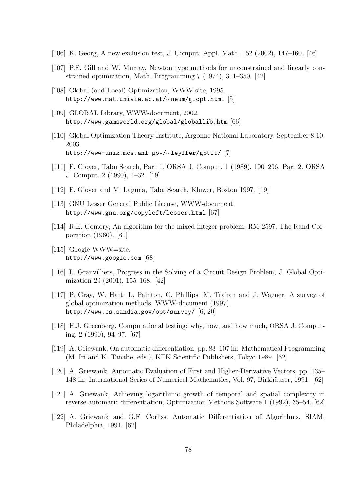- [106] K. Georg, A new exclusion test, J. Comput. Appl. Math. 152 (2002), 147–160. [46]
- [107] P.E. Gill and W. Murray, Newton type methods for unconstrained and linearly constrained optimization, Math. Programming 7 (1974), 311–350. [42]
- [108] Global (and Local) Optimization, WWW-site, 1995. http://www.mat.univie.ac.at/∼neum/glopt.html [5]
- [109] GLOBAL Library, WWW-document, 2002. http://www.gamsworld.org/global/globallib.htm [66]
- [110] Global Optimization Theory Institute, Argonne National Laboratory, September 8-10, 2003. http://www-unix.mcs.anl.gov/∼leyffer/gotit/ [7]
- [111] F. Glover, Tabu Search, Part 1. ORSA J. Comput. 1 (1989), 190–206. Part 2. ORSA J. Comput. 2 (1990), 4–32. [19]
- [112] F. Glover and M. Laguna, Tabu Search, Kluwer, Boston 1997. [19]
- [113] GNU Lesser General Public License, WWW-document. http://www.gnu.org/copyleft/lesser.html [67]
- [114] R.E. Gomory, An algorithm for the mixed integer problem, RM-2597, The Rand Corporation (1960). [61]
- [115] Google WWW=site. http://www.google.com [68]
- [116] L. Granvilliers, Progress in the Solving of a Circuit Design Problem, J. Global Optimization 20 (2001), 155–168. [42]
- [117] P. Gray, W. Hart, L. Painton, C. Phillips, M. Trahan and J. Wagner, A survey of global optimization methods, WWW-document (1997). http://www.cs.sandia.gov/opt/survey/ [6, 20]
- [118] H.J. Greenberg, Computational testing: why, how, and how much, ORSA J. Computing, 2 (1990), 94–97. [67]
- [119] A. Griewank, On automatic differentiation, pp. 83–107 in: Mathematical Programming (M. Iri and K. Tanabe, eds.), KTK Scientific Publishers, Tokyo 1989. [62]
- [120] A. Griewank, Automatic Evaluation of First and Higher-Derivative Vectors, pp. 135– 148 in: International Series of Numerical Mathematics, Vol. 97, Birkhäuser, 1991. [62]
- [121] A. Griewank, Achieving logarithmic growth of temporal and spatial complexity in reverse automatic differentiation, Optimization Methods Software 1 (1992), 35–54. [62]
- [122] A. Griewank and G.F. Corliss. Automatic Differentiation of Algorithms, SIAM, Philadelphia, 1991. [62]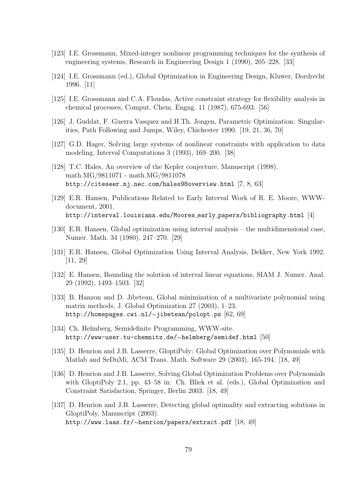- [123] I.E. Grossmann, Mixed-integer nonlinear programming techniques for the synthesis of engineering systems, Research in Engineering Design 1 (1990), 205–228. [33]
- [124] I.E. Grossmann (ed.), Global Optimization in Engineering Design, Kluwer, Dordrecht 1996. [11]
- [125] I.E. Grossmann and C.A. Floudas, Active constraint strategy for flexibility analysis in chemical processes, Comput. Chem. Engng. 11 (1987), 675-693. [56]
- [126] J. Guddat, F. Guerra Vasquez and H.Th. Jongen, Parametric Optimization: Singularities, Path Following and Jumps, Wiley, Chichester 1990. [19, 21, 36, 70]
- [127] G.D. Hager, Solving large systems of nonlinear constraints with application to data modeling, Interval Computations 3 (1993), 169–200. [38]
- [128] T.C. Hales, An overview of the Kepler conjecture, Manuscript (1998). math.MG/9811071 - math.MG/9811078 http://citeseer.nj.nec.com/hales98overview.html [7, 8, 63]
- [129] E.R. Hansen, Publications Related to Early Interval Work of R. E. Moore, WWWdocument, 2001. http://interval.louisiana.edu/Moores early papers/bibliography.html [4]
- [130] E.R. Hansen, Global optimization using interval analysis the multidimensional case, Numer. Math. 34 (1980), 247–270. [29]
- [131] E.R. Hansen, Global Optimization Using Interval Analysis, Dekker, New York 1992. [11, 29]
- [132] E. Hansen, Bounding the solution of interval linear equations, SIAM J. Numer. Anal. 29 (1992), 1493–1503. [32]
- [133] B. Hanzon and D. Jibetean, Global minimization of a multivariate polynomial using matrix methods, J. Global Optimization 27 (2003), 1–23. http://homepages.cwi.nl/∼jibetean/polopt.ps [62, 69]
- [134] Ch. Helmberg, Semidefinite Programming, WWW-site. http://www-user.tu-chemnitz.de/∼helmberg/semidef.html [50]
- [135] D. Henrion and J.B. Lasserre, GloptiPoly: Global Optimization over Polynomials with Matlab and SeDuMi, ACM Trans. Math. Software 29 (2003), 165-194. [18, 49]
- [136] D. Henrion and J.B. Lasserre, Solving Global Optimization Problems over Polynomials with GloptiPoly 2.1, pp. 43–58 in: Ch. Bliek et al. (eds.), Global Optimization and Constraint Satisfaction, Springer, Berlin 2003. [18, 49]
- [137] D. Henrion and J.B. Lasserre, Detecting global optimality and extracting solutions in GloptiPoly, Manuscript (2003). http://www.laas.fr/∼henrion/papers/extract.pdf [18, 49]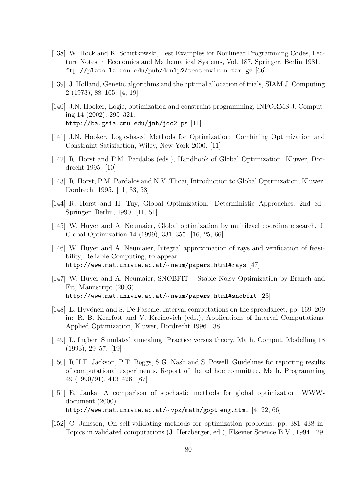- [138] W. Hock and K. Schittkowski, Test Examples for Nonlinear Programming Codes, Lecture Notes in Economics and Mathematical Systems, Vol. 187. Springer, Berlin 1981. ftp://plato.la.asu.edu/pub/donlp2/testenviron.tar.gz [66]
- [139] J. Holland, Genetic algorithms and the optimal allocation of trials, SIAM J. Computing 2 (1973), 88–105. [4, 19]
- [140] J.N. Hooker, Logic, optimization and constraint programming, INFORMS J. Computing 14 (2002), 295–321. http://ba.gsia.cmu.edu/jnh/joc2.ps [11]
- [141] J.N. Hooker, Logic-based Methods for Optimization: Combining Optimization and Constraint Satisfaction, Wiley, New York 2000. [11]
- [142] R. Horst and P.M. Pardalos (eds.), Handbook of Global Optimization, Kluwer, Dordrecht 1995. [10]
- [143] R. Horst, P.M. Pardalos and N.V. Thoai, Introduction to Global Optimization, Kluwer, Dordrecht 1995. [11, 33, 58]
- [144] R. Horst and H. Tuy, Global Optimization: Deterministic Approaches, 2nd ed., Springer, Berlin, 1990. [11, 51]
- [145] W. Huyer and A. Neumaier, Global optimization by multilevel coordinate search, J. Global Optimization 14 (1999), 331–355. [16, 25, 66]
- [146] W. Huyer and A. Neumaier, Integral approximation of rays and verification of feasibility, Reliable Computing, to appear. http://www.mat.univie.ac.at/∼neum/papers.html#rays [47]
- [147] W. Huyer and A. Neumaier, SNOBFIT Stable Noisy Optimization by Branch and Fit, Manuscript (2003). http://www.mat.univie.ac.at/∼neum/papers.html#snobfit [23]
- [148] E. Hyvönen and S. De Pascale, Interval computations on the spreadsheet, pp. 169–209 in: R. B. Kearfott and V. Kreinovich (eds.), Applications of Interval Computations, Applied Optimization, Kluwer, Dordrecht 1996. [38]
- [149] L. Ingber, Simulated annealing: Practice versus theory, Math. Comput. Modelling 18 (1993), 29–57. [19]
- [150] R.H.F. Jackson, P.T. Boggs, S.G. Nash and S. Powell, Guidelines for reporting results of computational experiments, Report of the ad hoc committee, Math. Programming 49 (1990/91), 413–426. [67]
- [151] E. Janka, A comparison of stochastic methods for global optimization, WWWdocument (2000). http://www.mat.univie.ac.at/∼vpk/math/gopt eng.html [4, 22, 66]
- [152] C. Jansson, On self-validating methods for optimization problems, pp. 381–438 in: Topics in validated computations (J. Herzberger, ed.), Elsevier Science B.V., 1994. [29]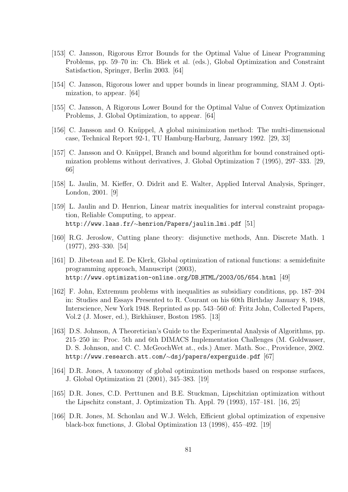- [153] C. Jansson, Rigorous Error Bounds for the Optimal Value of Linear Programming Problems, pp. 59–70 in: Ch. Bliek et al. (eds.), Global Optimization and Constraint Satisfaction, Springer, Berlin 2003. [64]
- [154] C. Jansson, Rigorous lower and upper bounds in linear programming, SIAM J. Optimization, to appear. [64]
- [155] C. Jansson, A Rigorous Lower Bound for the Optimal Value of Convex Optimization Problems, J. Global Optimization, to appear. [64]
- [156] C. Jansson and O. Knüppel, A global minimization method: The multi-dimensional case, Technical Report 92-1, TU Hamburg-Harburg, January 1992. [29, 33]
- [157] C. Jansson and O. Knüppel, Branch and bound algorithm for bound constrained optimization problems without derivatives, J. Global Optimization 7 (1995), 297–333. [29, 66]
- [158] L. Jaulin, M. Kieffer, O. Didrit and E. Walter, Applied Interval Analysis, Springer, London, 2001. [9]
- [159] L. Jaulin and D. Henrion, Linear matrix inequalities for interval constraint propagation, Reliable Computing, to appear. http://www.laas.fr/∼henrion/Papers/jaulin lmi.pdf [51]
- [160] R.G. Jeroslow, Cutting plane theory: disjunctive methods, Ann. Discrete Math. 1 (1977), 293–330. [54]
- [161] D. Jibetean and E. De Klerk, Global optimization of rational functions: a semidefinite programming approach, Manuscript (2003), http://www.optimization-online.org/DB HTML/2003/05/654.html [49]
- [162] F. John, Extremum problems with inequalities as subsidiary conditions, pp. 187–204 in: Studies and Essays Presented to R. Courant on his 60th Birthday January 8, 1948, Interscience, New York 1948. Reprinted as pp. 543–560 of: Fritz John, Collected Papers, Vol.2 (J. Moser, ed.), Birkhäuser, Boston 1985. [13]
- [163] D.S. Johnson, A Theoretician's Guide to the Experimental Analysis of Algorithms, pp. 215–250 in: Proc. 5th and 6th DIMACS Implementation Challenges (M. Goldwasser, D. S. Johnson, and C. C. McGeochWet at., eds.) Amer. Math. Soc., Providence, 2002. http://www.research.att.com/∼dsj/papers/experguide.pdf [67]
- [164] D.R. Jones, A taxonomy of global optimization methods based on response surfaces, J. Global Optimization 21 (2001), 345–383. [19]
- [165] D.R. Jones, C.D. Perttunen and B.E. Stuckman, Lipschitzian optimization without the Lipschitz constant, J. Optimization Th. Appl. 79 (1993), 157–181. [16, 25]
- [166] D.R. Jones, M. Schonlau and W.J. Welch, Efficient global optimization of expensive black-box functions, J. Global Optimization 13 (1998), 455–492. [19]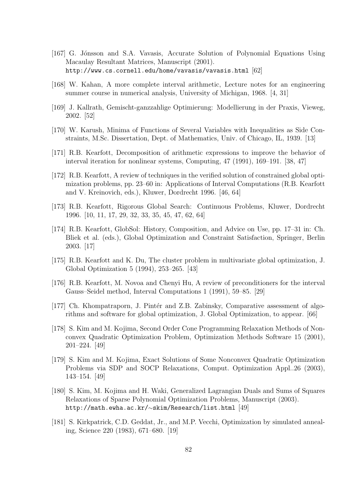- [167] G. Jónsson and S.A. Vavasis, Accurate Solution of Polynomial Equations Using Macaulay Resultant Matrices, Manuscript (2001). http://www.cs.cornell.edu/home/vavasis/vavasis.html [62]
- [168] W. Kahan, A more complete interval arithmetic, Lecture notes for an engineering summer course in numerical analysis, University of Michigan, 1968. [4, 31]
- [169] J. Kallrath, Gemischt-ganzzahlige Optimierung: Modellierung in der Praxis, Vieweg, 2002. [52]
- [170] W. Karush, Minima of Functions of Several Variables with Inequalities as Side Constraints, M.Sc. Dissertation, Dept. of Mathematics, Univ. of Chicago, IL, 1939. [13]
- [171] R.B. Kearfott, Decomposition of arithmetic expressions to improve the behavior of interval iteration for nonlinear systems, Computing, 47 (1991), 169–191. [38, 47]
- [172] R.B. Kearfott, A review of techniques in the verified solution of constrained global optimization problems, pp. 23–60 in: Applications of Interval Computations (R.B. Kearfott and V. Kreinovich, eds.), Kluwer, Dordrecht 1996. [46, 64]
- [173] R.B. Kearfott, Rigorous Global Search: Continuous Problems, Kluwer, Dordrecht 1996. [10, 11, 17, 29, 32, 33, 35, 45, 47, 62, 64]
- [174] R.B. Kearfott, GlobSol: History, Composition, and Advice on Use, pp. 17–31 in: Ch. Bliek et al. (eds.), Global Optimization and Constraint Satisfaction, Springer, Berlin 2003. [17]
- [175] R.B. Kearfott and K. Du, The cluster problem in multivariate global optimization, J. Global Optimization 5 (1994), 253–265. [43]
- [176] R.B. Kearfott, M. Novoa and Chenyi Hu, A review of preconditioners for the interval Gauss–Seidel method, Interval Computations 1 (1991), 59–85. [29]
- [177] Ch. Khompatraporn, J. Pintér and Z.B. Zabinsky, Comparative assessment of algorithms and software for global optimization, J. Global Optimization, to appear. [66]
- [178] S. Kim and M. Kojima, Second Order Cone Programming Relaxation Methods of Nonconvex Quadratic Optimization Problem, Optimization Methods Software 15 (2001), 201–224. [49]
- [179] S. Kim and M. Kojima, Exact Solutions of Some Nonconvex Quadratic Optimization Problems via SDP and SOCP Relaxations, Comput. Optimization Appl..26 (2003), 143–154. [49]
- [180] S. Kim, M. Kojima and H. Waki, Generalized Lagrangian Duals and Sums of Squares Relaxations of Sparse Polynomial Optimization Problems, Manuscript (2003). http://math.ewha.ac.kr/∼skim/Research/list.html [49]
- [181] S. Kirkpatrick, C.D. Geddat, Jr., and M.P. Vecchi, Optimization by simulated annealing, Science 220 (1983), 671–680. [19]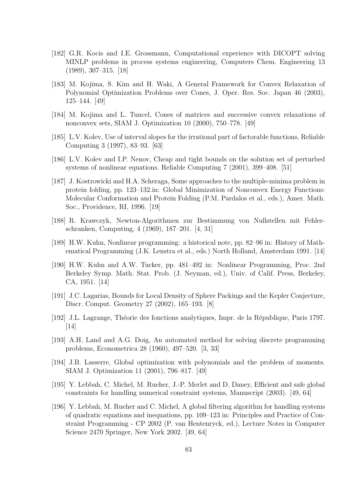- [182] G.R. Kocis and I.E. Grossmann, Computational experience with DICOPT solving MINLP problems in process systems engineering, Computers Chem. Engineering 13 (1989), 307–315. [18]
- [183] M. Kojima, S. Kim and H. Waki, A General Framework for Convex Relaxation of Polynomial Optimization Problems over Cones, J. Oper. Res. Soc. Japan 46 (2003), 125–144. [49]
- [184] M. Kojima and L. Tuncel, Cones of matrices and successive convex relaxations of nonconvex sets, SIAM J. Optimization 10 (2000), 750–778. [49]
- [185] L.V. Kolev, Use of interval slopes for the irrational part of factorable functions, Reliable Computing 3 (1997), 83–93. [63]
- [186] L.V. Kolev and I.P. Nenov, Cheap and tight bounds on the solution set of perturbed systems of nonlinear equations. Reliable Computing 7 (2001), 399–408. [51]
- [187] J. Kostrowicki and H.A. Scheraga, Some approaches to the multiple-minima problem in protein folding, pp. 123–132.in: Global Minimization of Nonconvex Energy Functions: Molecular Conformation and Protein Folding (P.M. Pardalos et al., eds.), Amer. Math. Soc., Providence, RI, 1996. [19]
- [188] R. Krawczyk, Newton-Algorithmen zur Bestimmung von Nullstellen mit Fehlerschranken, Computing, 4 (1969), 187–201. [4, 31]
- [189] H.W. Kuhn, Nonlinear programming: a historical note, pp. 82–96 in: History of Mathematical Programming (J.K. Lenstra et al., eds.) North Holland, Amsterdam 1991. [14]
- [190] H.W. Kuhn and A.W. Tucker, pp. 481–492 in: Nonlinear Programming, Proc. 2nd Berkeley Symp. Math. Stat. Prob. (J. Neyman, ed.), Univ. of Calif. Press, Berkeley, CA, 1951. [14]
- [191] J.C. Lagarias, Bounds for Local Density of Sphere Packings and the Kepler Conjecture, Discr. Comput. Geometry 27 (2002), 165–193. [8]
- [192] J.L. Lagrange, Théorie des fonctions analytiques, Impr. de la République, Paris 1797. [14]
- [193] A.H. Land and A.G. Doig, An automated method for solving discrete programming problems, Econometrica 28 (1960), 497–520. [3, 33]
- [194] J.B. Lasserre, Global optimization with polynomials and the problem of moments. SIAM J. Optimization 11 (2001), 796–817. [49]
- [195] Y. Lebbah, C. Michel, M. Rueher, J.-P. Merlet and D. Daney, Efficient and safe global constraints for handling numerical constraint systems, Manuscript (2003). [49, 64]
- [196] Y. Lebbah, M. Rueher and C. Michel, A global filtering algorithm for handling systems of quadratic equations and inequations, pp. 109–123 in: Principles and Practice of Constraint Programming - CP 2002 (P. van Hentenryck, ed.), Lecture Notes in Computer Science 2470 Springer, New York 2002. [49, 64]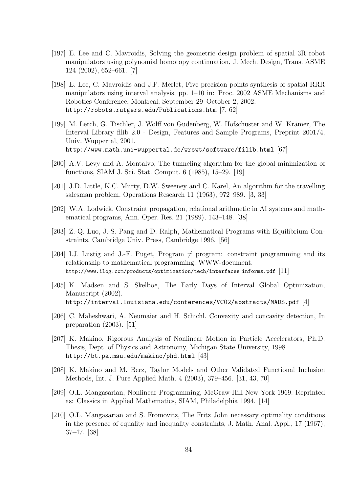- [197] E. Lee and C. Mavroidis, Solving the geometric design problem of spatial 3R robot manipulators using polynomial homotopy continuation, J. Mech. Design, Trans. ASME 124 (2002), 652–661. [7]
- [198] E. Lee, C. Mavroidis and J.P. Merlet, Five precision points synthesis of spatial RRR manipulators using interval analysis, pp. 1–10 in: Proc. 2002 ASME Mechanisms and Robotics Conference, Montreal, September 29–October 2, 2002. http://robots.rutgers.edu/Publications.htm [7, 62]
- [199] M. Lerch, G. Tischler, J. Wolff von Gudenberg, W. Hofschuster and W. Krämer, The Interval Library filib 2.0 - Design, Features and Sample Programs, Preprint 2001/4, Univ. Wuppertal, 2001. http://www.math.uni-wuppertal.de/wrswt/software/filib.html [67]
- [200] A.V. Levy and A. Montalvo, The tunneling algorithm for the global minimization of functions, SIAM J. Sci. Stat. Comput. 6 (1985), 15–29. [19]
- [201] J.D. Little, K.C. Murty, D.W. Sweeney and C. Karel, An algorithm for the travelling salesman problem, Operations Research 11 (1963), 972–989. [3, 33]
- [202] W.A. Lodwick, Constraint propagation, relational arithmetic in AI systems and mathematical programs, Ann. Oper. Res. 21 (1989), 143–148. [38]
- [203] Z.-Q. Luo, J.-S. Pang and D. Ralph, Mathematical Programs with Equilibrium Constraints, Cambridge Univ. Press, Cambridge 1996. [56]
- [204] I.J. Lustig and J.-F. Puget, Program  $\neq$  program: constraint programming and its relationship to mathematical programming. WWW-document. http://www.ilog.com/products/optimization/tech/interfaces\_informs.pdf [11]
- [205] K. Madsen and S. Skelboe, The Early Days of Interval Global Optimization, Manuscript (2002). http://interval.louisiana.edu/conferences/VC02/abstracts/MADS.pdf [4]
- [206] C. Maheshwari, A. Neumaier and H. Schichl. Convexity and concavity detection, In preparation (2003). [51]
- [207] K. Makino, Rigorous Analysis of Nonlinear Motion in Particle Accelerators, Ph.D. Thesis, Dept. of Physics and Astronomy, Michigan State University, 1998. http://bt.pa.msu.edu/makino/phd.html [43]
- [208] K. Makino and M. Berz, Taylor Models and Other Validated Functional Inclusion Methods, Int. J. Pure Applied Math. 4 (2003), 379–456. [31, 43, 70]
- [209] O.L. Mangasarian, Nonlinear Programming, McGraw-Hill New York 1969. Reprinted as: Classics in Applied Mathematics, SIAM, Philadelphia 1994. [14]
- [210] O.L. Mangasarian and S. Fromovitz, The Fritz John necessary optimality conditions in the presence of equality and inequality constraints, J. Math. Anal. Appl., 17 (1967), 37–47. [38]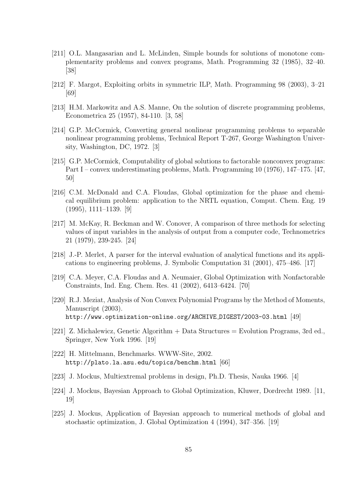- [211] O.L. Mangasarian and L. McLinden, Simple bounds for solutions of monotone complementarity problems and convex programs, Math. Programming 32 (1985), 32–40. [38]
- [212] F. Margot, Exploiting orbits in symmetric ILP, Math. Programming 98 (2003), 3–21 [69]
- [213] H.M. Markowitz and A.S. Manne, On the solution of discrete programming problems, Econometrica 25 (1957), 84-110. [3, 58]
- [214] G.P. McCormick, Converting general nonlinear programming problems to separable nonlinear programming problems, Technical Report T-267, George Washington University, Washington, DC, 1972. [3]
- [215] G.P. McCormick, Computability of global solutions to factorable nonconvex programs: Part I – convex underestimating problems, Math. Programming 10 (1976), 147–175. [47, 50]
- [216] C.M. McDonald and C.A. Floudas, Global optimization for the phase and chemical equilibrium problem: application to the NRTL equation, Comput. Chem. Eng. 19 (1995), 1111–1139. [9]
- [217] M. McKay, R. Beckman and W. Conover, A comparison of three methods for selecting values of input variables in the analysis of output from a computer code, Technometrics 21 (1979), 239-245. [24]
- [218] J.-P. Merlet, A parser for the interval evaluation of analytical functions and its applications to engineering problems, J. Symbolic Computation 31 (2001), 475–486. [17]
- [219] C.A. Meyer, C.A. Floudas and A. Neumaier, Global Optimization with Nonfactorable Constraints, Ind. Eng. Chem. Res. 41 (2002), 6413–6424. [70]
- [220] R.J. Meziat, Analysis of Non Convex Polynomial Programs by the Method of Moments, Manuscript (2003). http://www.optimization-online.org/ARCHIVE DIGEST/2003-03.html [49]
- [221] Z. Michalewicz, Genetic Algorithm + Data Structures = Evolution Programs, 3rd ed., Springer, New York 1996. [19]
- [222] H. Mittelmann, Benchmarks. WWW-Site, 2002. http://plato.la.asu.edu/topics/benchm.html [66]
- [223] J. Mockus, Multiextremal problems in design, Ph.D. Thesis, Nauka 1966. [4]
- [224] J. Mockus, Bayesian Approach to Global Optimization, Kluwer, Dordrecht 1989. [11, 19]
- [225] J. Mockus, Application of Bayesian approach to numerical methods of global and stochastic optimization, J. Global Optimization 4 (1994), 347–356. [19]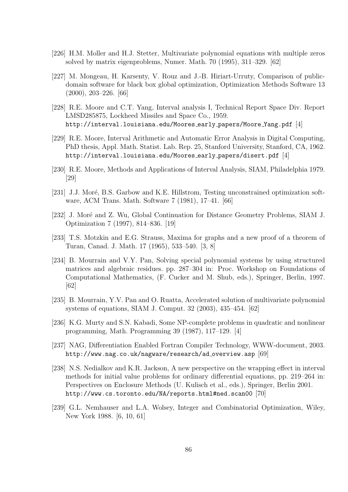- [226] H.M. Moller and H.J. Stetter, Multivariate polynomial equations with multiple zeros solved by matrix eigenproblems, Numer. Math. 70 (1995), 311–329. [62]
- [227] M. Mongeau, H. Karsenty, V. Rouz and J.-B. Hiriart-Urruty, Comparison of publicdomain software for black box global optimization, Optimization Methods Software 13 (2000), 203–226. [66]
- [228] R.E. Moore and C.T. Yang, Interval analysis I, Technical Report Space Div. Report LMSD285875, Lockheed Missiles and Space Co., 1959. http://interval.louisiana.edu/Moores early papers/Moore Yang.pdf [4]
- [229] R.E. Moore, Interval Arithmetic and Automatic Error Analysis in Digital Computing, PhD thesis, Appl. Math. Statist. Lab. Rep. 25, Stanford University, Stanford, CA, 1962. http://interval.louisiana.edu/Moores\_early\_papers/disert.pdf |4|
- [230] R.E. Moore, Methods and Applications of Interval Analysis, SIAM, Philadelphia 1979. [29]
- [231] J.J. Moré, B.S. Garbow and K.E. Hillstrom, Testing unconstrained optimization software, ACM Trans. Math. Software 7 (1981), 17–41. [66]
- [232] J. Moré and Z. Wu, Global Continuation for Distance Geometry Problems, SIAM J. Optimization 7 (1997), 814–836. [19]
- [233] T.S. Motzkin and E.G. Strauss, Maxima for graphs and a new proof of a theorem of Turan, Canad. J. Math. 17 (1965), 533–540. [3, 8]
- [234] B. Mourrain and V.Y. Pan, Solving special polynomial systems by using structured matrices and algebraic residues. pp. 287–304 in: Proc. Workshop on Foundations of Computational Mathematics, (F. Cucker and M. Shub, eds.), Springer, Berlin, 1997. [62]
- [235] B. Mourrain, Y.V. Pan and O. Ruatta, Accelerated solution of multivariate polynomial systems of equations, SIAM J. Comput. 32 (2003), 435–454. [62]
- [236] K.G. Murty and S.N. Kabadi, Some NP-complete problems in quadratic and nonlinear programming, Math. Programming 39 (1987), 117–129. [4]
- [237] NAG, Differentiation Enabled Fortran Compiler Technology, WWW-document, 2003. http://www.nag.co.uk/nagware/research/ad\_overview.asp [69]
- [238] N.S. Nedialkov and K.R. Jackson, A new perspective on the wrapping effect in interval methods for initial value problems for ordinary differential equations, pp. 219–264 in: Perspectives on Enclosure Methods (U. Kulisch et al., eds.), Springer, Berlin 2001. http://www.cs.toronto.edu/NA/reports.html#ned.scan00 [70]
- [239] G.L. Nemhauser and L.A. Wolsey, Integer and Combinatorial Optimization, Wiley, New York 1988. [6, 10, 61]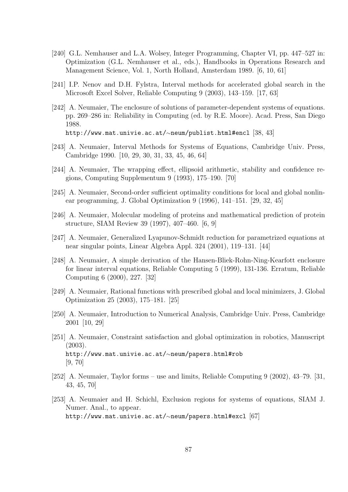- [240] G.L. Nemhauser and L.A. Wolsey, Integer Programming, Chapter VI, pp. 447–527 in: Optimization (G.L. Nemhauser et al., eds.), Handbooks in Operations Research and Management Science, Vol. 1, North Holland, Amsterdam 1989. [6, 10, 61]
- [241] I.P. Nenov and D.H. Fylstra, Interval methods for accelerated global search in the Microsoft Excel Solver, Reliable Computing 9 (2003), 143–159. [17, 63]
- [242] A. Neumaier, The enclosure of solutions of parameter-dependent systems of equations. pp. 269–286 in: Reliability in Computing (ed. by R.E. Moore). Acad. Press, San Diego 1988. http://www.mat.univie.ac.at/∼neum/publist.html#encl [38, 43]
- [243] A. Neumaier, Interval Methods for Systems of Equations, Cambridge Univ. Press, Cambridge 1990. [10, 29, 30, 31, 33, 45, 46, 64]
- [244] A. Neumaier, The wrapping effect, ellipsoid arithmetic, stability and confidence regions, Computing Supplementum 9 (1993), 175–190. [70]
- [245] A. Neumaier, Second-order sufficient optimality conditions for local and global nonlinear programming, J. Global Optimization 9 (1996), 141–151. [29, 32, 45]
- [246] A. Neumaier, Molecular modeling of proteins and mathematical prediction of protein structure, SIAM Review 39 (1997), 407–460. [6, 9]
- [247] A. Neumaier, Generalized Lyapunov-Schmidt reduction for parametrized equations at near singular points, Linear Algebra Appl. 324 (2001), 119–131. [44]
- [248] A. Neumaier, A simple derivation of the Hansen-Bliek-Rohn-Ning-Kearfott enclosure for linear interval equations, Reliable Computing 5 (1999), 131-136. Erratum, Reliable Computing 6 (2000), 227. [32]
- [249] A. Neumaier, Rational functions with prescribed global and local minimizers, J. Global Optimization 25 (2003), 175–181. [25]
- [250] A. Neumaier, Introduction to Numerical Analysis, Cambridge Univ. Press, Cambridge 2001 [10, 29]
- [251] A. Neumaier, Constraint satisfaction and global optimization in robotics, Manuscript (2003). http://www.mat.univie.ac.at/∼neum/papers.html#rob [9, 70]
- [252] A. Neumaier, Taylor forms use and limits, Reliable Computing 9 (2002), 43–79. [31, 43, 45, 70]
- [253] A. Neumaier and H. Schichl, Exclusion regions for systems of equations, SIAM J. Numer. Anal., to appear. http://www.mat.univie.ac.at/∼neum/papers.html#excl [67]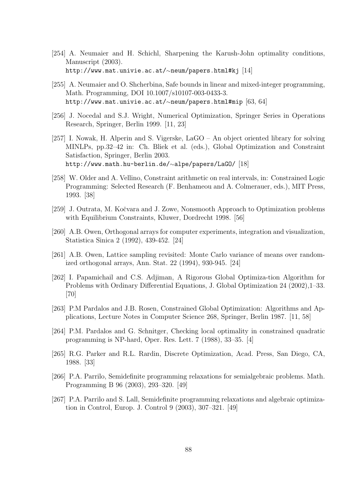- [254] A. Neumaier and H. Schichl, Sharpening the Karush-John optimality conditions, Manuscript (2003). http://www.mat.univie.ac.at/∼neum/papers.html#kj [14]
- [255] A. Neumaier and O. Shcherbina, Safe bounds in linear and mixed-integer programming, Math. Programming, DOI 10.1007/s10107-003-0433-3. http://www.mat.univie.ac.at/∼neum/papers.html#mip [63, 64]
- [256] J. Nocedal and S.J. Wright, Numerical Optimization, Springer Series in Operations Research, Springer, Berlin 1999. [11, 23]
- [257] I. Nowak, H. Alperin and S. Vigerske, LaGO An object oriented library for solving MINLPs, pp.32–42 in: Ch. Bliek et al. (eds.), Global Optimization and Constraint Satisfaction, Springer, Berlin 2003. http://www.math.hu-berlin.de/∼alpe/papers/LaGO/ [18]
- [258] W. Older and A. Vellino, Constraint arithmetic on real intervals, in: Constrained Logic Programming: Selected Research (F. Benhameou and A. Colmerauer, eds.), MIT Press, 1993. [38]
- [259] J. Outrata, M. Kočvara and J. Zowe, Nonsmooth Approach to Optimization problems with Equilibrium Constraints, Kluwer, Dordrecht 1998. [56]
- [260] A.B. Owen, Orthogonal arrays for computer experiments, integration and visualization, Statistica Sinica 2 (1992), 439-452. [24]
- [261] A.B. Owen, Lattice sampling revisited: Monte Carlo variance of means over randomized orthogonal arrays, Ann. Stat. 22 (1994), 930-945. [24]
- [262] I. Papamichail and C.S. Adjiman, A Rigorous Global Optimiza-tion Algorithm for Problems with Ordinary Differential Equations, J. Global Optimization 24 (2002),1–33. [70]
- [263] P.M Pardalos and J.B. Rosen, Constrained Global Optimization: Algorithms and Applications, Lecture Notes in Computer Science 268, Springer, Berlin 1987. [11, 58]
- [264] P.M. Pardalos and G. Schnitger, Checking local optimality in constrained quadratic programming is NP-hard, Oper. Res. Lett. 7 (1988), 33–35. [4]
- [265] R.G. Parker and R.L. Rardin, Discrete Optimization, Acad. Press, San Diego, CA, 1988. [33]
- [266] P.A. Parrilo, Semidefinite programming relaxations for semialgebraic problems. Math. Programming B 96 (2003), 293–320. [49]
- [267] P.A. Parrilo and S. Lall, Semidefinite programming relaxations and algebraic optimization in Control, Europ. J. Control 9 (2003), 307–321. [49]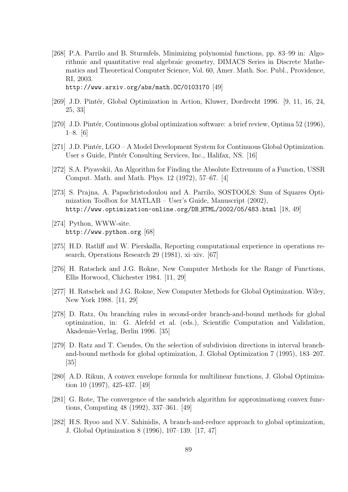- [268] P.A. Parrilo and B. Sturmfels, Minimizing polynomial functions, pp. 83–99 in: Algorithmic and quantitative real algebraic geometry, DIMACS Series in Discrete Mathematics and Theoretical Computer Science, Vol. 60, Amer. Math. Soc. Publ., Providence, RI, 2003. http://www.arxiv.org/abs/math.OC/0103170 [49]
- [269] J.D. Pintér, Global Optimization in Action, Kluwer, Dordrecht 1996. [9, 11, 16, 24, 25, 33]
- [270] J.D. Pintér, Continuous global optimization software: a brief review, Optima 52 (1996), 1–8. [6]
- [271] J.D. Pintér, LGO A Model Development System for Continuous Global Optimization. User s Guide, Pintér Consulting Services, Inc., Halifax, NS. [16]
- [272] S.A. Piyavskii, An Algorithm for Finding the Absolute Extremum of a Function, USSR Comput. Math. and Math. Phys. 12 (1972), 57–67. [4]
- [273] S. Prajna, A. Papachristodoulou and A. Parrilo, SOSTOOLS: Sum of Squares Optimization Toolbox for MATLAB – User's Guide, Manuscript (2002), http://www.optimization-online.org/DB HTML/2002/05/483.html [18, 49]
- [274] Python, WWW-site. http://www.python.org [68]
- [275] H.D. Ratliff and W. Pierskalla, Reporting computational experience in operations research, Operations Research 29 (1981), xi–xiv. [67]
- [276] H. Ratschek and J.G. Rokne, New Computer Methods for the Range of Functions, Ellis Horwood, Chichester 1984. [11, 29]
- [277] H. Ratschek and J.G. Rokne, New Computer Methods for Global Optimization. Wiley, New York 1988. [11, 29]
- [278] D. Ratz, On branching rules in second-order branch-and-bound methods for global optimization, in: G. Alefeld et al. (eds.), Scientific Computation and Validation, Akademie-Verlag, Berlin 1996. [35]
- [279] D. Ratz and T. Csendes, On the selection of subdivision directions in interval branchand-bound methods for global optimization, J. Global Optimization 7 (1995), 183–207. [35]
- [280] A.D. Rikun, A convex envelope formula for multilinear functions, J. Global Optimization 10 (1997), 425-437. [49]
- [281] G. Rote, The convergence of the sandwich algorithm for approximationg convex functions, Computing 48 (1992), 337–361. [49]
- [282] H.S. Ryoo and N.V. Sahinidis, A branch-and-reduce approach to global optimization, J. Global Optimization 8 (1996), 107–139. [17, 47]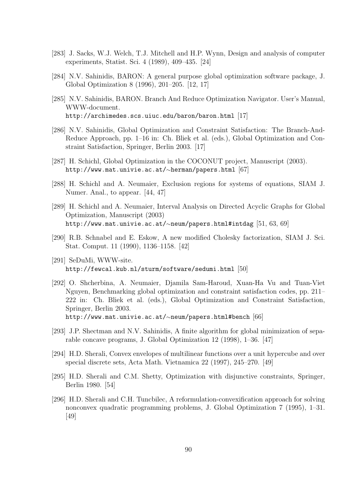- [283] J. Sacks, W.J. Welch, T.J. Mitchell and H.P. Wynn, Design and analysis of computer experiments, Statist. Sci. 4 (1989), 409–435. [24]
- [284] N.V. Sahinidis, BARON: A general purpose global optimization software package, J. Global Optimization 8 (1996), 201–205. [12, 17]
- [285] N.V. Sahinidis, BARON. Branch And Reduce Optimization Navigator. User's Manual, WWW-document. http://archimedes.scs.uiuc.edu/baron/baron.html [17]
- [286] N.V. Sahinidis, Global Optimization and Constraint Satisfaction: The Branch-And-Reduce Approach, pp. 1–16 in: Ch. Bliek et al. (eds.), Global Optimization and Constraint Satisfaction, Springer, Berlin 2003. [17]
- [287] H. Schichl, Global Optimization in the COCONUT project, Manuscript (2003). http://www.mat.univie.ac.at/∼herman/papers.html [67]
- [288] H. Schichl and A. Neumaier, Exclusion regions for systems of equations, SIAM J. Numer. Anal., to appear. [44, 47]
- [289] H. Schichl and A. Neumaier, Interval Analysis on Directed Acyclic Graphs for Global Optimization, Manuscript (2003) http://www.mat.univie.ac.at/∼neum/papers.html#intdag [51, 63, 69]
- [290] R.B. Schnabel and E. Eskow, A new modified Cholesky factorization, SIAM J. Sci. Stat. Comput. 11 (1990), 1136–1158. [42]
- [291] SeDuMi, WWW-site. http://fewcal.kub.nl/sturm/software/sedumi.html [50]
- [292] O. Shcherbina, A. Neumaier, Djamila Sam-Haroud, Xuan-Ha Vu and Tuan-Viet Nguyen, Benchmarking global optimization and constraint satisfaction codes, pp. 211– 222 in: Ch. Bliek et al. (eds.), Global Optimization and Constraint Satisfaction, Springer, Berlin 2003. http://www.mat.univie.ac.at/∼neum/papers.html#bench [66]
- [293] J.P. Shectman and N.V. Sahinidis, A finite algorithm for global minimization of separable concave programs, J. Global Optimization 12 (1998), 1–36. [47]
- [294] H.D. Sherali, Convex envelopes of multilinear functions over a unit hypercube and over special discrete sets, Acta Math. Vietnamica 22 (1997), 245–270. [49]
- [295] H.D. Sherali and C.M. Shetty, Optimization with disjunctive constraints, Springer, Berlin 1980. [54]
- [296] H.D. Sherali and C.H. Tuncbilec, A reformulation-convexification approach for solving nonconvex quadratic programming problems, J. Global Optimization 7 (1995), 1–31. [49]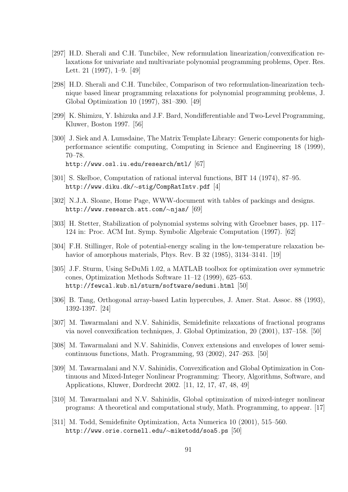- [297] H.D. Sherali and C.H. Tuncbilec, New reformulation linearization/convexification relaxations for univariate and multivariate polynomial programming problems, Oper. Res. Lett. 21 (1997), 1–9. [49]
- [298] H.D. Sherali and C.H. Tuncbilec, Comparison of two reformulation-linearization technique based linear programming relaxations for polynomial programming problems, J. Global Optimization 10 (1997), 381–390. [49]
- [299] K. Shimizu, Y. Ishizuka and J.F. Bard, Nondifferentiable and Two-Level Programming, Kluwer, Boston 1997. [56]
- [300] J. Siek and A. Lumsdaine, The Matrix Template Library: Generic components for highperformance scientific computing, Computing in Science and Engineering 18 (1999), 70–78. http://www.osl.iu.edu/research/mtl/ [67]
- [301] S. Skelboe, Computation of rational interval functions, BIT 14 (1974), 87–95. http://www.diku.dk/∼stig/CompRatIntv.pdf [4]
- [302] N.J.A. Sloane, Home Page, WWW-document with tables of packings and designs. http://www.research.att.com/∼njas/ [69]
- [303] H. Stetter, Stabilization of polynomial systems solving with Groebner bases, pp. 117– 124 in: Proc. ACM Int. Symp. Symbolic Algebraic Computation (1997). [62]
- [304] F.H. Stillinger, Role of potential-energy scaling in the low-temperature relaxation behavior of amorphous materials, Phys. Rev. B 32 (1985), 3134–3141. [19]
- [305] J.F. Sturm, Using SeDuMi 1.02, a MATLAB toolbox for optimization over symmetric cones, Optimization Methods Software 11–12 (1999), 625–653. http://fewcal.kub.nl/sturm/software/sedumi.html [50]
- [306] B. Tang, Orthogonal array-based Latin hypercubes, J. Amer. Stat. Assoc. 88 (1993), 1392-1397. [24]
- [307] M. Tawarmalani and N.V. Sahinidis, Semidefinite relaxations of fractional programs via novel convexification techniques, J. Global Optimization, 20 (2001), 137–158. [50]
- [308] M. Tawarmalani and N.V. Sahinidis, Convex extensions and envelopes of lower semicontinuous functions, Math. Programming, 93 (2002), 247–263. [50]
- [309] M. Tawarmalani and N.V. Sahinidis, Convexification and Global Optimization in Continuous and Mixed-Integer Nonlinear Programming: Theory, Algorithms, Software, and Applications, Kluwer, Dordrecht 2002. [11, 12, 17, 47, 48, 49]
- [310] M. Tawarmalani and N.V. Sahinidis, Global optimization of mixed-integer nonlinear programs: A theoretical and computational study, Math. Programming, to appear. [17]
- [311] M. Todd, Semidefinite Optimization, Acta Numerica 10 (2001), 515–560. http://www.orie.cornell.edu/∼miketodd/soa5.ps [50]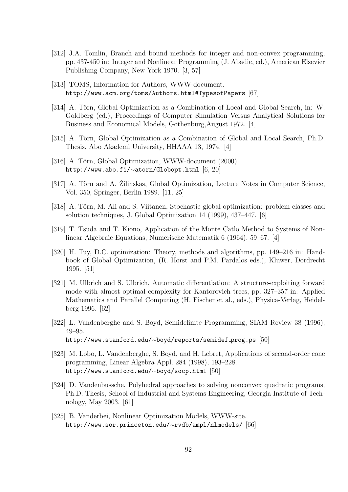- [312] J.A. Tomlin, Branch and bound methods for integer and non-convex programming, pp. 437-450 in: Integer and Nonlinear Programming (J. Abadie, ed.), American Elsevier Publishing Company, New York 1970. [3, 57]
- [313] TOMS, Information for Authors, WWW-document. http://www.acm.org/toms/Authors.html#TypesofPapers [67]
- [314] A. Törn, Global Optimization as a Combination of Local and Global Search, in: W. Goldberg (ed.), Proceedings of Computer Simulation Versus Analytical Solutions for Business and Economical Models, Gothenburg,August 1972. [4]
- [315] A. Törn, Global Optimization as a Combination of Global and Local Search, Ph.D. Thesis, Abo Akademi University, HHAAA 13, 1974. [4]
- [316] A. Törn, Global Optimization, WWW-document (2000). http://www.abo.fi/∼atorn/Globopt.html [6, 20]
- [317] A. Törn and A. Žilinskas, Global Optimization, Lecture Notes in Computer Science, Vol. 350, Springer, Berlin 1989. [11, 25]
- [318] A. Törn, M. Ali and S. Viitanen, Stochastic global optimization: problem classes and solution techniques, J. Global Optimization 14 (1999), 437–447. [6]
- [319] T. Tsuda and T. Kiono, Application of the Monte Catlo Method to Systems of Nonlinear Algebraic Equations, Numerische Matematik 6 (1964), 59–67. [4]
- [320] H. Tuy, D.C. optimization: Theory, methods and algorithms, pp. 149–216 in: Handbook of Global Optimization, (R. Horst and P.M. Pardalos eds.), Kluwer, Dordrecht 1995. [51]
- [321] M. Ulbrich and S. Ulbrich, Automatic differentiation: A structure-exploiting forward mode with almost optimal complexity for Kantorovich trees, pp. 327–357 in: Applied Mathematics and Parallel Computing (H. Fischer et al., eds.), Physica-Verlag, Heidelberg 1996. [62]
- [322] L. Vandenberghe and S. Boyd, Semidefinite Programming, SIAM Review 38 (1996), 49–95. http://www.stanford.edu/∼boyd/reports/semidef prog.ps [50]
- [323] M. Lobo, L. Vandenberghe, S. Boyd, and H. Lebret, Applications of second-order cone programming, Linear Algebra Appl. 284 (1998), 193–228. http://www.stanford.edu/∼boyd/socp.html [50]
- [324] D. Vandenbussche, Polyhedral approaches to solving nonconvex quadratic programs, Ph.D. Thesis, School of Industrial and Systems Engineering, Georgia Institute of Technology, May 2003. [61]
- [325] B. Vanderbei, Nonlinear Optimization Models, WWW-site. http://www.sor.princeton.edu/∼rvdb/ampl/nlmodels/ [66]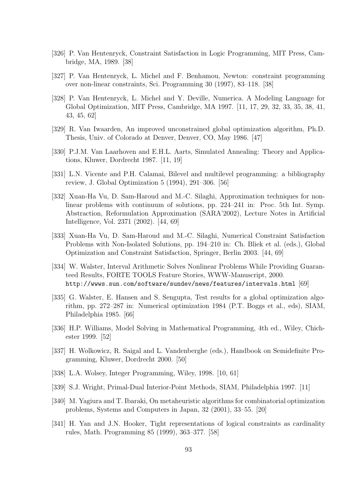- [326] P. Van Hentenryck, Constraint Satisfaction in Logic Programming, MIT Press, Cambridge, MA, 1989. [38]
- [327] P. Van Hentenryck, L. Michel and F. Benhamou, Newton: constraint programming over non-linear constraints, Sci. Programming 30 (1997), 83–118. [38]
- [328] P. Van Hentenryck, L. Michel and Y. Deville, Numerica. A Modeling Language for Global Optimization, MIT Press, Cambridge, MA 1997. [11, 17, 29, 32, 33, 35, 38, 41, 43, 45, 62]
- [329] R. Van Iwaarden, An improved unconstrained global optimization algorithm, Ph.D. Thesis, Univ. of Colorado at Denver, Denver, CO, May 1986. [47]
- [330] P.J.M. Van Laarhoven and E.H.L. Aarts, Simulated Annealing: Theory and Applications, Kluwer, Dordrecht 1987. [11, 19]
- [331] L.N. Vicente and P.H. Calamai, Bilevel and multilevel programming: a bibliography review, J. Global Optimization 5 (1994), 291–306. [56]
- [332] Xuan-Ha Vu, D. Sam-Haroud and M.-C. Silaghi, Approximation techniques for nonlinear problems with continuum of solutions, pp. 224–241 in: Proc. 5th Int. Symp. Abstraction, Reformulation Approximation (SARA'2002), Lecture Notes in Artificial Intelligence, Vol. 2371 (2002). [44, 69]
- [333] Xuan-Ha Vu, D. Sam-Haroud and M.-C. Silaghi, Numerical Constraint Satisfaction Problems with Non-Isolated Solutions, pp. 194–210 in: Ch. Bliek et al. (eds.), Global Optimization and Constraint Satisfaction, Springer, Berlin 2003. [44, 69]
- [334] W. Walster, Interval Arithmetic Solves Nonlinear Problems While Providing Guaranteed Results, FORTE TOOLS Feature Stories, WWW-Manuscript, 2000. http://wwws.sun.com/software/sundev/news/features/intervals.html [69]
- [335] G. Walster, E. Hansen and S. Sengupta, Test results for a global optimization algorithm, pp. 272–287 in: Numerical optimization 1984 (P.T. Boggs et al., eds), SIAM, Philadelphia 1985. [66]
- [336] H.P. Williams, Model Solving in Mathematical Programming, 4th ed., Wiley, Chichester 1999. [52]
- [337] H. Wolkowicz, R. Saigal and L. Vandenberghe (eds.), Handbook on Semidefinite Programming, Kluwer, Dordrecht 2000. [50]
- [338] L.A. Wolsey, Integer Programming, Wiley, 1998. [10, 61]
- [339] S.J. Wright, Primal-Dual Interior-Point Methods, SIAM, Philadelphia 1997. [11]
- [340] M. Yagiura and T. Ibaraki, On metaheuristic algorithms for combinatorial optimization problems, Systems and Computers in Japan, 32 (2001), 33–55. [20]
- [341] H. Yan and J.N. Hooker, Tight representations of logical constraints as cardinality rules, Math. Programming 85 (1999), 363–377. [58]